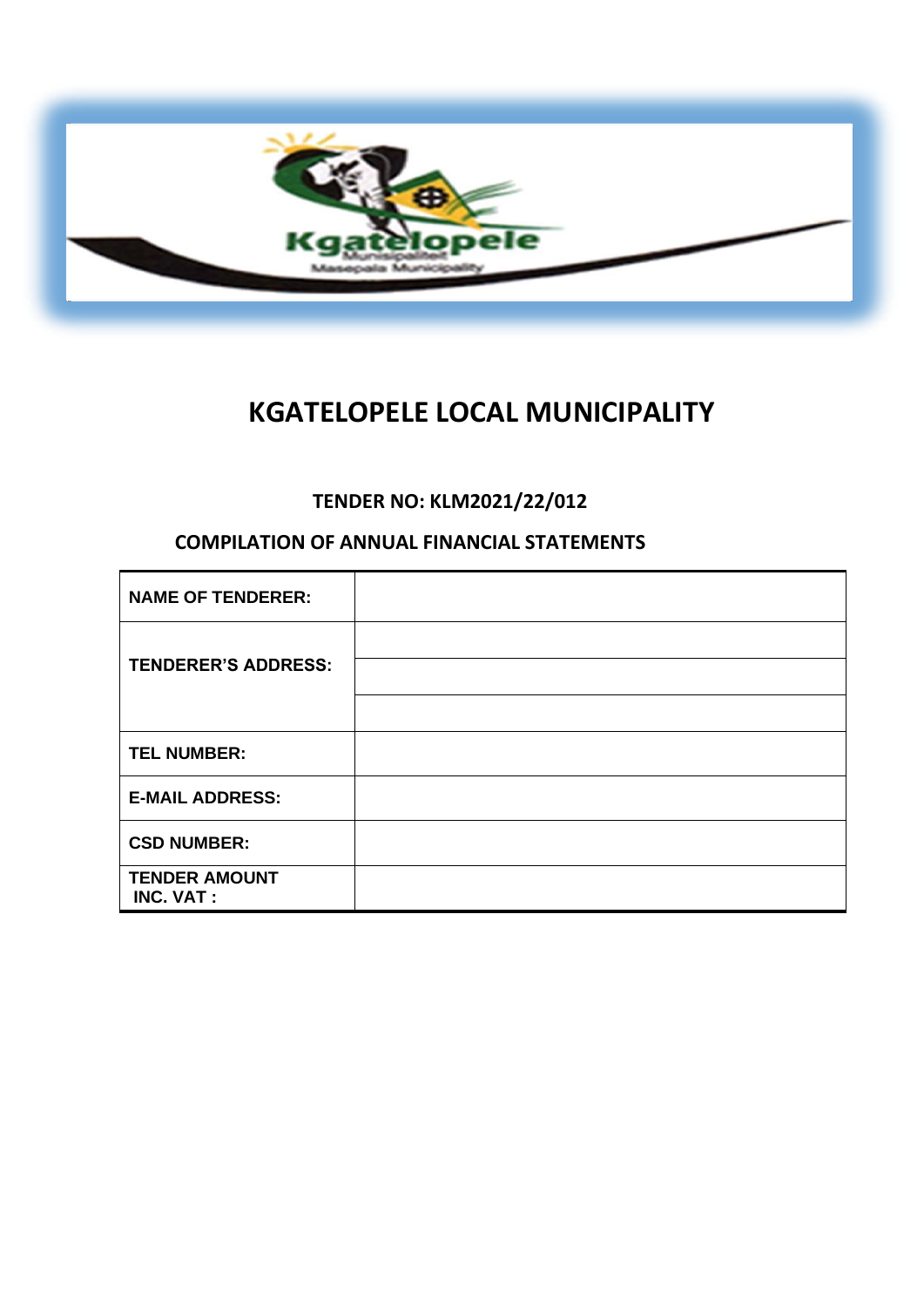

# **KGATELOPELE LOCAL MUNICIPALITY**

# **TENDER NO: KLM2021/22/012**

# **COMPILATION OF ANNUAL FINANCIAL STATEMENTS**

| <b>NAME OF TENDERER:</b>          |  |
|-----------------------------------|--|
| <b>TENDERER'S ADDRESS:</b>        |  |
|                                   |  |
| <b>TEL NUMBER:</b>                |  |
| <b>E-MAIL ADDRESS:</b>            |  |
| <b>CSD NUMBER:</b>                |  |
| <b>TENDER AMOUNT</b><br>INC. VAT: |  |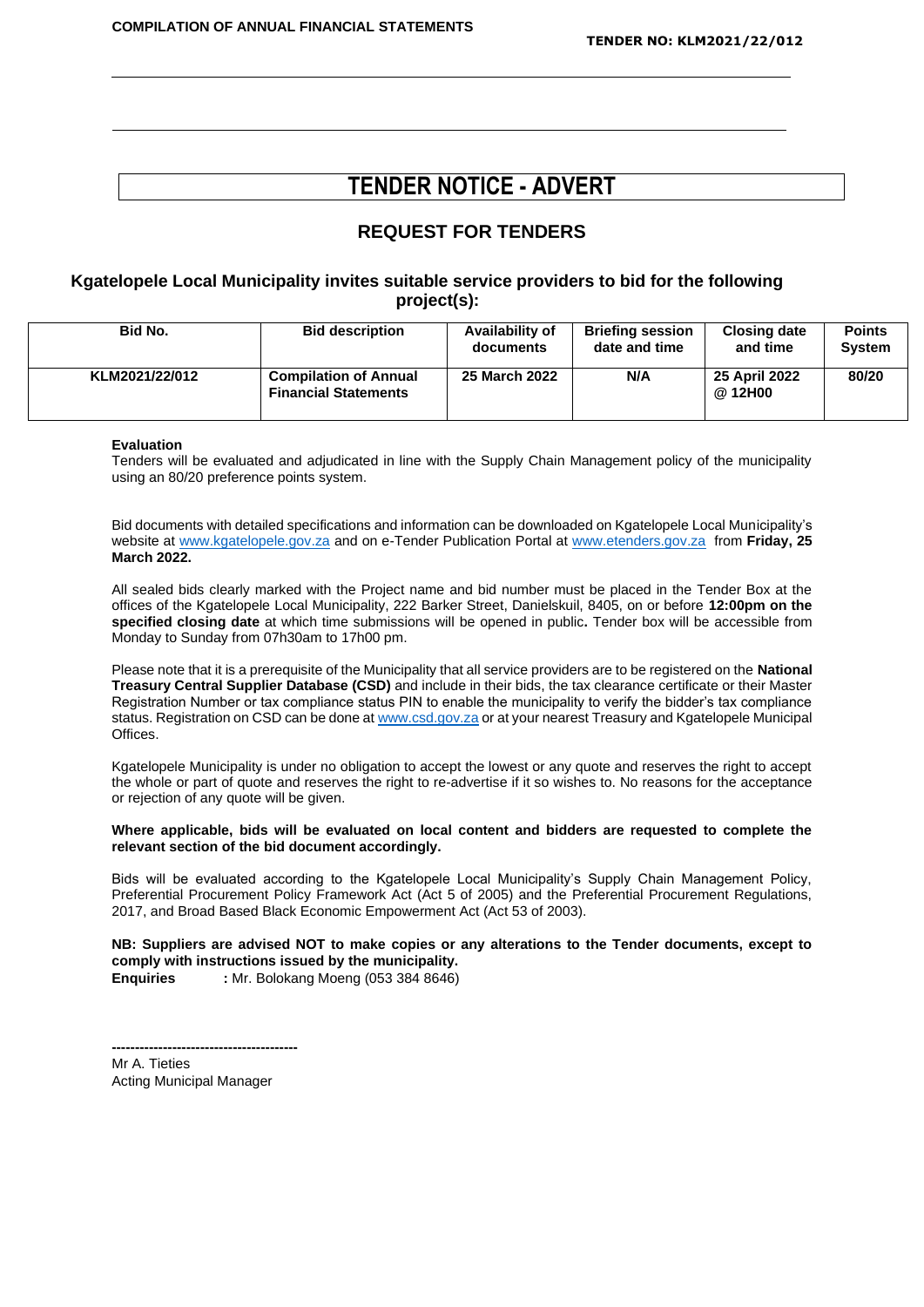# **TENDER NOTICE - ADVERT**

# **REQUEST FOR TENDERS**

#### **Kgatelopele Local Municipality invites suitable service providers to bid for the following project(s):**

| Bid No.        | <b>Bid description</b>                                      | Availability of<br>documents | <b>Briefing session</b><br>date and time | <b>Closing date</b><br>and time | <b>Points</b><br><b>System</b> |
|----------------|-------------------------------------------------------------|------------------------------|------------------------------------------|---------------------------------|--------------------------------|
| KLM2021/22/012 | <b>Compilation of Annual</b><br><b>Financial Statements</b> | <b>25 March 2022</b>         | N/A                                      | 25 April 2022<br>@ 12H00        | 80/20                          |

#### **Evaluation**

Tenders will be evaluated and adjudicated in line with the Supply Chain Management policy of the municipality using an 80/20 preference points system.

Bid documents with detailed specifications and information can be downloaded on Kgatelopele Local Municipality's website at [www.kgatelopele.gov.za](http://www.kgatelopele.gov.za/) and on e-Tender Publication Portal at [www.etenders.gov.za](http://www.etenders.gov.za/) from **Friday, 25 March 2022.**

All sealed bids clearly marked with the Project name and bid number must be placed in the Tender Box at the offices of the Kgatelopele Local Municipality, 222 Barker Street, Danielskuil, 8405, on or before **12:00pm on the specified closing date** at which time submissions will be opened in public**.** Tender box will be accessible from Monday to Sunday from 07h30am to 17h00 pm.

Please note that it is a prerequisite of the Municipality that all service providers are to be registered on the **National Treasury Central Supplier Database (CSD)** and include in their bids, the tax clearance certificate or their Master Registration Number or tax compliance status PIN to enable the municipality to verify the bidder's tax compliance status. Registration on CSD can be done a[t www.csd.gov.za](http://www.csd.gov.za/) or at your nearest Treasury and Kgatelopele Municipal Offices.

Kgatelopele Municipality is under no obligation to accept the lowest or any quote and reserves the right to accept the whole or part of quote and reserves the right to re-advertise if it so wishes to. No reasons for the acceptance or rejection of any quote will be given.

#### **Where applicable, bids will be evaluated on local content and bidders are requested to complete the relevant section of the bid document accordingly.**

Bids will be evaluated according to the Kgatelopele Local Municipality's Supply Chain Management Policy, Preferential Procurement Policy Framework Act (Act 5 of 2005) and the Preferential Procurement Regulations, 2017, and Broad Based Black Economic Empowerment Act (Act 53 of 2003).

#### **NB: Suppliers are advised NOT to make copies or any alterations to the Tender documents, except to comply with instructions issued by the municipality.**

**Enquiries :** Mr. Bolokang Moeng (053 384 8646)

Mr A. Tieties Acting Municipal Manager

**----------------------------------------**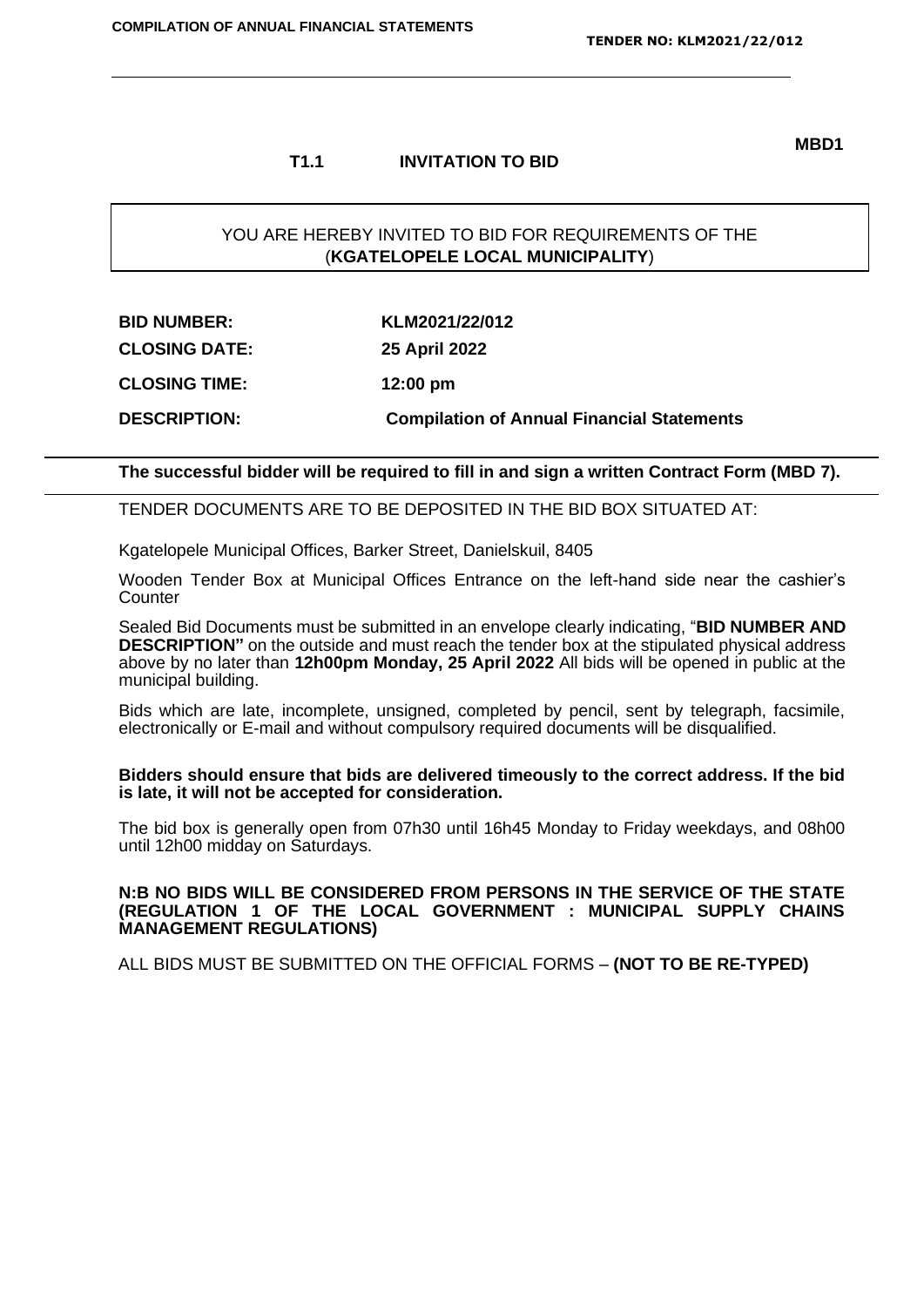#### **T1.1 INVITATION TO BID**

# YOU ARE HEREBY INVITED TO BID FOR REQUIREMENTS OF THE (**KGATELOPELE LOCAL MUNICIPALITY**)

| <b>BID NUMBER:</b>   | KLM2021/22/012                                    |
|----------------------|---------------------------------------------------|
| <b>CLOSING DATE:</b> | <b>25 April 2022</b>                              |
| <b>CLOSING TIME:</b> | $12:00 \text{ pm}$                                |
| <b>DESCRIPTION:</b>  | <b>Compilation of Annual Financial Statements</b> |

**The successful bidder will be required to fill in and sign a written Contract Form (MBD 7).**

TENDER DOCUMENTS ARE TO BE DEPOSITED IN THE BID BOX SITUATED AT:

Kgatelopele Municipal Offices, Barker Street, Danielskuil, 8405

Wooden Tender Box at Municipal Offices Entrance on the left-hand side near the cashier's **Counter** 

Sealed Bid Documents must be submitted in an envelope clearly indicating, "**BID NUMBER AND DESCRIPTION"** on the outside and must reach the tender box at the stipulated physical address above by no later than **12h00pm Monday, 25 April 2022** All bids will be opened in public at the municipal building.

Bids which are late, incomplete, unsigned, completed by pencil, sent by telegraph, facsimile, electronically or E-mail and without compulsory required documents will be disqualified.

#### **Bidders should ensure that bids are delivered timeously to the correct address. If the bid is late, it will not be accepted for consideration.**

The bid box is generally open from 07h30 until 16h45 Monday to Friday weekdays, and 08h00 until 12h00 midday on Saturdays.

#### **N:B NO BIDS WILL BE CONSIDERED FROM PERSONS IN THE SERVICE OF THE STATE (REGULATION 1 OF THE LOCAL GOVERNMENT : MUNICIPAL SUPPLY CHAINS MANAGEMENT REGULATIONS)**

ALL BIDS MUST BE SUBMITTED ON THE OFFICIAL FORMS – **(NOT TO BE RE-TYPED)**

**MBD1**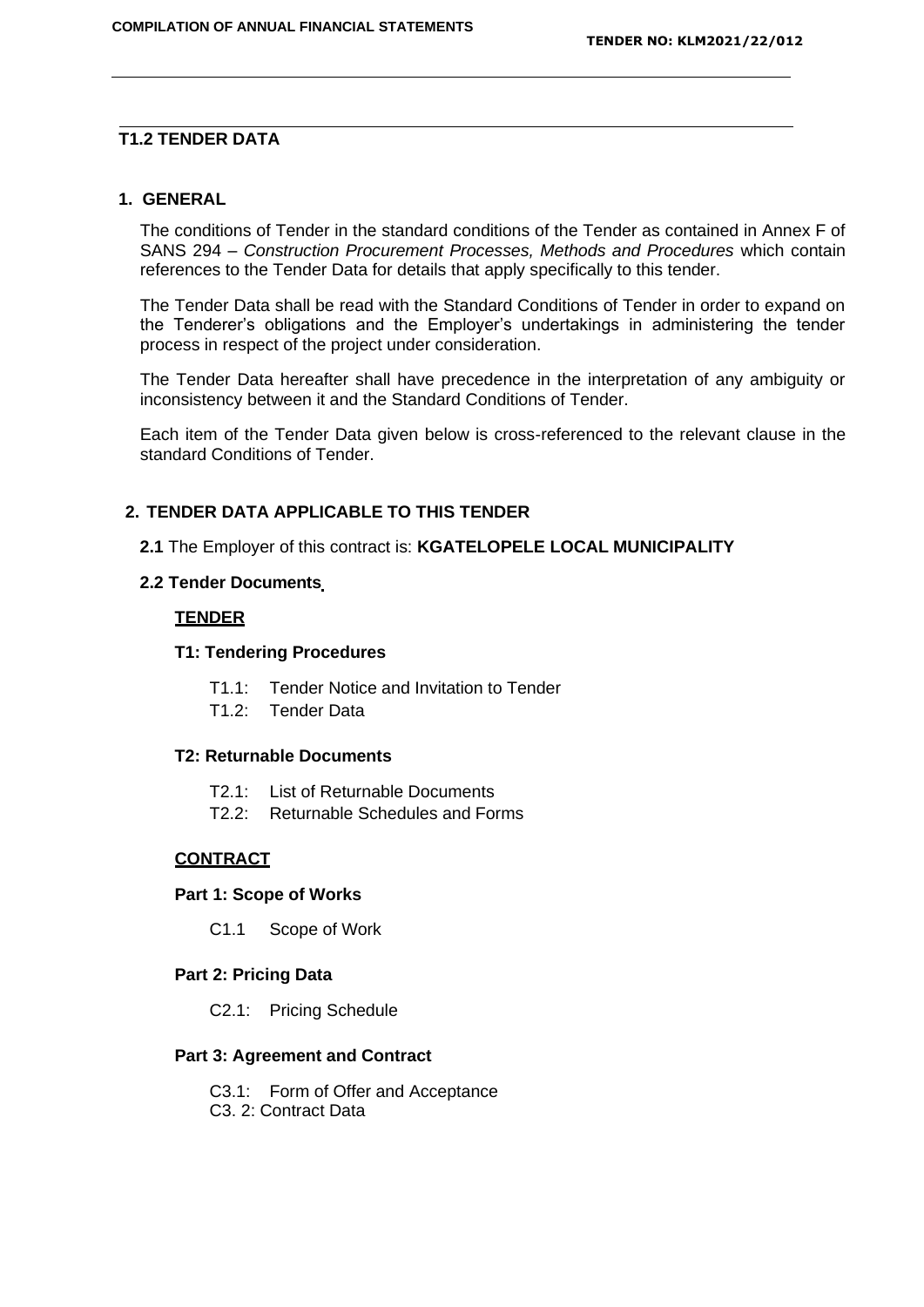## **T1.2 TENDER DATA**

#### **1. GENERAL**

The conditions of Tender in the standard conditions of the Tender as contained in Annex F of SANS 294 – *Construction Procurement Processes, Methods and Procedures* which contain references to the Tender Data for details that apply specifically to this tender.

The Tender Data shall be read with the Standard Conditions of Tender in order to expand on the Tenderer's obligations and the Employer's undertakings in administering the tender process in respect of the project under consideration.

The Tender Data hereafter shall have precedence in the interpretation of any ambiguity or inconsistency between it and the Standard Conditions of Tender.

Each item of the Tender Data given below is cross-referenced to the relevant clause in the standard Conditions of Tender.

#### **2. TENDER DATA APPLICABLE TO THIS TENDER**

**2.1** The Employer of this contract is: **KGATELOPELE LOCAL MUNICIPALITY**

#### **2.2 Tender Documents**

#### **TENDER**

#### **T1: Tendering Procedures**

- T1.1: Tender Notice and Invitation to Tender
- T1.2: Tender Data

#### **T2: Returnable Documents**

- T2.1: List of Returnable Documents
- T2.2: Returnable Schedules and Forms

#### **CONTRACT**

#### **Part 1: Scope of Works**

C1.1 Scope of Work

#### **Part 2: Pricing Data**

C2.1: Pricing Schedule

#### **Part 3: Agreement and Contract**

- C3.1: Form of Offer and Acceptance
- C3. 2: Contract Data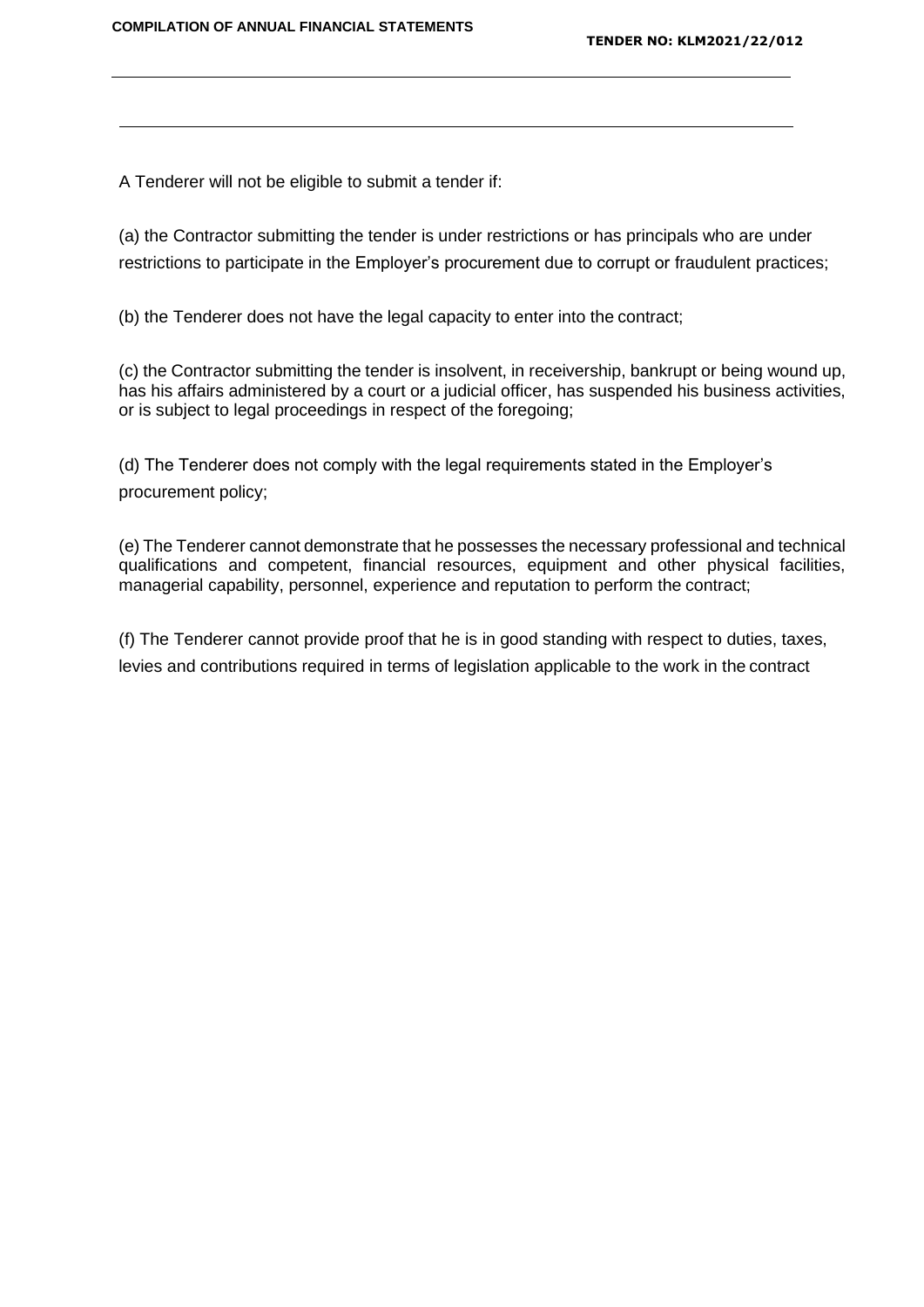A Tenderer will not be eligible to submit a tender if:

(a) the Contractor submitting the tender is under restrictions or has principals who are under restrictions to participate in the Employer's procurement due to corrupt or fraudulent practices;

(b) the Tenderer does not have the legal capacity to enter into the contract;

(c) the Contractor submitting the tender is insolvent, in receivership, bankrupt or being wound up, has his affairs administered by a court or a judicial officer, has suspended his business activities, or is subject to legal proceedings in respect of the foregoing;

(d) The Tenderer does not comply with the legal requirements stated in the Employer's procurement policy;

(e) The Tenderer cannot demonstrate that he possesses the necessary professional and technical qualifications and competent, financial resources, equipment and other physical facilities, managerial capability, personnel, experience and reputation to perform the contract;

(f) The Tenderer cannot provide proof that he is in good standing with respect to duties, taxes, levies and contributions required in terms of legislation applicable to the work in the contract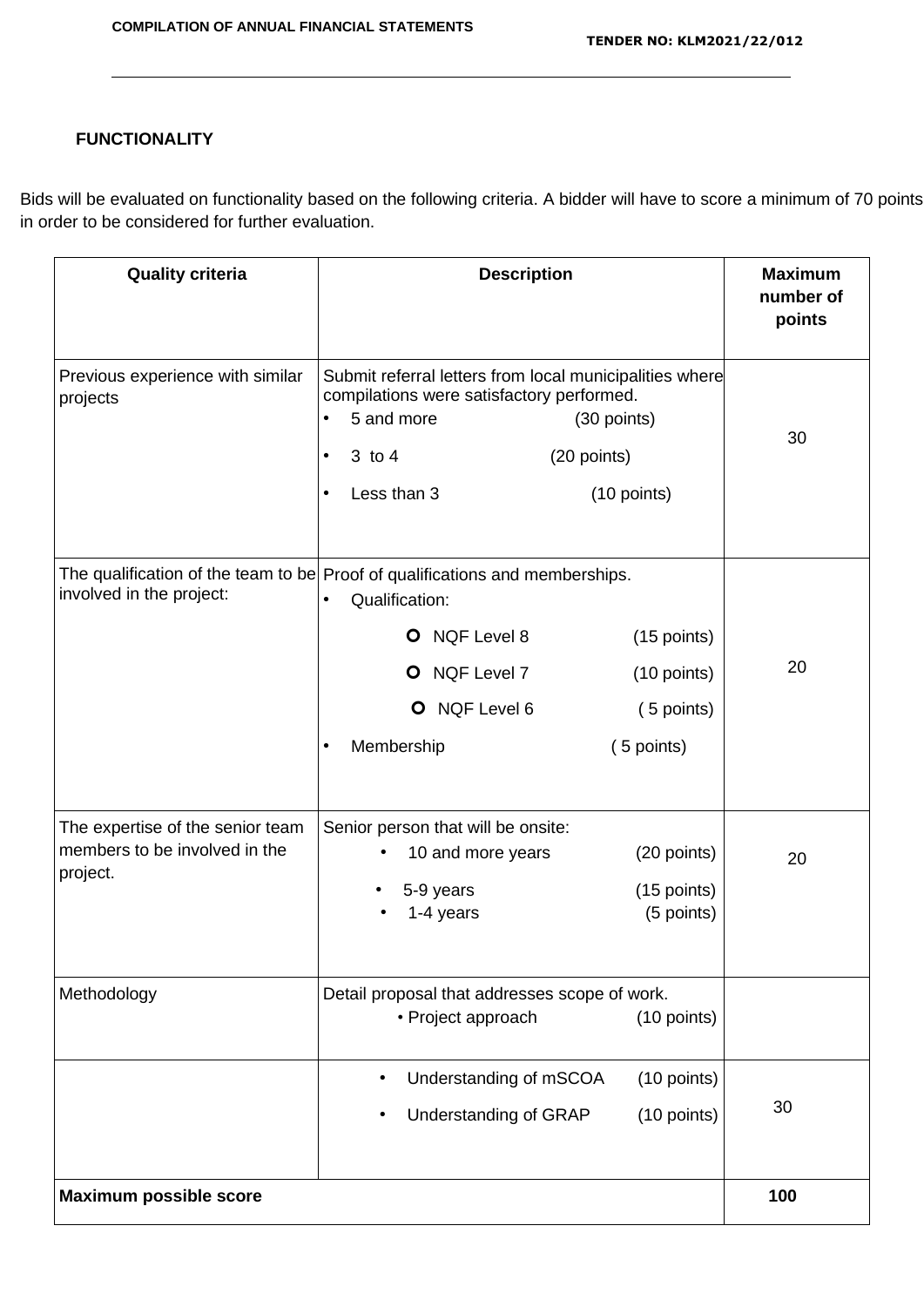# **FUNCTIONALITY**

Bids will be evaluated on functionality based on the following criteria. A bidder will have to score a minimum of 70 points in order to be considered for further evaluation.

| <b>Quality criteria</b>                                                                      | <b>Description</b>                                                                                                                                                                                                                                                | <b>Maximum</b><br>number of<br>points |
|----------------------------------------------------------------------------------------------|-------------------------------------------------------------------------------------------------------------------------------------------------------------------------------------------------------------------------------------------------------------------|---------------------------------------|
| Previous experience with similar<br>projects                                                 | Submit referral letters from local municipalities where<br>compilations were satisfactory performed.<br>5 and more<br>(30 points)<br>$\bullet$<br>3 to 4<br>(20 points)<br>Less than 3<br>(10 points)                                                             | 30                                    |
| involved in the project:                                                                     | The qualification of the team to be Proof of qualifications and memberships.<br>Qualification:<br><b>O</b> NQF Level 8<br>(15 points)<br>O NQF Level 7<br>(10 points)<br>O NQF Level 6<br>(5 points)<br>Membership<br>(5 points)                                  | 20                                    |
| The expertise of the senior team<br>members to be involved in the<br>project.<br>Methodology | Senior person that will be onsite:<br>10 and more years<br>(20 points)<br>(15 points)<br>5-9 years<br>(5 points)<br>1-4 years<br>Detail proposal that addresses scope of work.<br>• Project approach<br>(10 points)<br>Understanding of mSCOA<br>(10 points)<br>٠ | 20<br>30                              |
| <b>Maximum possible score</b>                                                                | Understanding of GRAP<br>(10 points)                                                                                                                                                                                                                              | 100                                   |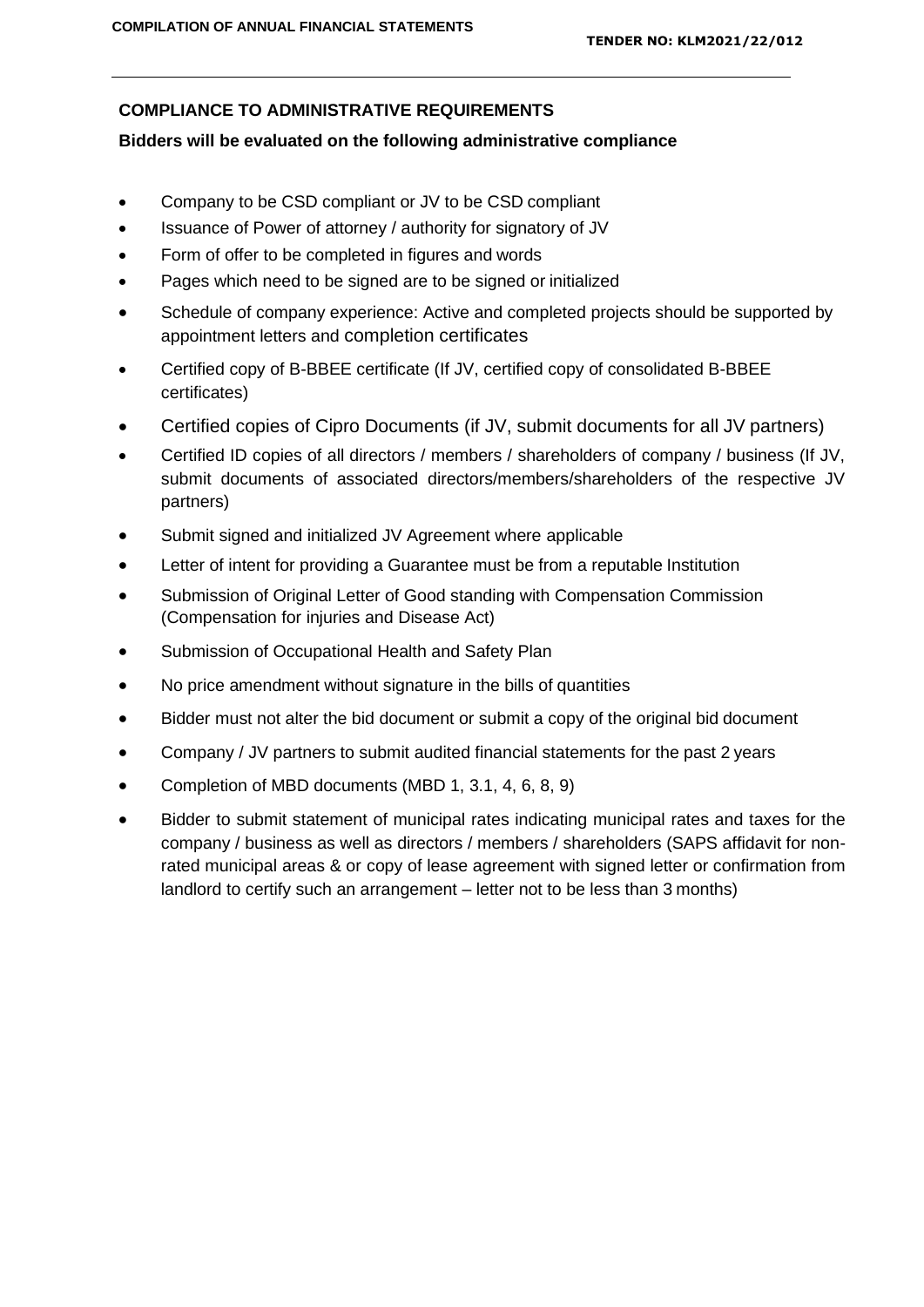# **COMPLIANCE TO ADMINISTRATIVE REQUIREMENTS**

#### **Bidders will be evaluated on the following administrative compliance**

- Company to be CSD compliant or JV to be CSD compliant
- Issuance of Power of attorney / authority for signatory of JV
- Form of offer to be completed in figures and words
- Pages which need to be signed are to be signed or initialized
- Schedule of company experience: Active and completed projects should be supported by appointment letters and completion certificates
- Certified copy of B-BBEE certificate (If JV, certified copy of consolidated B-BBEE certificates)
- Certified copies of Cipro Documents (if JV, submit documents for all JV partners)
- Certified ID copies of all directors / members / shareholders of company / business (If JV, submit documents of associated directors/members/shareholders of the respective JV partners)
- Submit signed and initialized JV Agreement where applicable
- Letter of intent for providing a Guarantee must be from a reputable Institution
- Submission of Original Letter of Good standing with Compensation Commission (Compensation for injuries and Disease Act)
- Submission of Occupational Health and Safety Plan
- No price amendment without signature in the bills of quantities
- Bidder must not alter the bid document or submit a copy of the original bid document
- Company / JV partners to submit audited financial statements for the past 2 years
- Completion of MBD documents (MBD 1, 3.1, 4, 6, 8, 9)
- Bidder to submit statement of municipal rates indicating municipal rates and taxes for the company / business as well as directors / members / shareholders (SAPS affidavit for nonrated municipal areas & or copy of lease agreement with signed letter or confirmation from landlord to certify such an arrangement – letter not to be less than 3 months)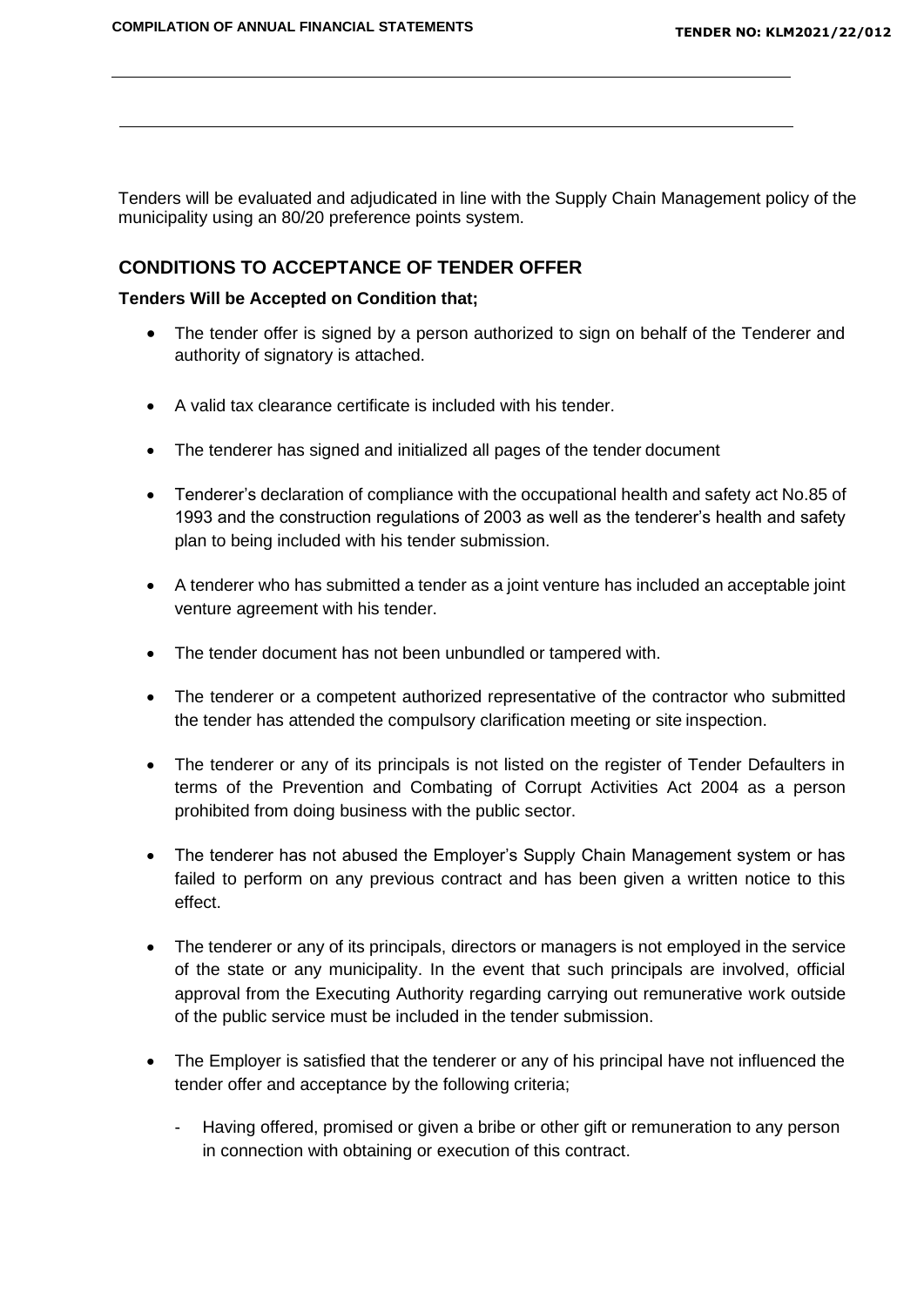Tenders will be evaluated and adjudicated in line with the Supply Chain Management policy of the municipality using an 80/20 preference points system.

# **CONDITIONS TO ACCEPTANCE OF TENDER OFFER**

#### **Tenders Will be Accepted on Condition that;**

- The tender offer is signed by a person authorized to sign on behalf of the Tenderer and authority of signatory is attached.
- A valid tax clearance certificate is included with his tender.
- The tenderer has signed and initialized all pages of the tender document
- Tenderer's declaration of compliance with the occupational health and safety act No.85 of 1993 and the construction regulations of 2003 as well as the tenderer's health and safety plan to being included with his tender submission.
- A tenderer who has submitted a tender as a joint venture has included an acceptable joint venture agreement with his tender.
- The tender document has not been unbundled or tampered with.
- The tenderer or a competent authorized representative of the contractor who submitted the tender has attended the compulsory clarification meeting or site inspection.
- The tenderer or any of its principals is not listed on the register of Tender Defaulters in terms of the Prevention and Combating of Corrupt Activities Act 2004 as a person prohibited from doing business with the public sector.
- The tenderer has not abused the Employer's Supply Chain Management system or has failed to perform on any previous contract and has been given a written notice to this effect.
- The tenderer or any of its principals, directors or managers is not employed in the service of the state or any municipality. In the event that such principals are involved, official approval from the Executing Authority regarding carrying out remunerative work outside of the public service must be included in the tender submission.
- The Employer is satisfied that the tenderer or any of his principal have not influenced the tender offer and acceptance by the following criteria;
	- Having offered, promised or given a bribe or other gift or remuneration to any person in connection with obtaining or execution of this contract.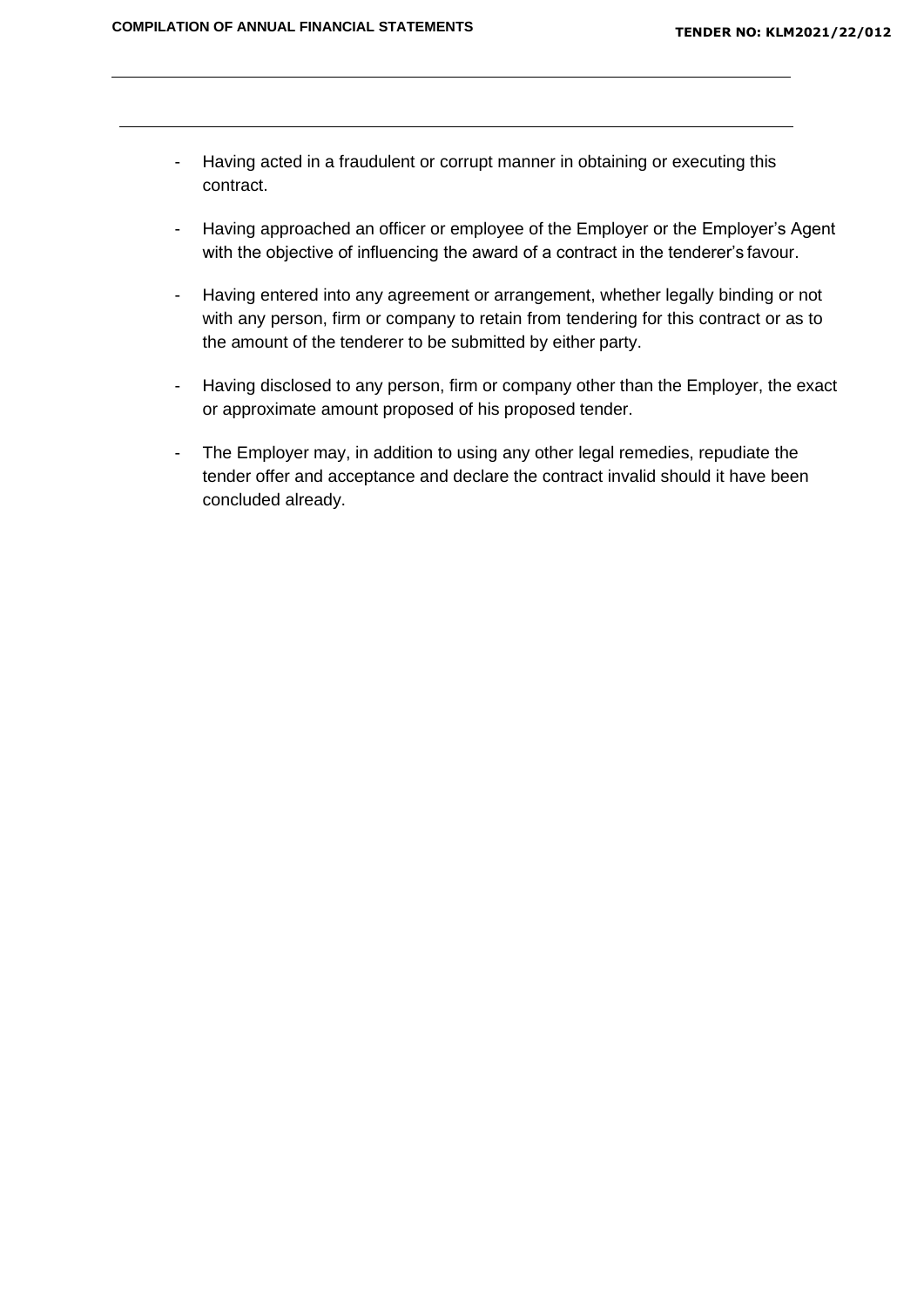- Having acted in a fraudulent or corrupt manner in obtaining or executing this contract.
- Having approached an officer or employee of the Employer or the Employer's Agent with the objective of influencing the award of a contract in the tenderer's favour.
- Having entered into any agreement or arrangement, whether legally binding or not with any person, firm or company to retain from tendering for this contract or as to the amount of the tenderer to be submitted by either party.
- Having disclosed to any person, firm or company other than the Employer, the exact or approximate amount proposed of his proposed tender.
- The Employer may, in addition to using any other legal remedies, repudiate the tender offer and acceptance and declare the contract invalid should it have been concluded already.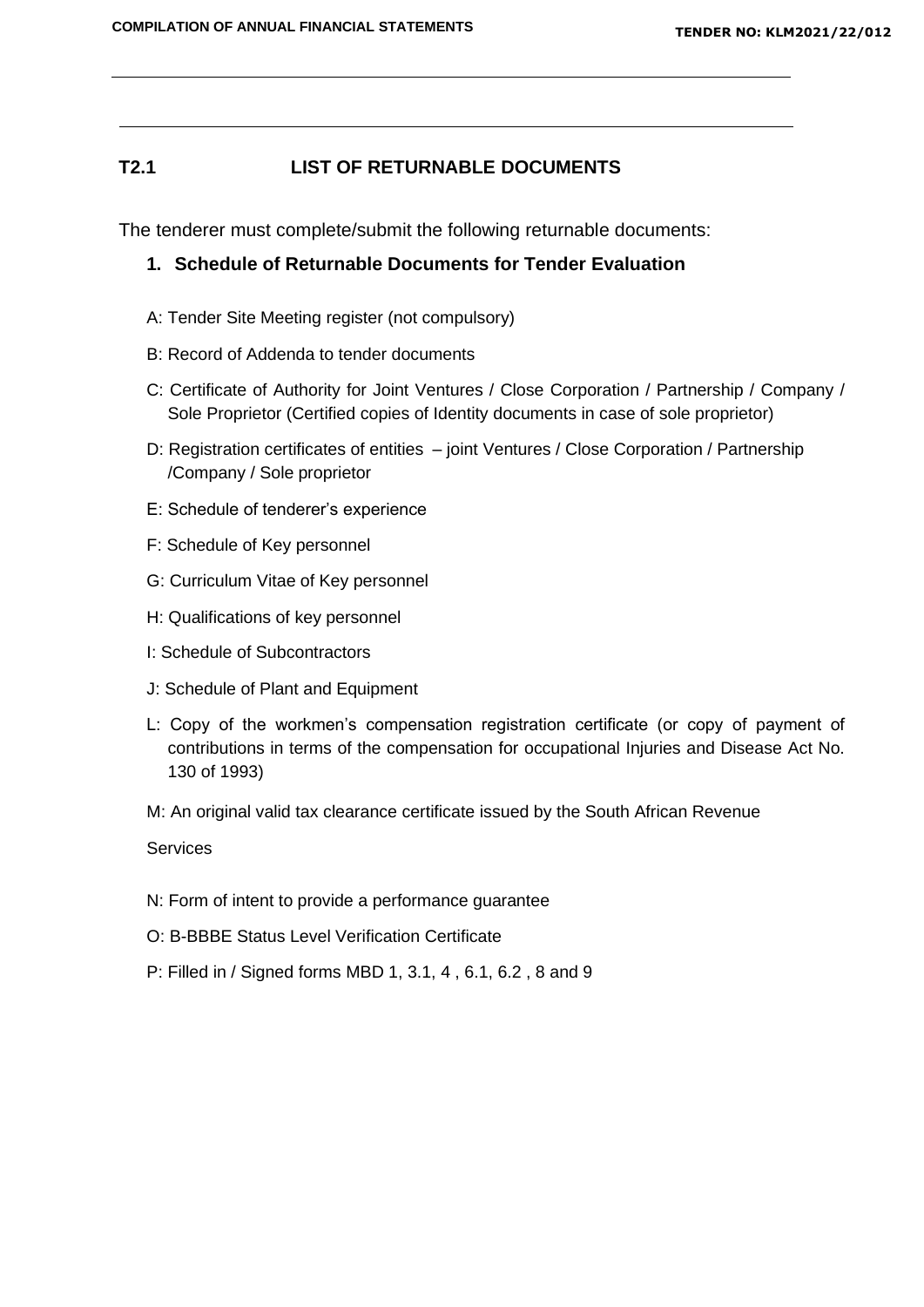# **T2.1 LIST OF RETURNABLE DOCUMENTS**

The tenderer must complete/submit the following returnable documents:

# **1. Schedule of Returnable Documents for Tender Evaluation**

- A: Tender Site Meeting register (not compulsory)
- B: Record of Addenda to tender documents
- C: Certificate of Authority for Joint Ventures / Close Corporation / Partnership / Company / Sole Proprietor (Certified copies of Identity documents in case of sole proprietor)
- D: Registration certificates of entities joint Ventures / Close Corporation / Partnership /Company / Sole proprietor
- E: Schedule of tenderer's experience
- F: Schedule of Key personnel
- G: Curriculum Vitae of Key personnel
- H: Qualifications of key personnel
- I: Schedule of Subcontractors
- J: Schedule of Plant and Equipment
- L: Copy of the workmen's compensation registration certificate (or copy of payment of contributions in terms of the compensation for occupational Injuries and Disease Act No. 130 of 1993)
- M: An original valid tax clearance certificate issued by the South African Revenue

**Services** 

- N: Form of intent to provide a performance guarantee
- O: B-BBBE Status Level Verification Certificate
- P: Filled in / Signed forms MBD 1, 3.1, 4 , 6.1, 6.2 , 8 and 9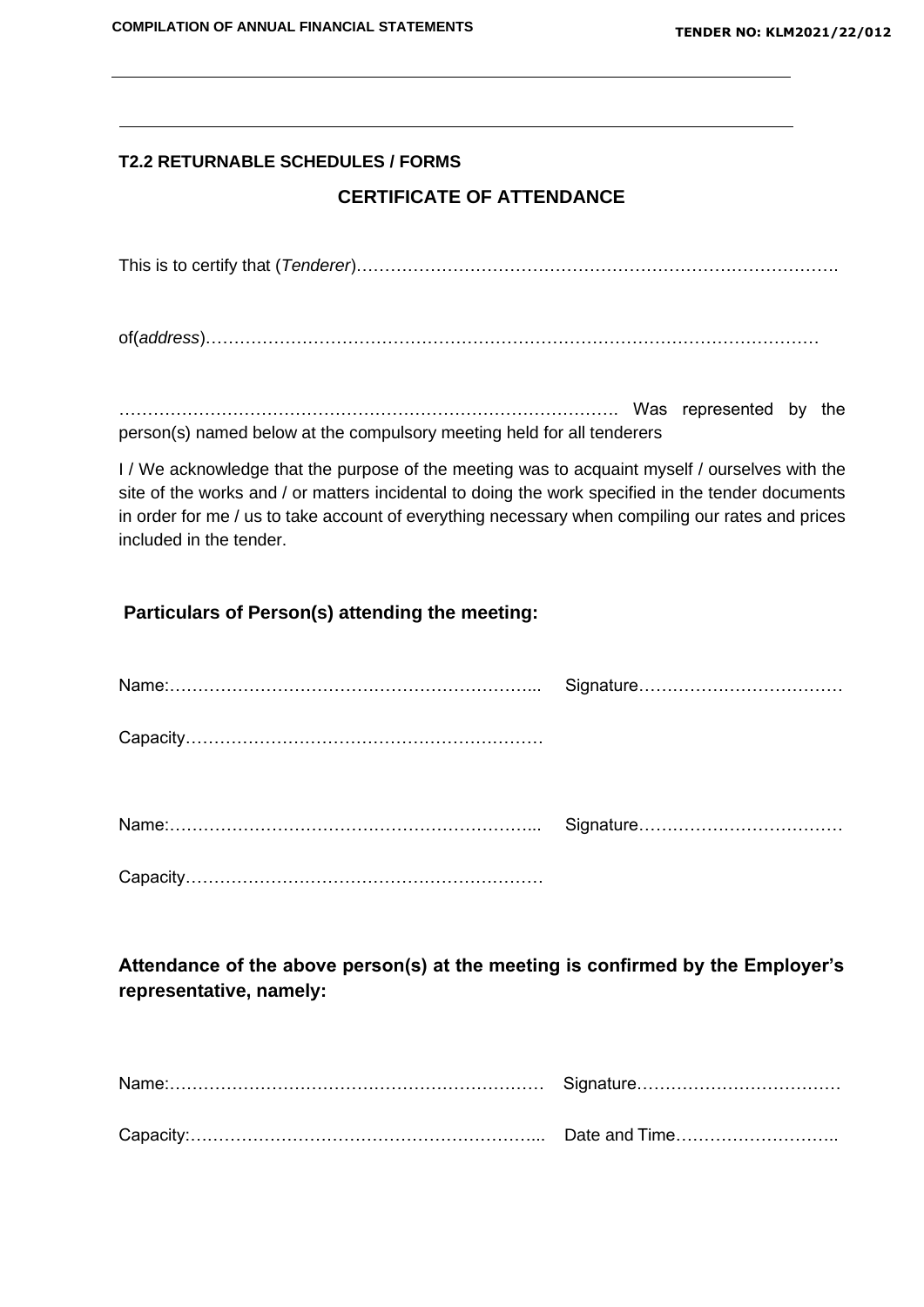# **T2.2 RETURNABLE SCHEDULES / FORMS CERTIFICATE OF ATTENDANCE**

This is to certify that (*Tenderer*)………………………………………………………………………….

of(*address*)………………………………………………………………………………………………

……………………………………………………………………………. Was represented by the person(s) named below at the compulsory meeting held for all tenderers

I / We acknowledge that the purpose of the meeting was to acquaint myself / ourselves with the site of the works and / or matters incidental to doing the work specified in the tender documents in order for me / us to take account of everything necessary when compiling our rates and prices included in the tender.

# **Particulars of Person(s) attending the meeting:**

**Attendance of the above person(s) at the meeting is confirmed by the Employer's representative, namely:**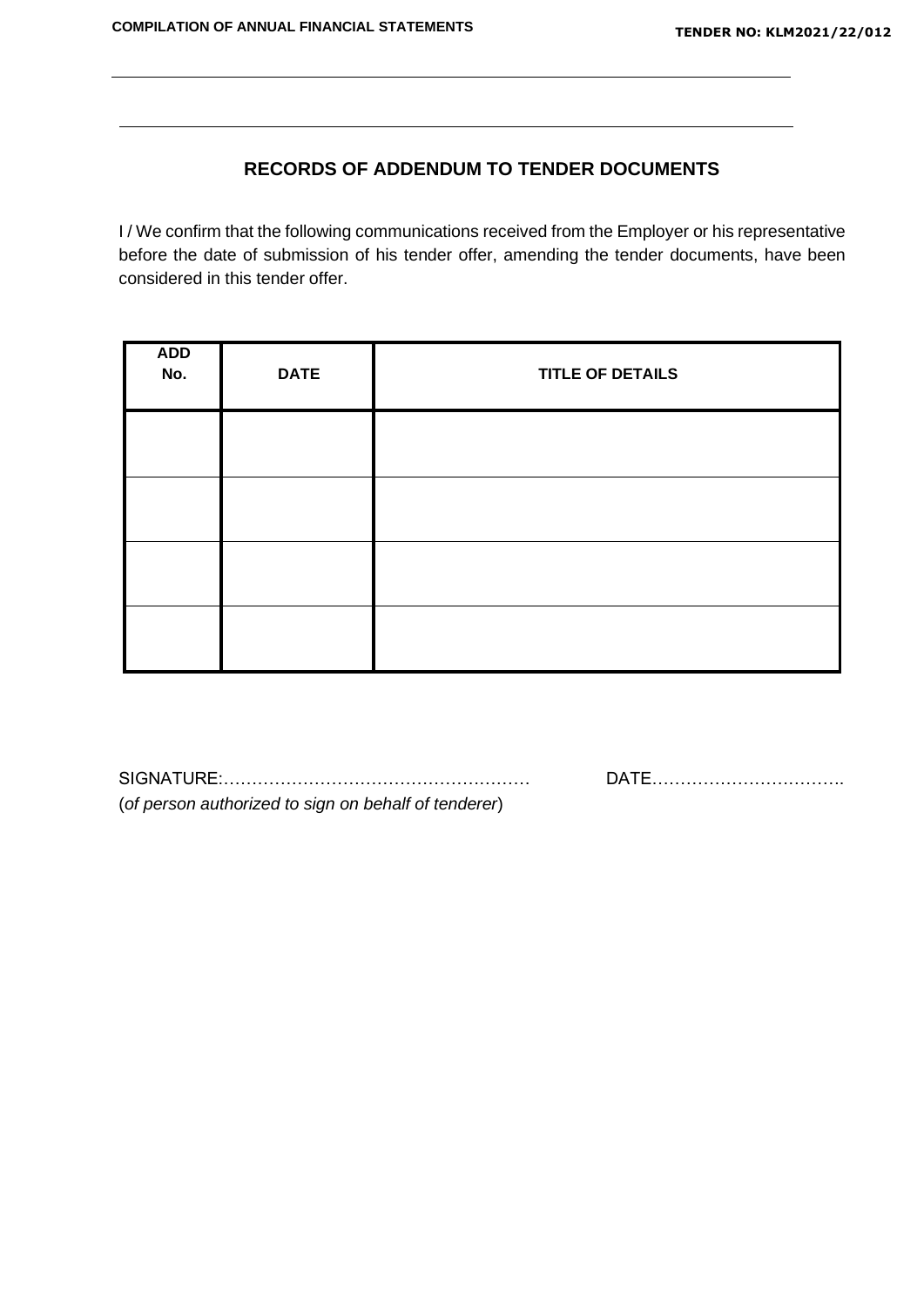# **RECORDS OF ADDENDUM TO TENDER DOCUMENTS**

I / We confirm that the following communications received from the Employer or his representative before the date of submission of his tender offer, amending the tender documents, have been considered in this tender offer.

| ADD<br>No. | <b>DATE</b> | <b>TITLE OF DETAILS</b> |
|------------|-------------|-------------------------|
|            |             |                         |
|            |             |                         |
|            |             |                         |
|            |             |                         |

SIGNATURE:……………………………………………… DATE……………………………. (*of person authorized to sign on behalf of tenderer*)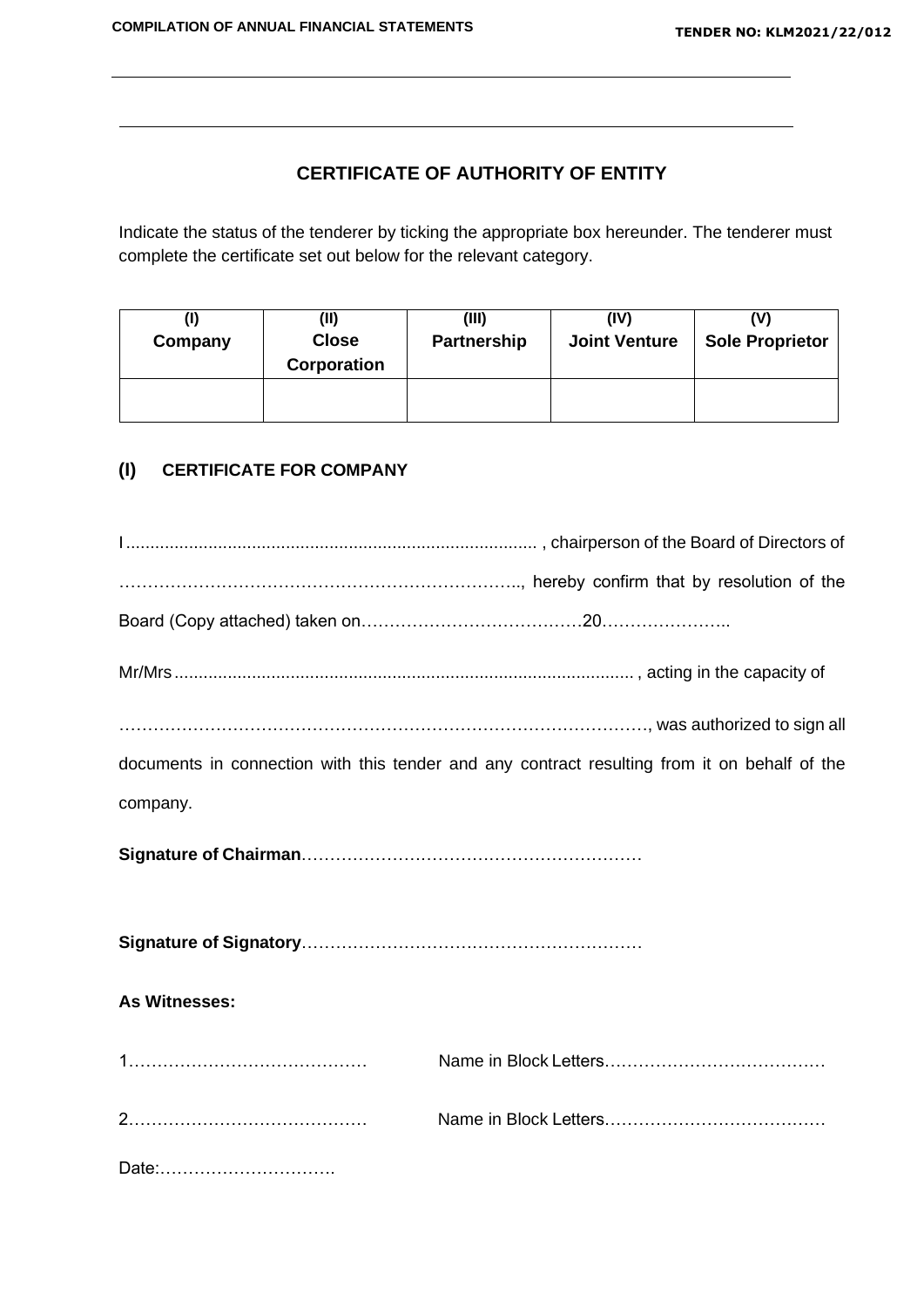# **CERTIFICATE OF AUTHORITY OF ENTITY**

Indicate the status of the tenderer by ticking the appropriate box hereunder. The tenderer must complete the certificate set out below for the relevant category.

| (II)<br><b>Close</b><br>Company<br><b>Corporation</b> |  | (III)<br><b>Partnership</b> | (IV)<br><b>Joint Venture</b> | (V<br><b>Sole Proprietor</b> |
|-------------------------------------------------------|--|-----------------------------|------------------------------|------------------------------|
|                                                       |  |                             |                              |                              |

# **(I) CERTIFICATE FOR COMPANY**

|               | documents in connection with this tender and any contract resulting from it on behalf of the |
|---------------|----------------------------------------------------------------------------------------------|
| company.      |                                                                                              |
|               |                                                                                              |
|               |                                                                                              |
| As Witnesses: |                                                                                              |
|               |                                                                                              |
|               |                                                                                              |
| Date:         |                                                                                              |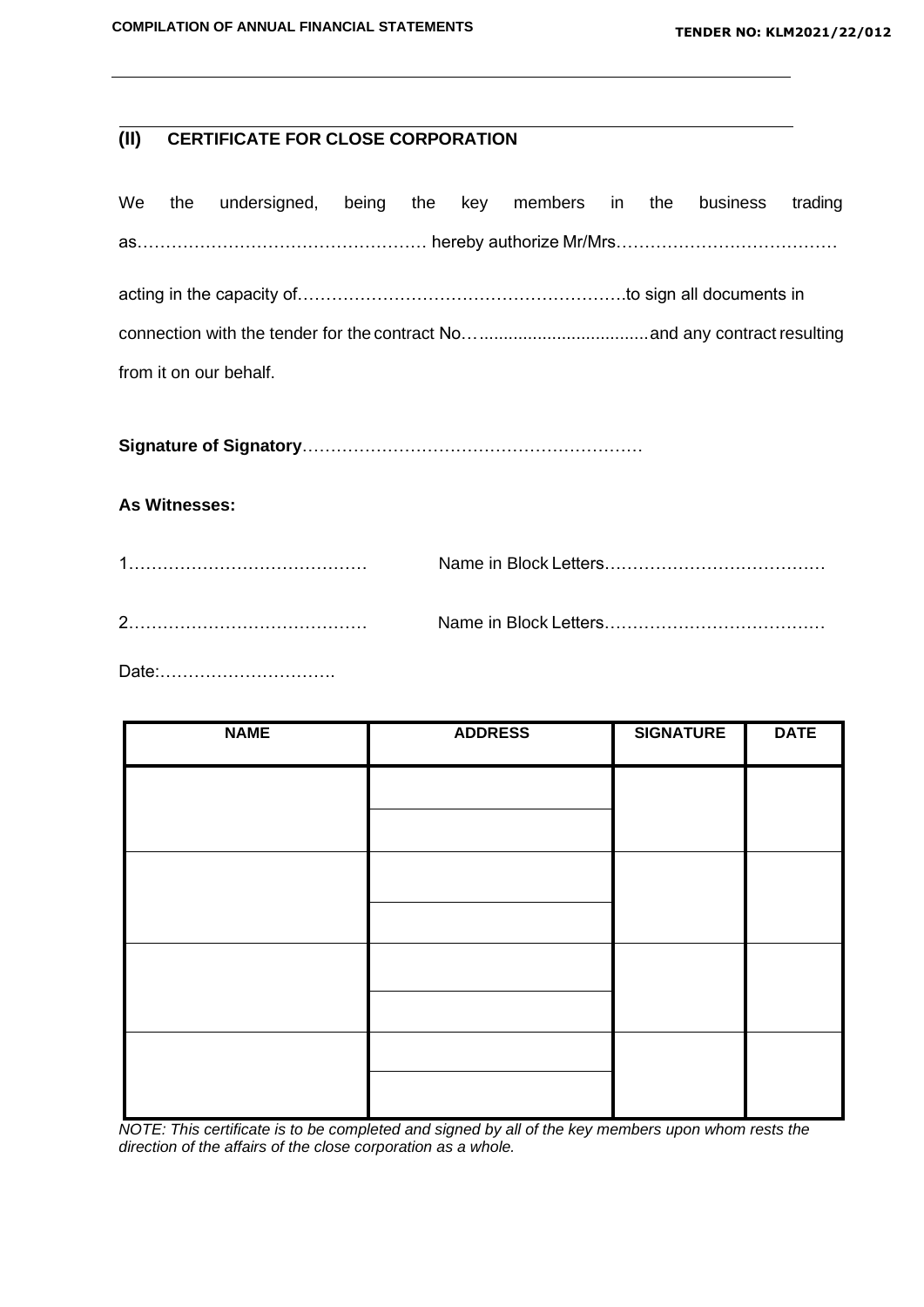# **(II) CERTIFICATE FOR CLOSE CORPORATION**

|  | We the undersigned, being the key members in the business trading    |  |  |  |  |
|--|----------------------------------------------------------------------|--|--|--|--|
|  | as…………………………………………… hereby authorize Mr/Mrs…………………………………             |  |  |  |  |
|  | acting in the capacity of…………………………………………………to sign all documents in |  |  |  |  |
|  |                                                                      |  |  |  |  |
|  | from it on our behalf.                                               |  |  |  |  |

**Signature of Signatory**……………………………………………………

# **As Witnesses:**

Date:………………………….

| <b>NAME</b> | <b>ADDRESS</b> | <b>SIGNATURE</b> | <b>DATE</b> |
|-------------|----------------|------------------|-------------|
|             |                |                  |             |
|             |                |                  |             |
|             |                |                  |             |
|             |                |                  |             |
|             |                |                  |             |
|             |                |                  |             |
|             |                |                  |             |
|             |                |                  |             |

*NOTE: This certificate is to be completed and signed by all of the key members upon whom rests the direction of the affairs of the close corporation as a whole.*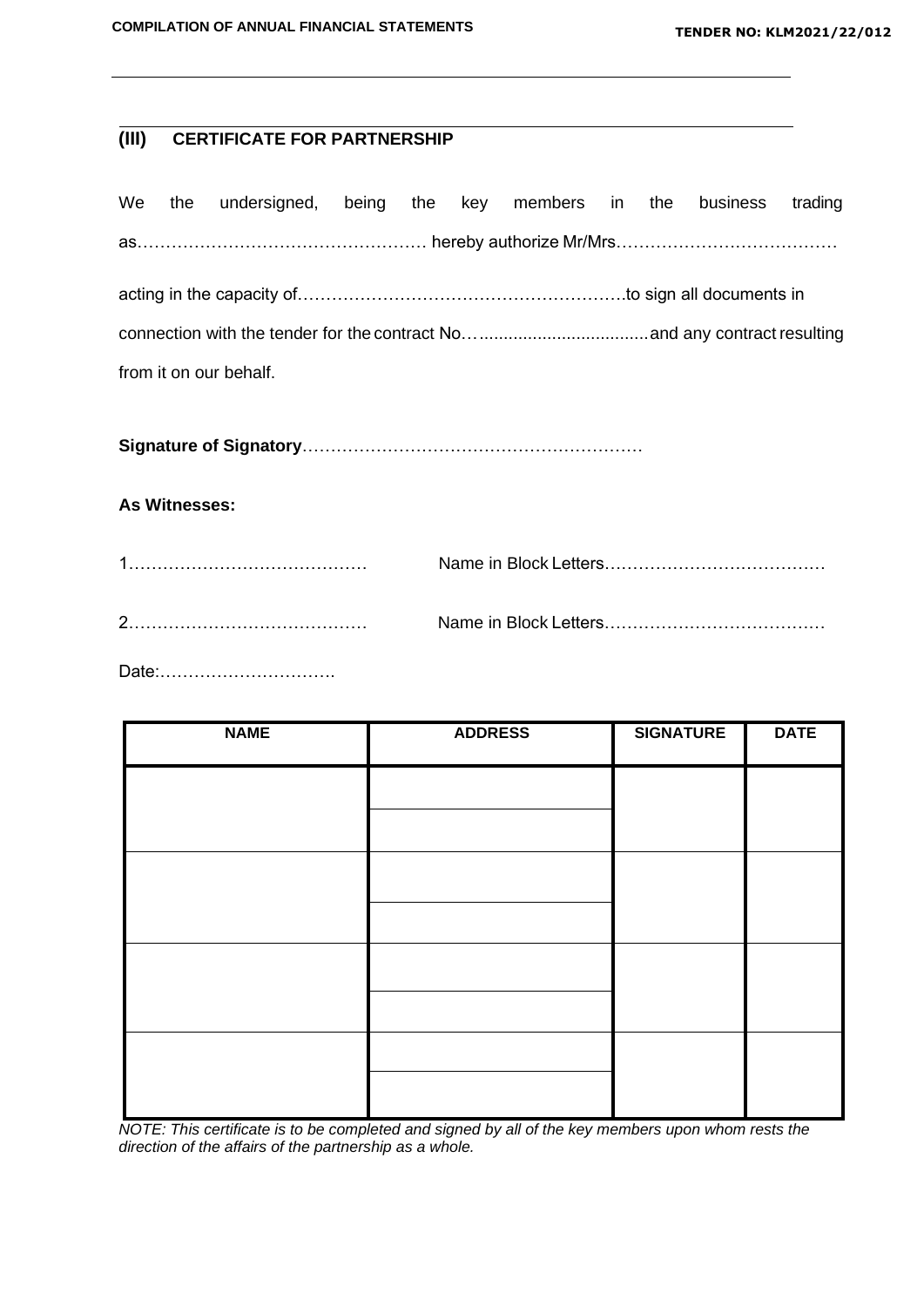# **(III) CERTIFICATE FOR PARTNERSHIP**

|                        |  | We the undersigned, being the key members in the business trading |  |  |  |  |  |  |  |
|------------------------|--|-------------------------------------------------------------------|--|--|--|--|--|--|--|
|                        |  | as…………………………………………… hereby authorize Mr/Mrs…………………………………          |  |  |  |  |  |  |  |
|                        |  |                                                                   |  |  |  |  |  |  |  |
|                        |  |                                                                   |  |  |  |  |  |  |  |
| from it on our behalf. |  |                                                                   |  |  |  |  |  |  |  |

**Signature of Signatory**……………………………………………………

# **As Witnesses:**

Date:………………………….

| <b>NAME</b> | <b>ADDRESS</b> | <b>SIGNATURE</b> | <b>DATE</b> |
|-------------|----------------|------------------|-------------|
|             |                |                  |             |
|             |                |                  |             |
|             |                |                  |             |
|             |                |                  |             |
|             |                |                  |             |
|             |                |                  |             |
|             |                |                  |             |
|             |                |                  |             |

*NOTE: This certificate is to be completed and signed by all of the key members upon whom rests the direction of the affairs of the partnership as a whole.*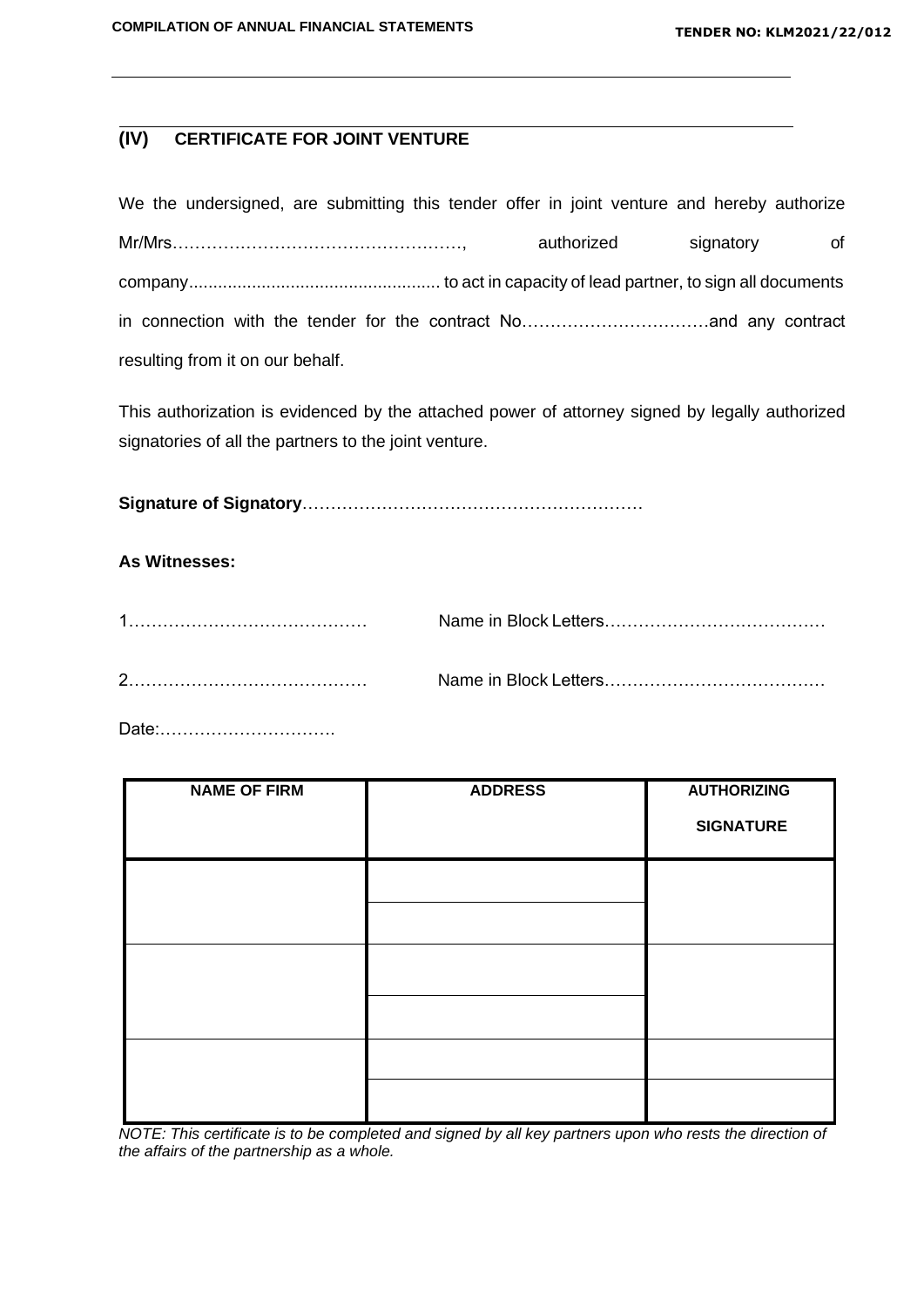# **(IV) CERTIFICATE FOR JOINT VENTURE**

| We the undersigned, are submitting this tender offer in joint venture and hereby authorize |            |           |    |  |  |  |
|--------------------------------------------------------------------------------------------|------------|-----------|----|--|--|--|
|                                                                                            | authorized | signatory | of |  |  |  |
|                                                                                            |            |           |    |  |  |  |
|                                                                                            |            |           |    |  |  |  |
| resulting from it on our behalf.                                                           |            |           |    |  |  |  |

This authorization is evidenced by the attached power of attorney signed by legally authorized signatories of all the partners to the joint venture.

**Signature of Signatory**……………………………………………………

#### **As Witnesses:**

| C |  |
|---|--|

Date:………………………….

| <b>NAME OF FIRM</b> | <b>ADDRESS</b> | <b>AUTHORIZING</b><br><b>SIGNATURE</b> |
|---------------------|----------------|----------------------------------------|
|                     |                |                                        |
|                     |                |                                        |
|                     |                |                                        |

*NOTE: This certificate is to be completed and signed by all key partners upon who rests the direction of the affairs of the partnership as a whole.*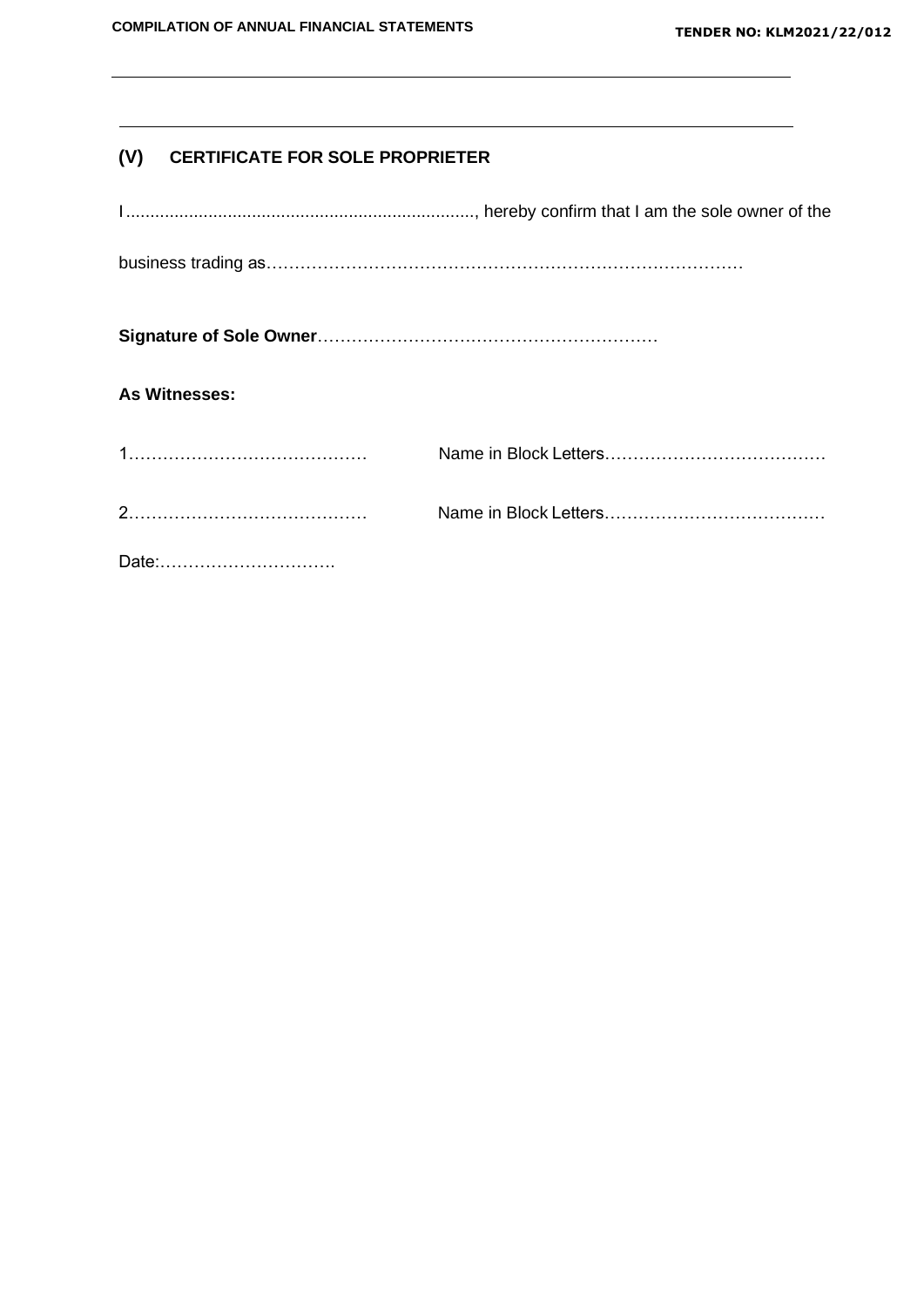# **(V) CERTIFICATE FOR SOLE PROPRIETER**

| As Witnesses: |  |
|---------------|--|
|               |  |
|               |  |
| Date:         |  |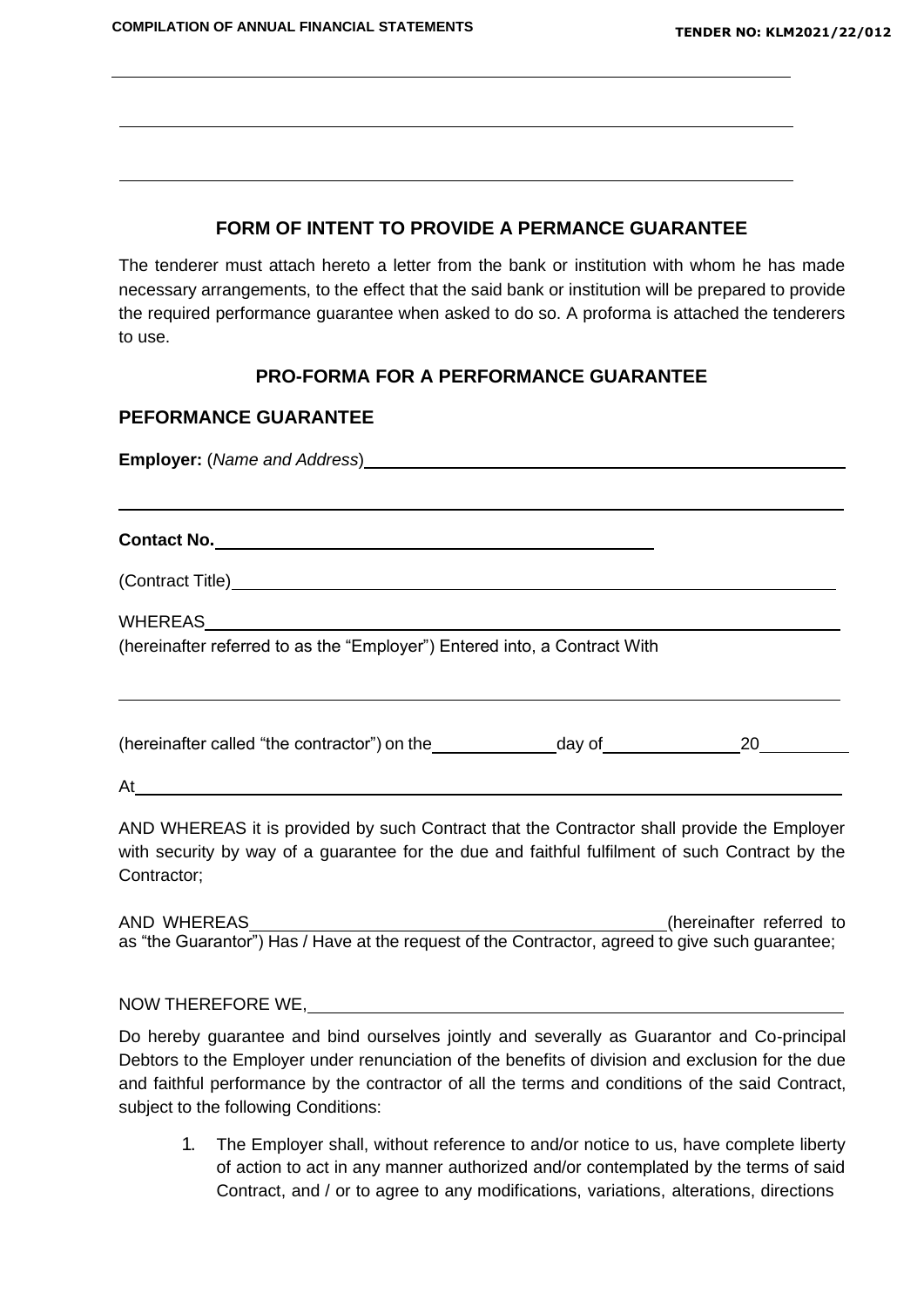# **FORM OF INTENT TO PROVIDE A PERMANCE GUARANTEE**

The tenderer must attach hereto a letter from the bank or institution with whom he has made necessary arrangements, to the effect that the said bank or institution will be prepared to provide the required performance guarantee when asked to do so. A proforma is attached the tenderers to use.

# **PRO-FORMA FOR A PERFORMANCE GUARANTEE**

#### **PEFORMANCE GUARANTEE**

**Employer:** (*Name and Address*)

**Contact No.**

(Contract Title)

WHEREAS

(hereinafter referred to as the "Employer") Entered into, a Contract With

(hereinafter called "the contractor") on the  $\qquad \qquad$  day of  $\qquad \qquad 20$ 

At

AND WHEREAS it is provided by such Contract that the Contractor shall provide the Employer with security by way of a guarantee for the due and faithful fulfilment of such Contract by the Contractor;

AND WHEREAS CONSULTER CONSUMING THE CONSUMING AND WHEREAS as "the Guarantor") Has / Have at the request of the Contractor, agreed to give such guarantee;

NOW THEREFORE WE,

Do hereby guarantee and bind ourselves jointly and severally as Guarantor and Co-principal Debtors to the Employer under renunciation of the benefits of division and exclusion for the due and faithful performance by the contractor of all the terms and conditions of the said Contract, subject to the following Conditions:

1. The Employer shall, without reference to and/or notice to us, have complete liberty of action to act in any manner authorized and/or contemplated by the terms of said Contract, and / or to agree to any modifications, variations, alterations, directions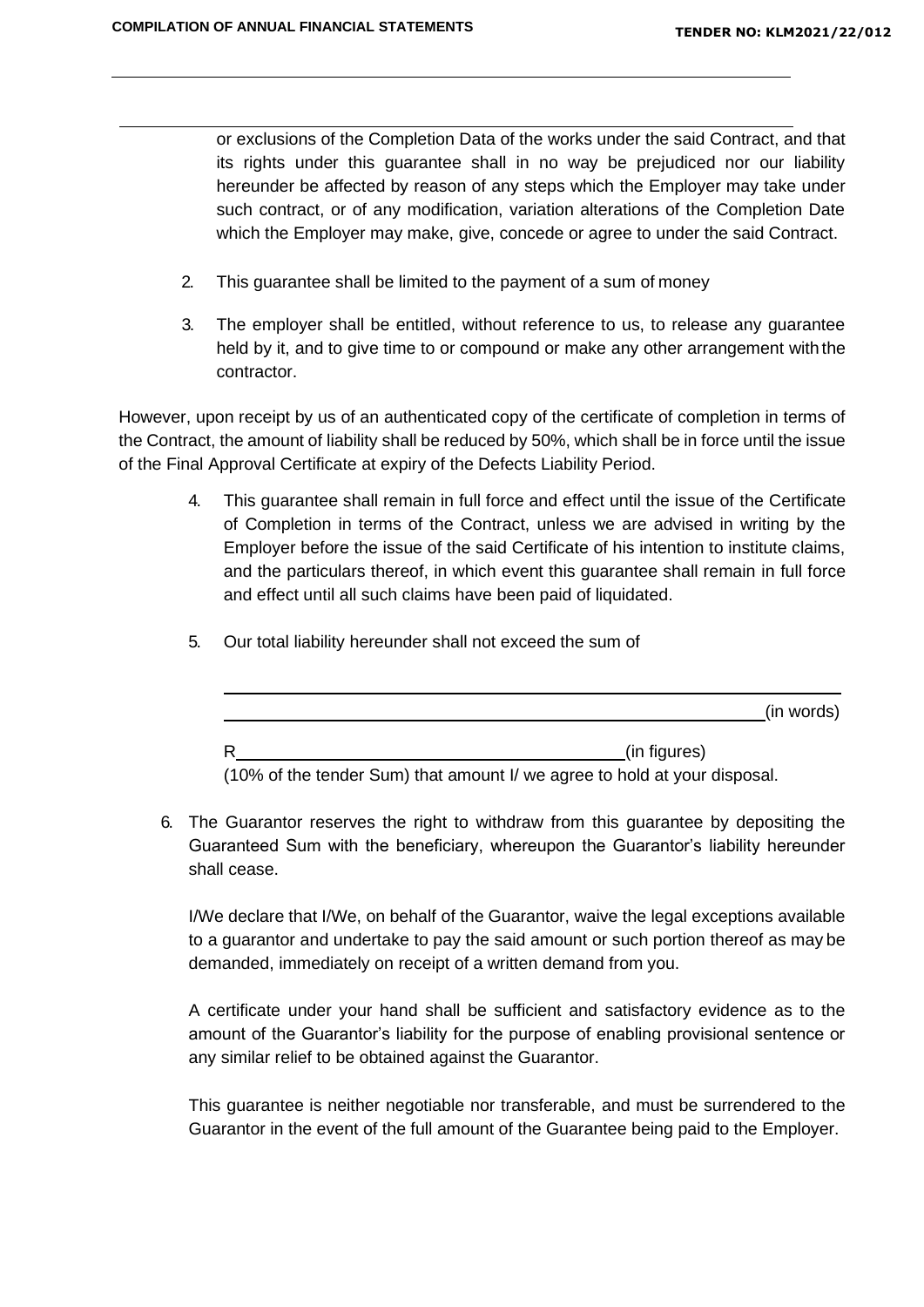or exclusions of the Completion Data of the works under the said Contract, and that its rights under this guarantee shall in no way be prejudiced nor our liability hereunder be affected by reason of any steps which the Employer may take under such contract, or of any modification, variation alterations of the Completion Date which the Employer may make, give, concede or agree to under the said Contract.

- 2. This guarantee shall be limited to the payment of a sum of money
- 3. The employer shall be entitled, without reference to us, to release any guarantee held by it, and to give time to or compound or make any other arrangement with the contractor.

However, upon receipt by us of an authenticated copy of the certificate of completion in terms of the Contract, the amount of liability shall be reduced by 50%, which shall be in force until the issue of the Final Approval Certificate at expiry of the Defects Liability Period.

- 4. This guarantee shall remain in full force and effect until the issue of the Certificate of Completion in terms of the Contract, unless we are advised in writing by the Employer before the issue of the said Certificate of his intention to institute claims, and the particulars thereof, in which event this guarantee shall remain in full force and effect until all such claims have been paid of liquidated.
	- (in words) R (in figures)

5. Our total liability hereunder shall not exceed the sum of

(10% of the tender Sum) that amount I/ we agree to hold at your disposal.

6. The Guarantor reserves the right to withdraw from this guarantee by depositing the Guaranteed Sum with the beneficiary, whereupon the Guarantor's liability hereunder shall cease.

I/We declare that I/We, on behalf of the Guarantor, waive the legal exceptions available to a guarantor and undertake to pay the said amount or such portion thereof as may be demanded, immediately on receipt of a written demand from you.

A certificate under your hand shall be sufficient and satisfactory evidence as to the amount of the Guarantor's liability for the purpose of enabling provisional sentence or any similar relief to be obtained against the Guarantor.

This guarantee is neither negotiable nor transferable, and must be surrendered to the Guarantor in the event of the full amount of the Guarantee being paid to the Employer.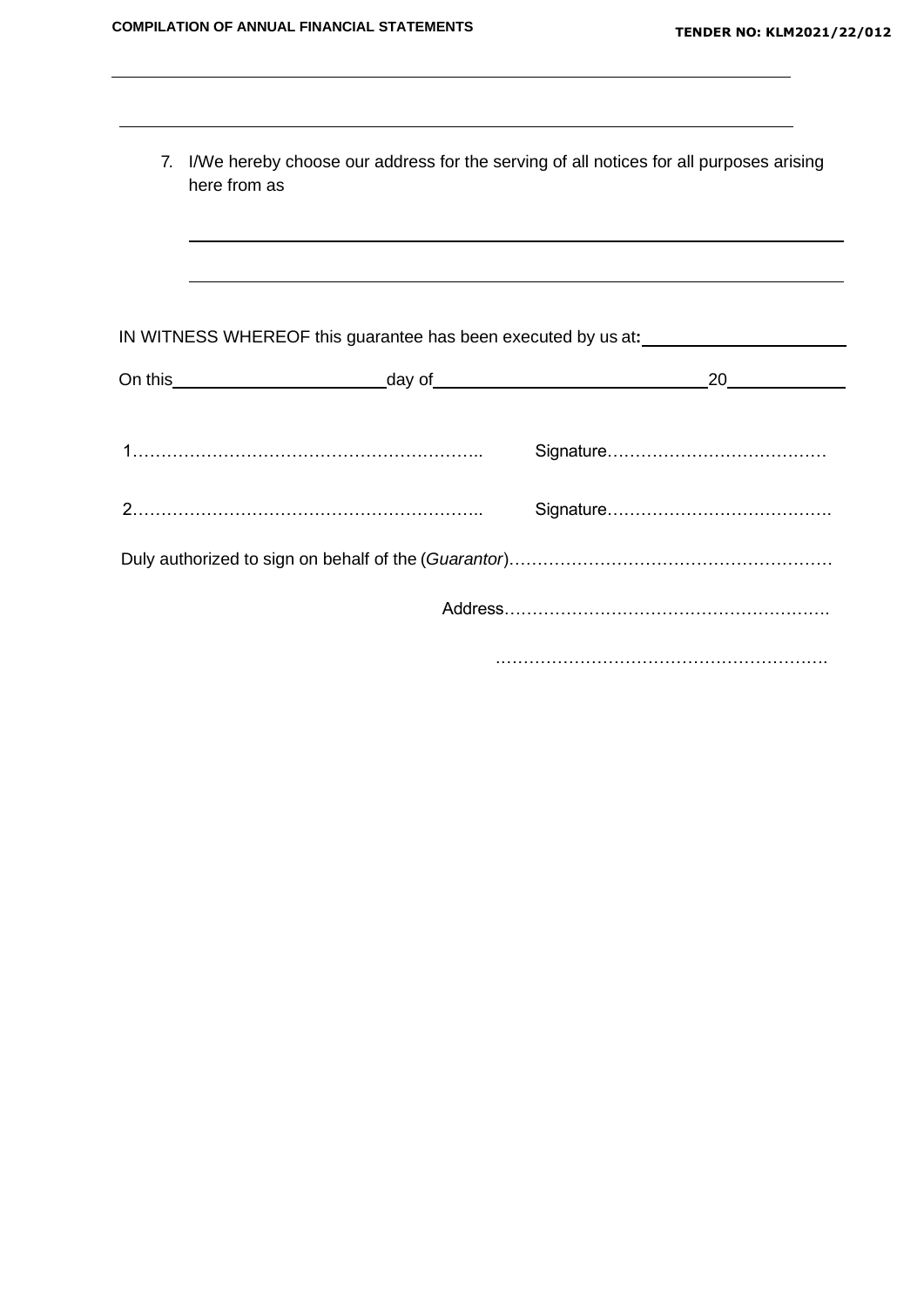| 7. | I/We hereby choose our address for the serving of all notices for all purposes arising<br>here from as                                                                                                                         |                                                                                  |  |  |
|----|--------------------------------------------------------------------------------------------------------------------------------------------------------------------------------------------------------------------------------|----------------------------------------------------------------------------------|--|--|
|    |                                                                                                                                                                                                                                | ,我们也不会有什么。""我们的人,我们也不会有什么?""我们的人,我们也不会有什么?""我们的人,我们也不会有什么?""我们的人,我们也不会有什么?""我们的人 |  |  |
|    | IN WITNESS WHEREOF this guarantee has been executed by us at:                                                                                                                                                                  |                                                                                  |  |  |
|    | On this example and a set of the control of the control of the control of the control of the control of the control of the control of the control of the control of the control of the control of the control of the control o | 20                                                                               |  |  |
|    |                                                                                                                                                                                                                                |                                                                                  |  |  |
|    |                                                                                                                                                                                                                                |                                                                                  |  |  |
|    |                                                                                                                                                                                                                                |                                                                                  |  |  |
|    |                                                                                                                                                                                                                                |                                                                                  |  |  |
|    |                                                                                                                                                                                                                                |                                                                                  |  |  |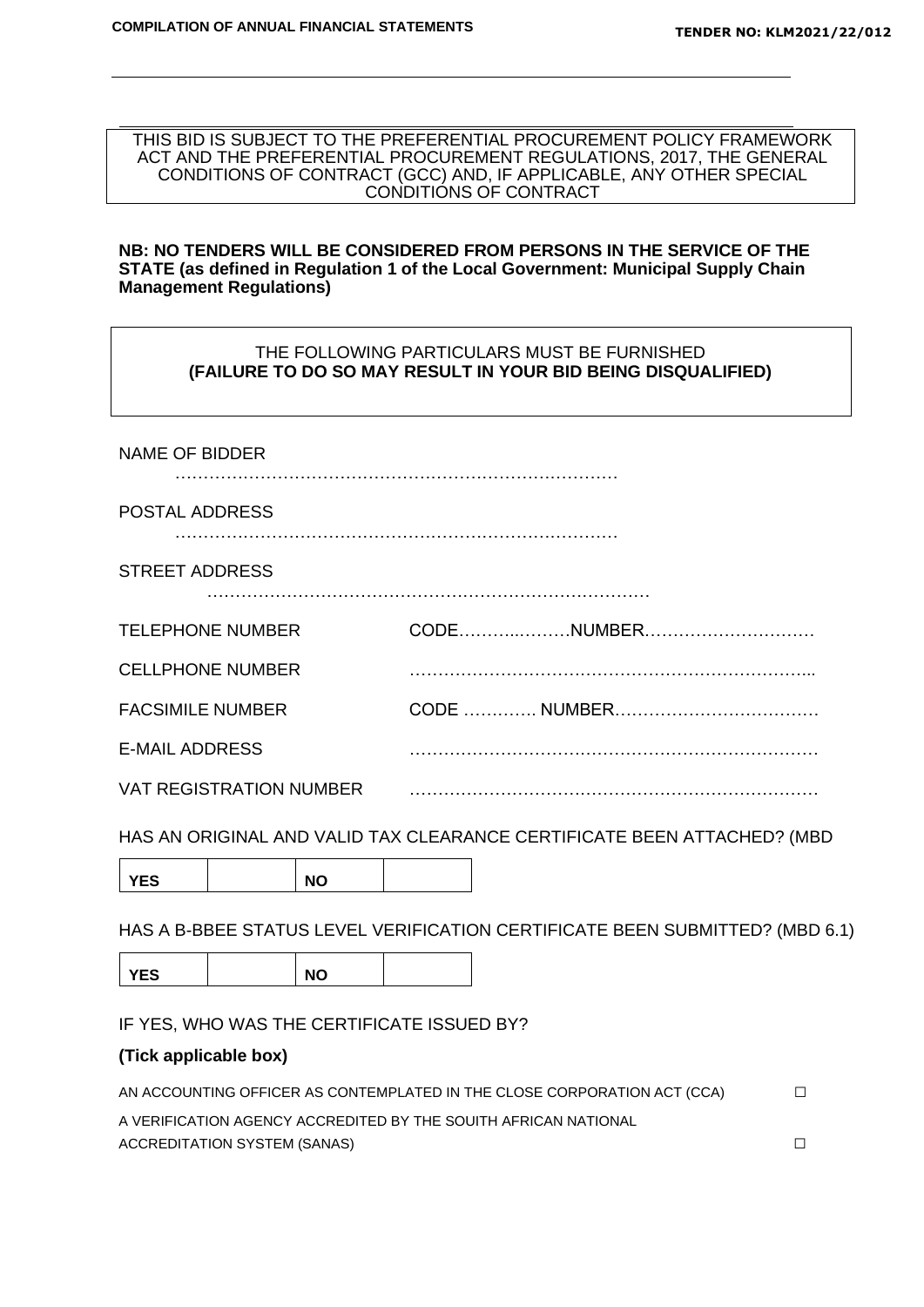THIS BID IS SUBJECT TO THE PREFERENTIAL PROCUREMENT POLICY FRAMEWORK ACT AND THE PREFERENTIAL PROCUREMENT REGULATIONS, 2017, THE GENERAL CONDITIONS OF CONTRACT (GCC) AND, IF APPLICABLE, ANY OTHER SPECIAL CONDITIONS OF CONTRACT

#### **NB: NO TENDERS WILL BE CONSIDERED FROM PERSONS IN THE SERVICE OF THE STATE (as defined in Regulation 1 of the Local Government: Municipal Supply Chain Management Regulations)**

# THE FOLLOWING PARTICULARS MUST BE FURNISHED **(FAILURE TO DO SO MAY RESULT IN YOUR BID BEING DISQUALIFIED)**

| <b>NAME OF BIDDER</b>          |            |
|--------------------------------|------------|
| POSTAL ADDRESS                 |            |
| <b>STREET ADDRESS</b>          |            |
| <b>TELEPHONE NUMBER</b>        | CODENUMBER |
| <b>CELLPHONE NUMBER</b>        |            |
| <b>FACSIMILE NUMBER</b>        |            |
| <b>E-MAIL ADDRESS</b>          |            |
| <b>VAT REGISTRATION NUMBER</b> |            |

HAS AN ORIGINAL AND VALID TAX CLEARANCE CERTIFICATE BEEN ATTACHED? (MBD

YES | NO

HAS A B-BBEE STATUS LEVEL VERIFICATION CERTIFICATE BEEN SUBMITTED? (MBD 6.1)

YES | NO

IF YES, WHO WAS THE CERTIFICATE ISSUED BY?

# **(Tick applicable box)**

| AN ACCOUNTING OFFICER AS CONTEMPLATED IN THE CLOSE CORPORATION ACT (CCA) | П. |
|--------------------------------------------------------------------------|----|
| A VERIFICATION AGENCY ACCREDITED BY THE SOUITH AFRICAN NATIONAL          |    |
| ACCREDITATION SYSTEM (SANAS)                                             |    |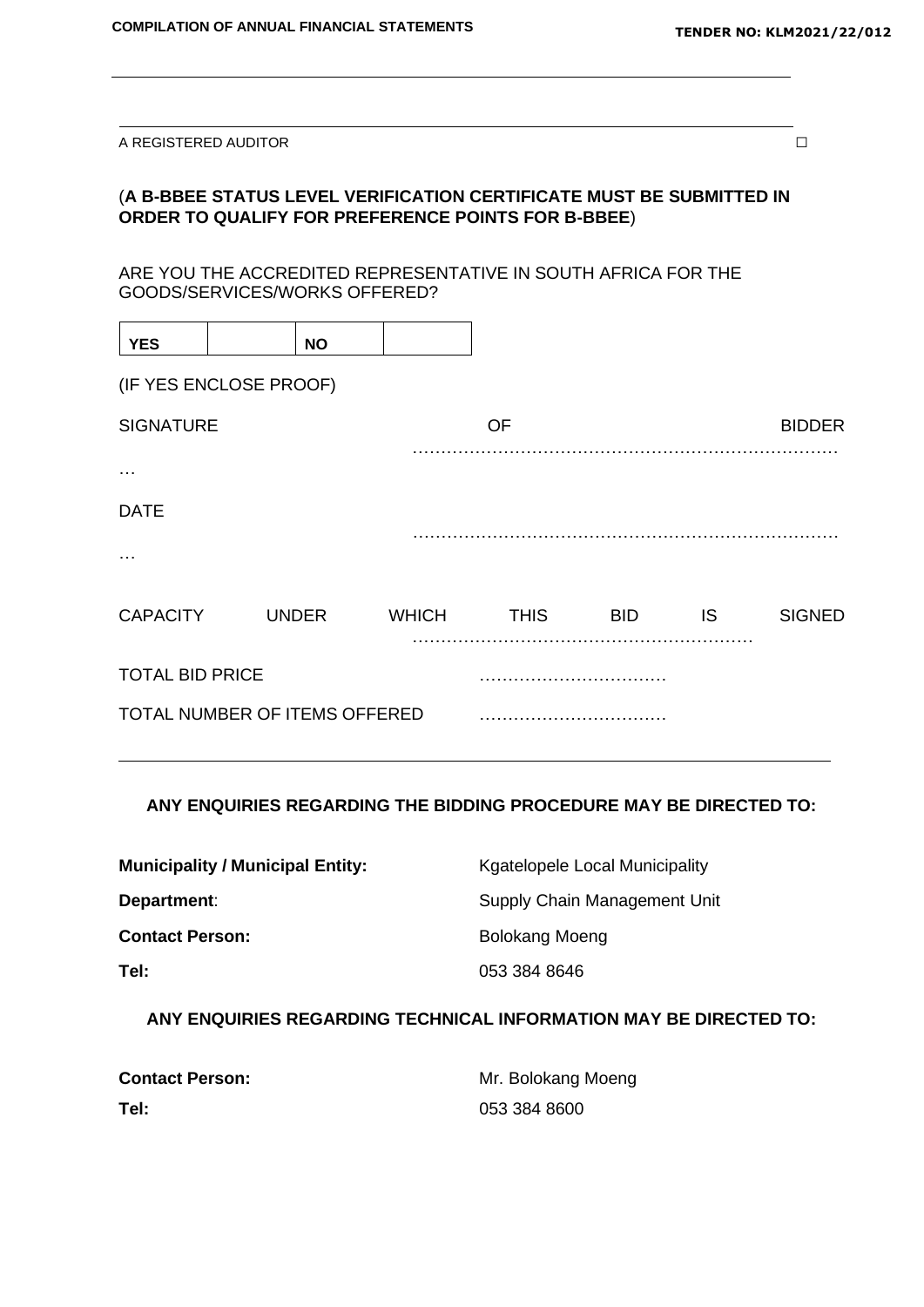A REGISTERED AUDITOR  $\Box$ 

# (**A B-BBEE STATUS LEVEL VERIFICATION CERTIFICATE MUST BE SUBMITTED IN ORDER TO QUALIFY FOR PREFERENCE POINTS FOR B-BBEE**)

# ARE YOU THE ACCREDITED REPRESENTATIVE IN SOUTH AFRICA FOR THE GOODS/SERVICES/WORKS OFFERED?

| <b>YES</b>                    |                        | <b>NO</b>    |              |             |            |           |               |
|-------------------------------|------------------------|--------------|--------------|-------------|------------|-----------|---------------|
|                               | (IF YES ENCLOSE PROOF) |              |              |             |            |           |               |
| <b>SIGNATURE</b>              |                        |              |              | <b>OF</b>   |            |           | <b>BIDDER</b> |
| $\cdots$                      |                        |              |              |             |            |           |               |
| <b>DATE</b>                   |                        |              |              |             |            |           |               |
|                               |                        |              |              |             |            |           |               |
| <b>CAPACITY</b>               |                        | <b>UNDER</b> | <b>WHICH</b> | <b>THIS</b> | <b>BID</b> | <b>IS</b> | <b>SIGNED</b> |
| <b>TOTAL BID PRICE</b>        |                        |              |              |             |            |           |               |
| TOTAL NUMBER OF ITEMS OFFERED |                        |              |              |             |            |           |               |

# **ANY ENQUIRIES REGARDING THE BIDDING PROCEDURE MAY BE DIRECTED TO:**

| <b>Municipality / Municipal Entity:</b> | <b>Kgatelopele Local Municipality</b> |
|-----------------------------------------|---------------------------------------|
| Department:                             | Supply Chain Management Unit          |
| <b>Contact Person:</b>                  | <b>Bolokang Moeng</b>                 |
| Tel:                                    | 053 384 8646                          |

#### **ANY ENQUIRIES REGARDING TECHNICAL INFORMATION MAY BE DIRECTED TO:**

| <b>Contact Person:</b> | Mr. Bolokang Moeng |
|------------------------|--------------------|
| Tel:                   | 053 384 8600       |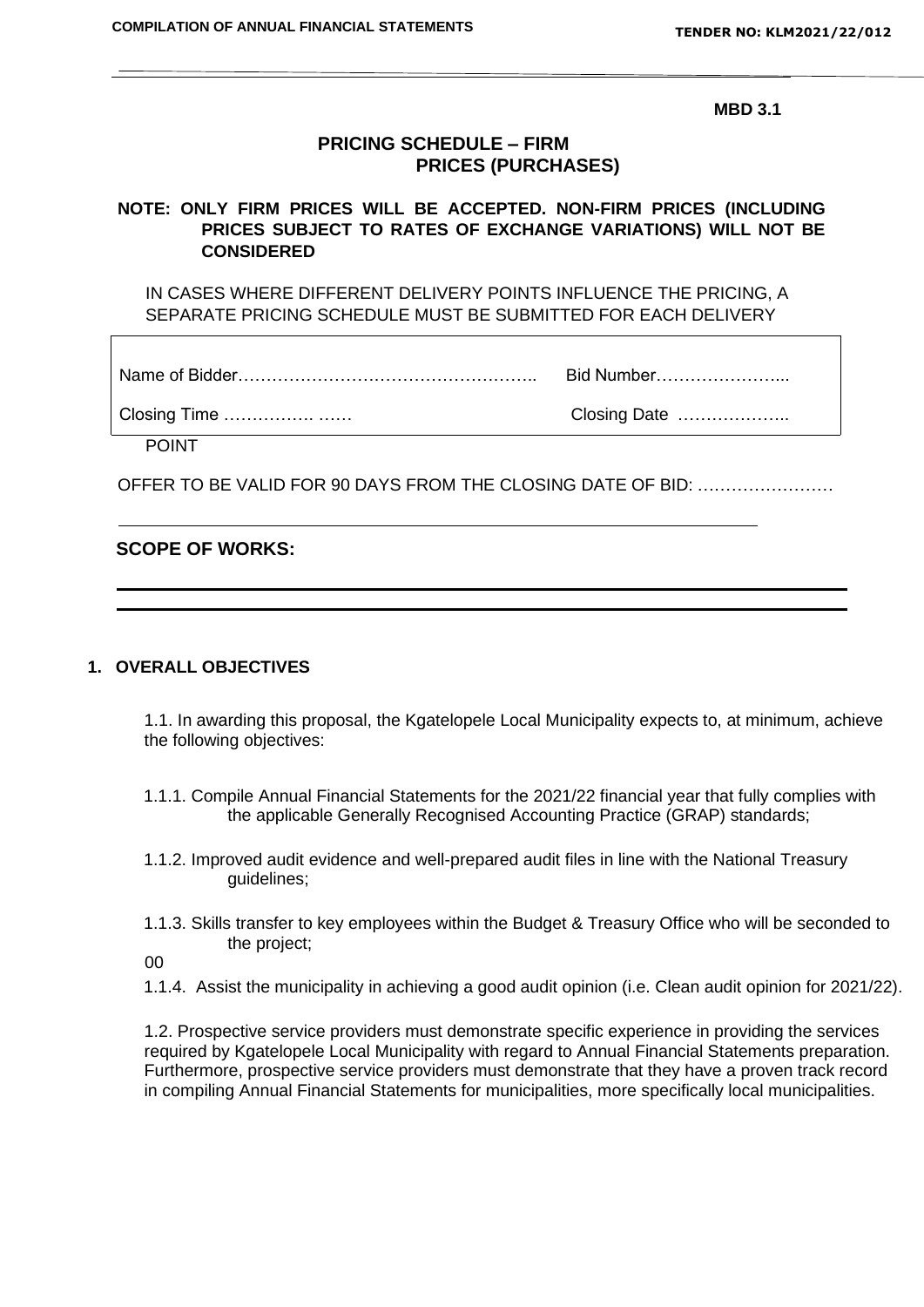**MBD 3.1**

# **PRICING SCHEDULE – FIRM PRICES (PURCHASES)**

# **NOTE: ONLY FIRM PRICES WILL BE ACCEPTED. NON-FIRM PRICES (INCLUDING PRICES SUBJECT TO RATES OF EXCHANGE VARIATIONS) WILL NOT BE CONSIDERED**

IN CASES WHERE DIFFERENT DELIVERY POINTS INFLUENCE THE PRICING, A SEPARATE PRICING SCHEDULE MUST BE SUBMITTED FOR EACH DELIVERY

Name of Bidder…………………………………………….. Bid Number…………………...

Closing Time ……………. …… Closing Date ………………..

POINT

OFFER TO BE VALID FOR 90 DAYS FROM THE CLOSING DATE OF BID: ……………………

# **SCOPE OF WORKS:**

#### **1. OVERALL OBJECTIVES**

1.1. In awarding this proposal, the Kgatelopele Local Municipality expects to, at minimum, achieve the following objectives:

- 1.1.1. Compile Annual Financial Statements for the 2021/22 financial year that fully complies with the applicable Generally Recognised Accounting Practice (GRAP) standards;
- 1.1.2. Improved audit evidence and well-prepared audit files in line with the National Treasury guidelines;
- 1.1.3. Skills transfer to key employees within the Budget & Treasury Office who will be seconded to the project;

 $0<sub>0</sub>$ 

1.1.4. Assist the municipality in achieving a good audit opinion (i.e. Clean audit opinion for 2021/22).

1.2. Prospective service providers must demonstrate specific experience in providing the services required by Kgatelopele Local Municipality with regard to Annual Financial Statements preparation. Furthermore, prospective service providers must demonstrate that they have a proven track record in compiling Annual Financial Statements for municipalities, more specifically local municipalities.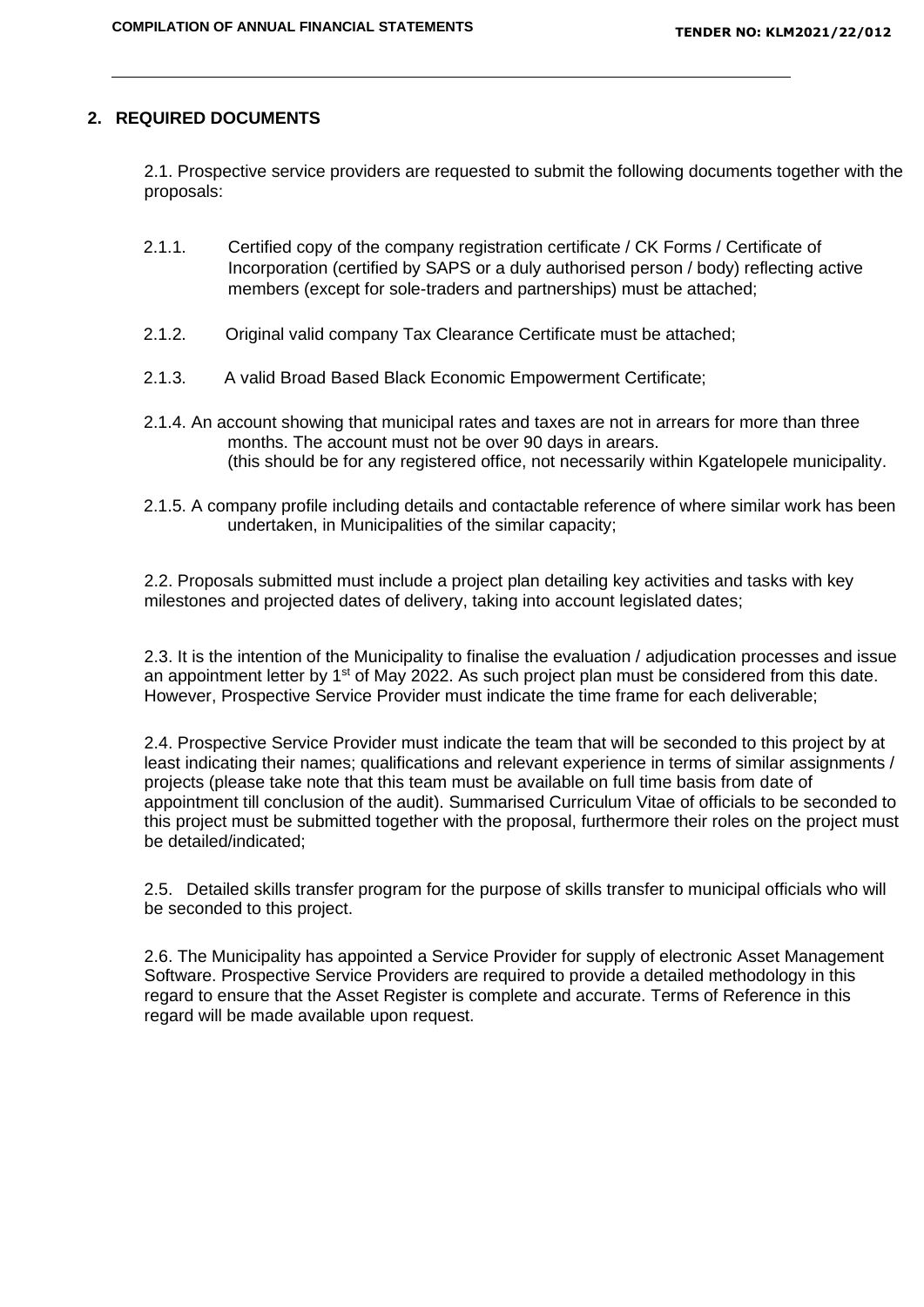# **2. REQUIRED DOCUMENTS**

2.1. Prospective service providers are requested to submit the following documents together with the proposals:

- 2.1.1. Certified copy of the company registration certificate / CK Forms / Certificate of Incorporation (certified by SAPS or a duly authorised person / body) reflecting active members (except for sole-traders and partnerships) must be attached;
- 2.1.2. Original valid company Tax Clearance Certificate must be attached;
- 2.1.3. A valid Broad Based Black Economic Empowerment Certificate;
- 2.1.4. An account showing that municipal rates and taxes are not in arrears for more than three months. The account must not be over 90 days in arears. (this should be for any registered office, not necessarily within Kgatelopele municipality.
- 2.1.5. A company profile including details and contactable reference of where similar work has been undertaken, in Municipalities of the similar capacity;

2.2. Proposals submitted must include a project plan detailing key activities and tasks with key milestones and projected dates of delivery, taking into account legislated dates;

2.3. It is the intention of the Municipality to finalise the evaluation / adjudication processes and issue an appointment letter by  $1<sup>st</sup>$  of May 2022. As such project plan must be considered from this date. However, Prospective Service Provider must indicate the time frame for each deliverable;

2.4. Prospective Service Provider must indicate the team that will be seconded to this project by at least indicating their names; qualifications and relevant experience in terms of similar assignments / projects (please take note that this team must be available on full time basis from date of appointment till conclusion of the audit). Summarised Curriculum Vitae of officials to be seconded to this project must be submitted together with the proposal, furthermore their roles on the project must be detailed/indicated;

2.5. Detailed skills transfer program for the purpose of skills transfer to municipal officials who will be seconded to this project.

2.6. The Municipality has appointed a Service Provider for supply of electronic Asset Management Software. Prospective Service Providers are required to provide a detailed methodology in this regard to ensure that the Asset Register is complete and accurate. Terms of Reference in this regard will be made available upon request.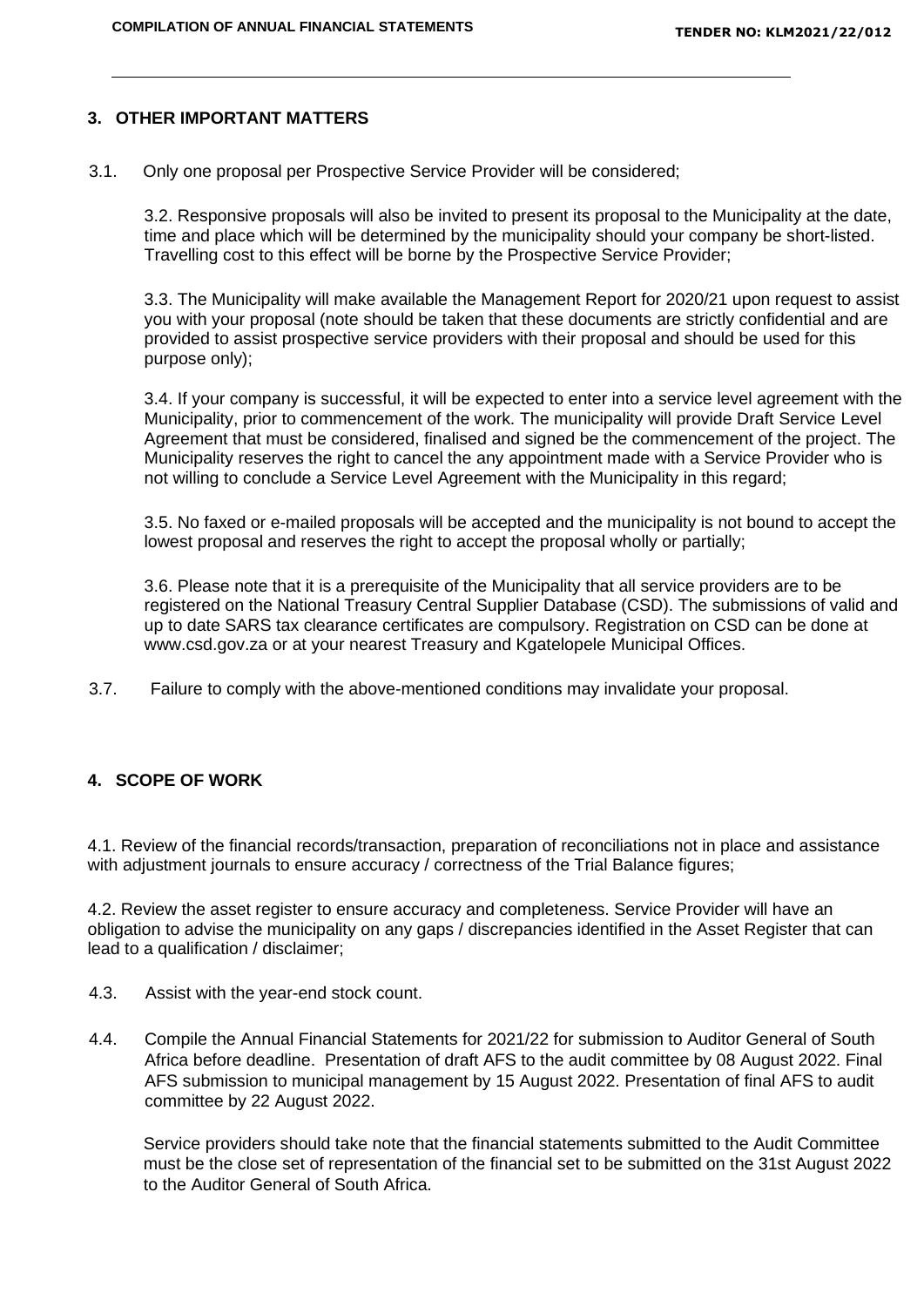# **3. OTHER IMPORTANT MATTERS**

3.1. Only one proposal per Prospective Service Provider will be considered;

3.2. Responsive proposals will also be invited to present its proposal to the Municipality at the date, time and place which will be determined by the municipality should your company be short-listed. Travelling cost to this effect will be borne by the Prospective Service Provider;

3.3. The Municipality will make available the Management Report for 2020/21 upon request to assist you with your proposal (note should be taken that these documents are strictly confidential and are provided to assist prospective service providers with their proposal and should be used for this purpose only);

3.4. If your company is successful, it will be expected to enter into a service level agreement with the Municipality, prior to commencement of the work. The municipality will provide Draft Service Level Agreement that must be considered, finalised and signed be the commencement of the project. The Municipality reserves the right to cancel the any appointment made with a Service Provider who is not willing to conclude a Service Level Agreement with the Municipality in this regard;

3.5. No faxed or e-mailed proposals will be accepted and the municipality is not bound to accept the lowest proposal and reserves the right to accept the proposal wholly or partially;

3.6. Please note that it is a prerequisite of the Municipality that all service providers are to be registered on the National Treasury Central Supplier Database (CSD). The submissions of valid and up to date SARS tax clearance certificates are compulsory. Registration on CSD can be done at www.csd.gov.za or at your nearest Treasury and Kgatelopele Municipal Offices.

3.7. Failure to comply with the above-mentioned conditions may invalidate your proposal.

# **4. SCOPE OF WORK**

4.1. Review of the financial records/transaction, preparation of reconciliations not in place and assistance with adjustment journals to ensure accuracy / correctness of the Trial Balance figures;

4.2. Review the asset register to ensure accuracy and completeness. Service Provider will have an obligation to advise the municipality on any gaps / discrepancies identified in the Asset Register that can lead to a qualification / disclaimer;

- 4.3. Assist with the year-end stock count.
- 4.4. Compile the Annual Financial Statements for 2021/22 for submission to Auditor General of South Africa before deadline. Presentation of draft AFS to the audit committee by 08 August 2022. Final AFS submission to municipal management by 15 August 2022. Presentation of final AFS to audit committee by 22 August 2022.

Service providers should take note that the financial statements submitted to the Audit Committee must be the close set of representation of the financial set to be submitted on the 31st August 2022 to the Auditor General of South Africa.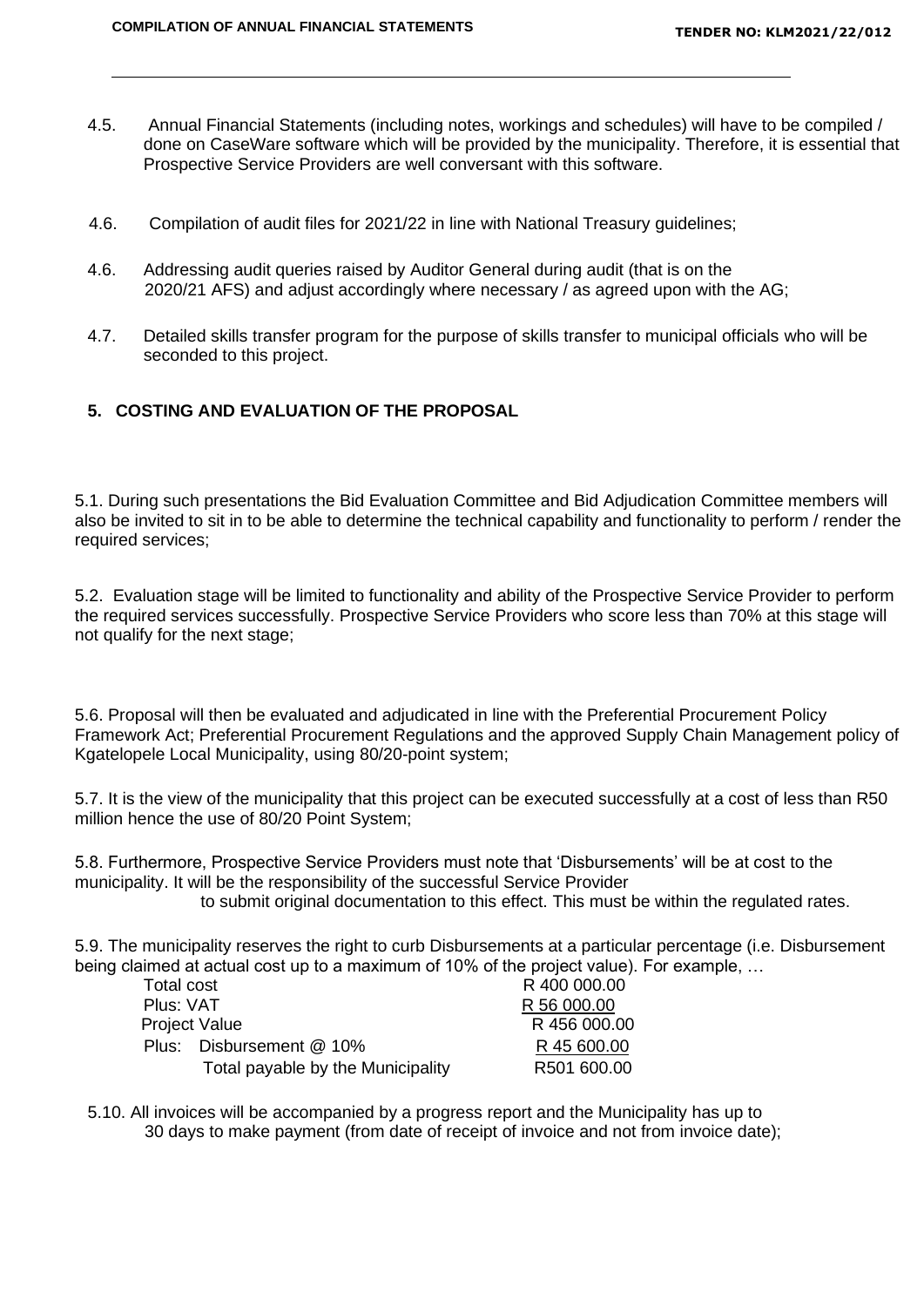- 4.5. Annual Financial Statements (including notes, workings and schedules) will have to be compiled / done on CaseWare software which will be provided by the municipality. Therefore, it is essential that Prospective Service Providers are well conversant with this software.
- 4.6. Compilation of audit files for 2021/22 in line with National Treasury guidelines;
- 4.6. Addressing audit queries raised by Auditor General during audit (that is on the 2020/21 AFS) and adjust accordingly where necessary / as agreed upon with the AG;
- 4.7. Detailed skills transfer program for the purpose of skills transfer to municipal officials who will be seconded to this project.

# **5. COSTING AND EVALUATION OF THE PROPOSAL**

5.1. During such presentations the Bid Evaluation Committee and Bid Adjudication Committee members will also be invited to sit in to be able to determine the technical capability and functionality to perform / render the required services;

5.2. Evaluation stage will be limited to functionality and ability of the Prospective Service Provider to perform the required services successfully. Prospective Service Providers who score less than 70% at this stage will not qualify for the next stage;

5.6. Proposal will then be evaluated and adjudicated in line with the Preferential Procurement Policy Framework Act; Preferential Procurement Regulations and the approved Supply Chain Management policy of Kgatelopele Local Municipality, using 80/20-point system;

5.7. It is the view of the municipality that this project can be executed successfully at a cost of less than R50 million hence the use of 80/20 Point System;

5.8. Furthermore, Prospective Service Providers must note that 'Disbursements' will be at cost to the municipality. It will be the responsibility of the successful Service Provider to submit original documentation to this effect. This must be within the regulated rates.

5.9. The municipality reserves the right to curb Disbursements at a particular percentage (i.e. Disbursement being claimed at actual cost up to a maximum of 10% of the project value). For example, …

| Total cost                        | R 400 000.00 |
|-----------------------------------|--------------|
| Plus: VAT                         | R 56 000.00  |
| <b>Project Value</b>              | R 456 000.00 |
| Plus: Disbursement @ 10%          | R 45 600.00  |
| Total payable by the Municipality | R501 600.00  |
|                                   |              |

5.10. All invoices will be accompanied by a progress report and the Municipality has up to 30 days to make payment (from date of receipt of invoice and not from invoice date);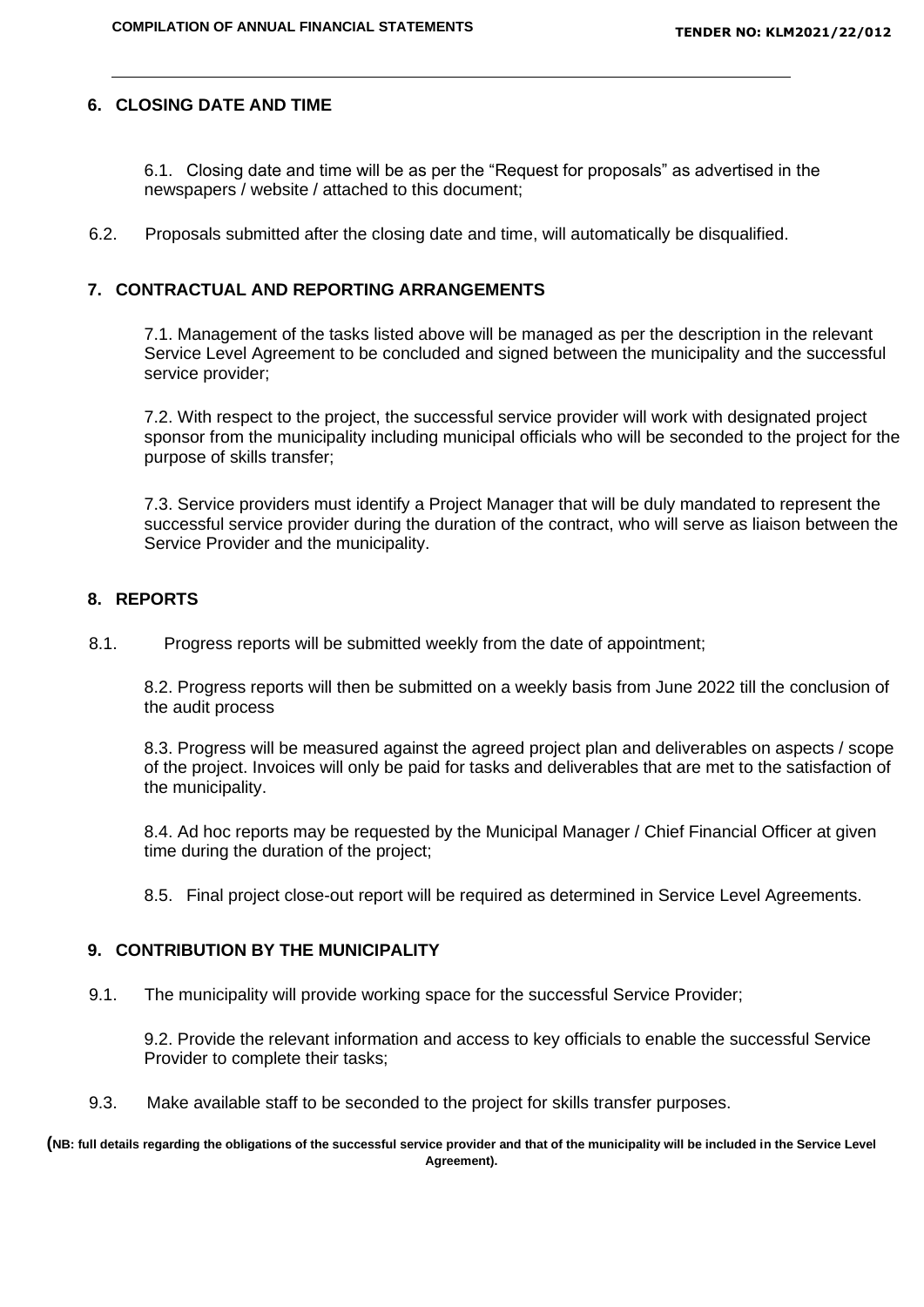#### **6. CLOSING DATE AND TIME**

6.1. Closing date and time will be as per the "Request for proposals" as advertised in the newspapers / website / attached to this document;

6.2. Proposals submitted after the closing date and time, will automatically be disqualified.

# **7. CONTRACTUAL AND REPORTING ARRANGEMENTS**

7.1. Management of the tasks listed above will be managed as per the description in the relevant Service Level Agreement to be concluded and signed between the municipality and the successful service provider;

7.2. With respect to the project, the successful service provider will work with designated project sponsor from the municipality including municipal officials who will be seconded to the project for the purpose of skills transfer;

7.3. Service providers must identify a Project Manager that will be duly mandated to represent the successful service provider during the duration of the contract, who will serve as liaison between the Service Provider and the municipality.

# **8. REPORTS**

8.1. Progress reports will be submitted weekly from the date of appointment;

8.2. Progress reports will then be submitted on a weekly basis from June 2022 till the conclusion of the audit process

8.3. Progress will be measured against the agreed project plan and deliverables on aspects / scope of the project. Invoices will only be paid for tasks and deliverables that are met to the satisfaction of the municipality.

8.4. Ad hoc reports may be requested by the Municipal Manager / Chief Financial Officer at given time during the duration of the project;

8.5. Final project close-out report will be required as determined in Service Level Agreements.

# **9. CONTRIBUTION BY THE MUNICIPALITY**

9.1. The municipality will provide working space for the successful Service Provider;

9.2. Provide the relevant information and access to key officials to enable the successful Service Provider to complete their tasks;

9.3. Make available staff to be seconded to the project for skills transfer purposes.

#### **(NB: full details regarding the obligations of the successful service provider and that of the municipality will be included in the Service Level Agreement).**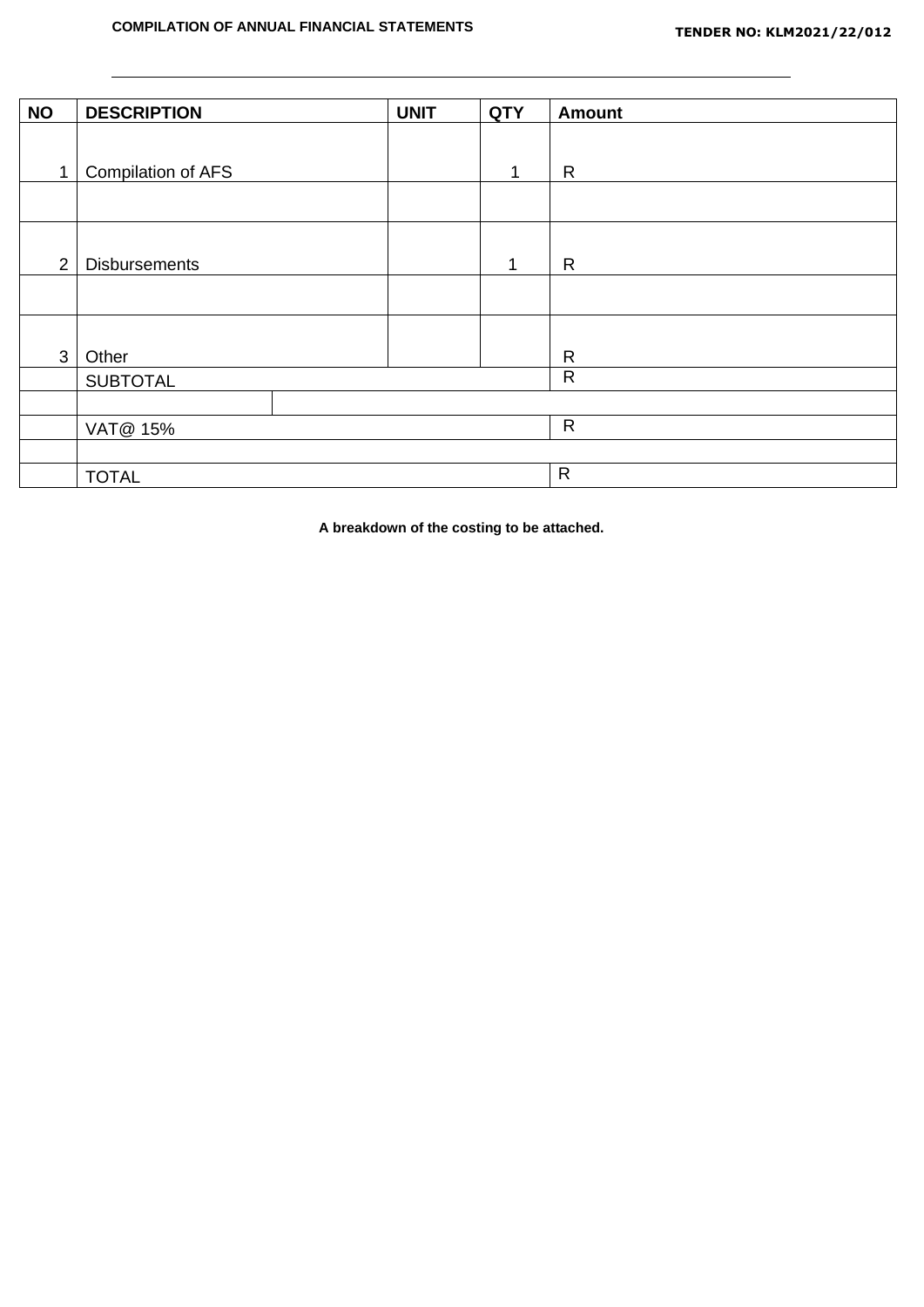| <b>NO</b>      | <b>DESCRIPTION</b>   | <b>UNIT</b> | <b>QTY</b> | <b>Amount</b> |
|----------------|----------------------|-------------|------------|---------------|
|                |                      |             |            |               |
| 1              | Compilation of AFS   |             | 1          | $\mathsf{R}$  |
|                |                      |             |            |               |
|                |                      |             |            |               |
| $\overline{2}$ | <b>Disbursements</b> |             | 1          | $\mathsf{R}$  |
|                |                      |             |            |               |
|                |                      |             |            |               |
| 3 <sup>1</sup> | Other                |             |            | $\mathsf{R}$  |
|                | <b>SUBTOTAL</b>      |             |            | $\mathsf{R}$  |
|                |                      |             |            |               |
|                | VAT@ 15%             |             |            | $\mathsf{R}$  |
|                |                      |             |            |               |
|                | <b>TOTAL</b>         |             |            | $\mathsf{R}$  |

**A breakdown of the costing to be attached.**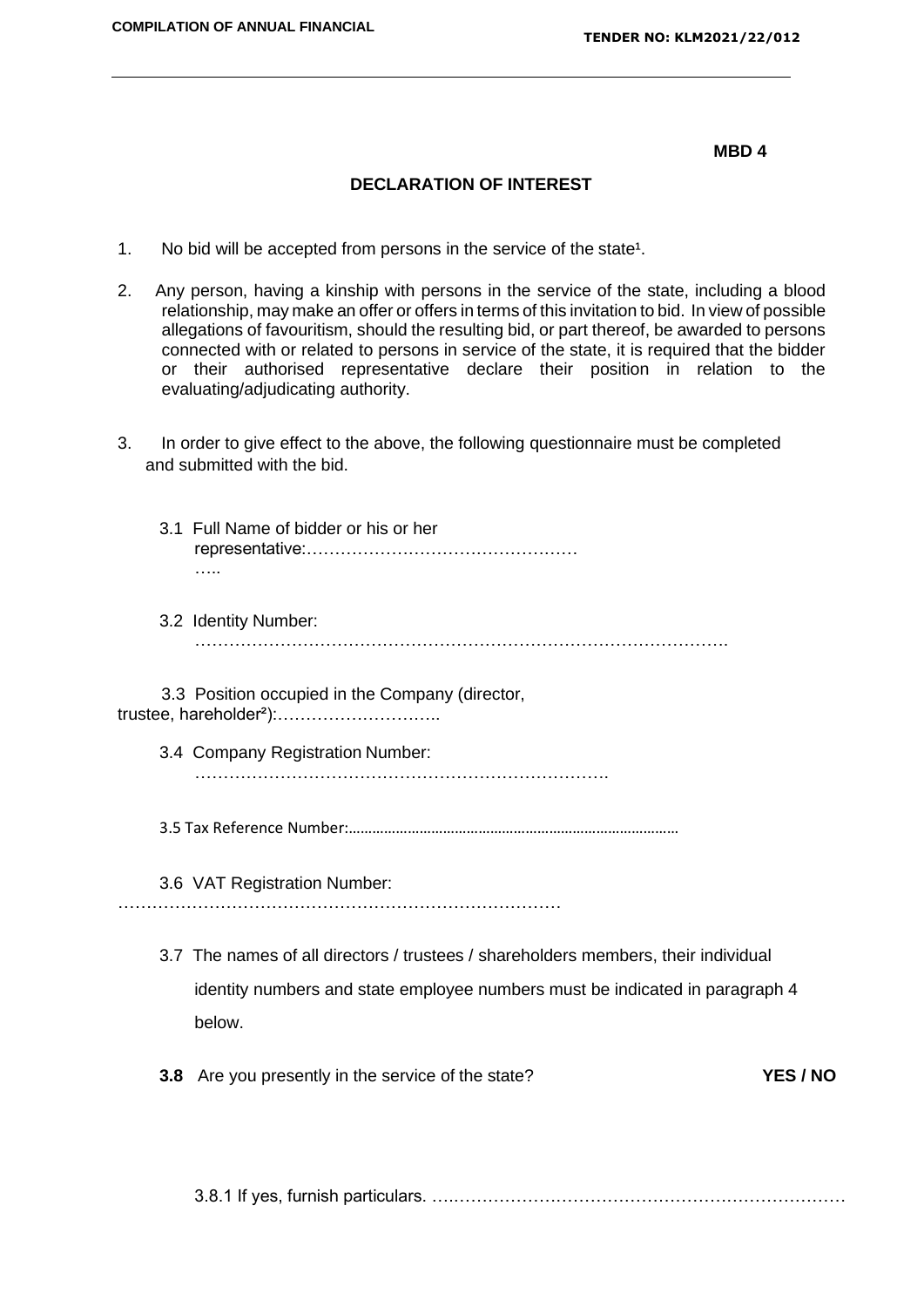#### **MBD 4**

#### **DECLARATION OF INTEREST**

- 1. No bid will be accepted from persons in the service of the state<sup>1</sup>.
- 2. Any person, having a kinship with persons in the service of the state, including a blood relationship, may make an offer or offers in terms of this invitation to bid. In view of possible allegations of favouritism, should the resulting bid, or part thereof, be awarded to persons connected with or related to persons in service of the state, it is required that the bidder or their authorised representative declare their position in relation to the evaluating/adjudicating authority.
- 3. In order to give effect to the above, the following questionnaire must be completed and submitted with the bid.
	- 3.1 Full Name of bidder or his or her representative:………………………………………… …..
	- 3.2 Identity Number: ………………………………………………………………………………….

3.3 Position occupied in the Company (director, trustee, hareholder²):………………………..

- 3.4 Company Registration Number: ……………………………………………………………….
- 3.5 Tax Reference Number:…………………………………………………………………………
- 3.6 VAT Registration Number:

……………………………………………………………………

- 3.7 The names of all directors / trustees / shareholders members, their individual identity numbers and state employee numbers must be indicated in paragraph 4 below.
- **3.8** Are you presently in the service of the state? **YES / NO**

3.8.1 If yes, furnish particulars. ….……………………………………………………………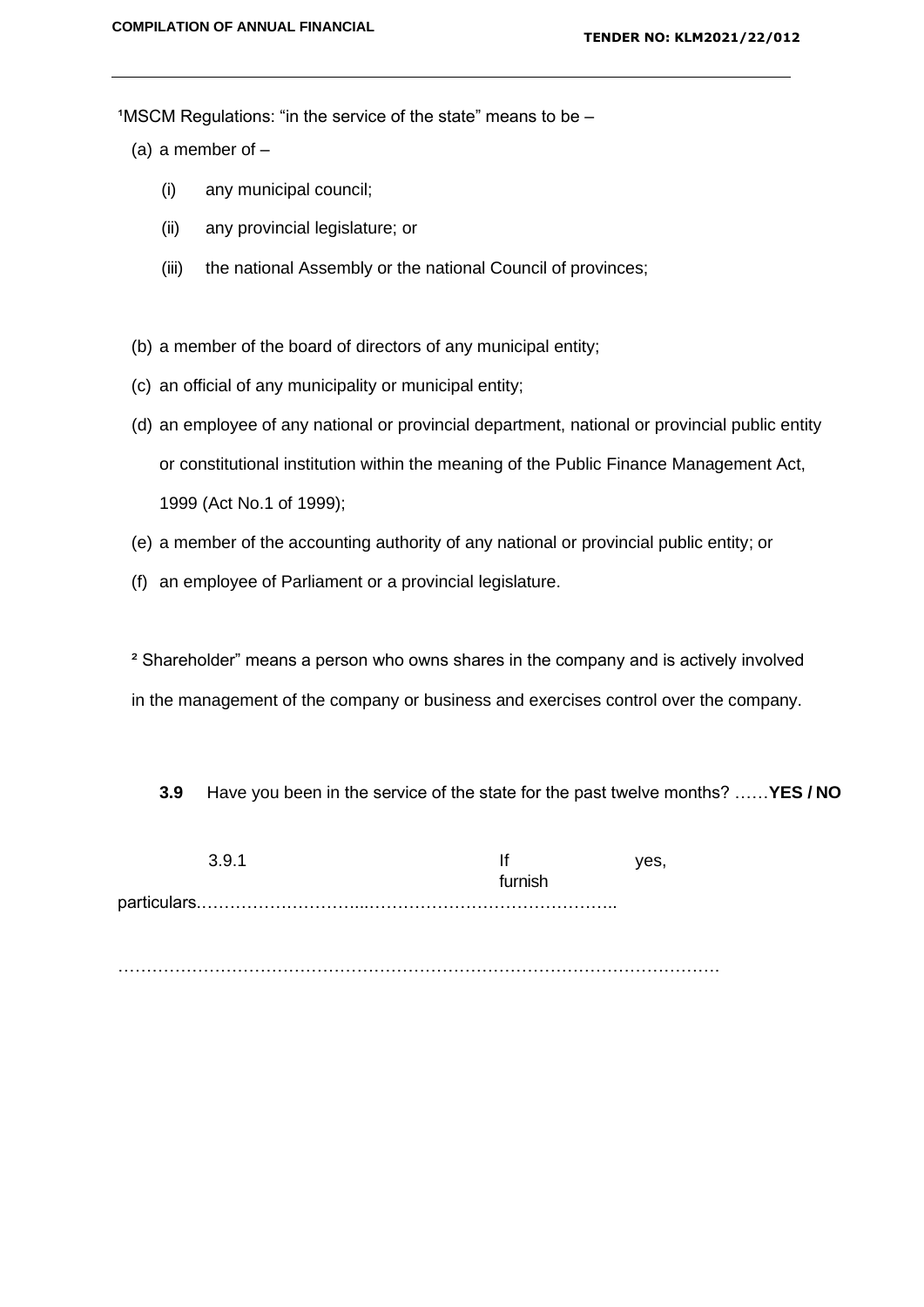$1$ MSCM Regulations: "in the service of the state" means to be  $-$ 

- (a) a member of  $-$ 
	- (i) any municipal council;
	- (ii) any provincial legislature; or
	- (iii) the national Assembly or the national Council of provinces;
- (b) a member of the board of directors of any municipal entity;
- (c) an official of any municipality or municipal entity;
- (d) an employee of any national or provincial department, national or provincial public entity or constitutional institution within the meaning of the Public Finance Management Act, 1999 (Act No.1 of 1999);
- (e) a member of the accounting authority of any national or provincial public entity; or
- (f) an employee of Parliament or a provincial legislature.

² Shareholder" means a person who owns shares in the company and is actively involved in the management of the company or business and exercises control over the company.

**3.9** Have you been in the service of the state for the past twelve months? ……**YES / NO**

| -3.9.1 |         | 'es |
|--------|---------|-----|
|        | furnish |     |
|        |         |     |

…………………………………………………………………………………………….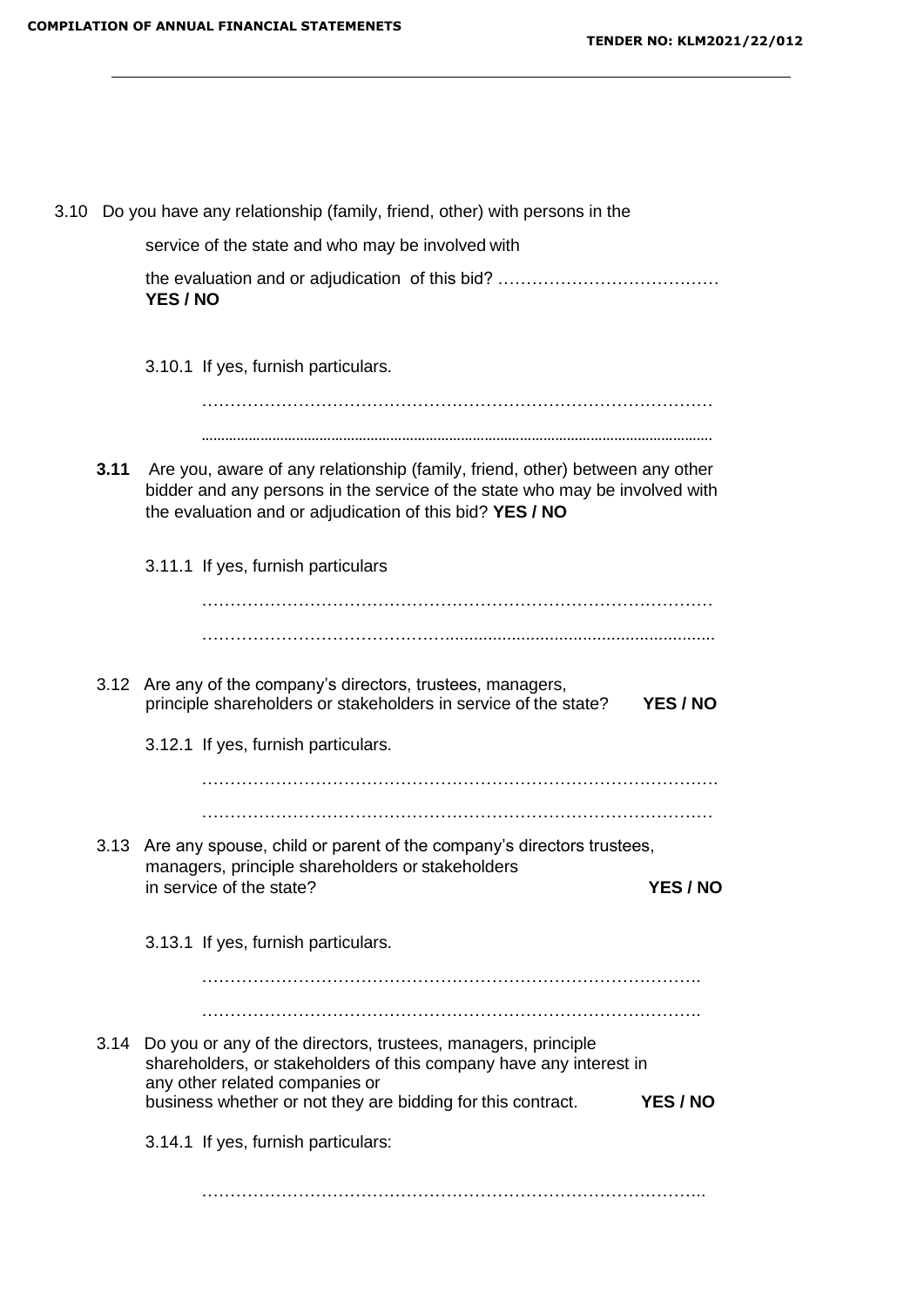| 3.10 |      | Do you have any relationship (family, friend, other) with persons in the                                                                                                                                                |          |
|------|------|-------------------------------------------------------------------------------------------------------------------------------------------------------------------------------------------------------------------------|----------|
|      |      | service of the state and who may be involved with                                                                                                                                                                       |          |
|      |      | YES / NO                                                                                                                                                                                                                |          |
|      |      | 3.10.1 If yes, furnish particulars.                                                                                                                                                                                     |          |
|      | 3.11 | Are you, aware of any relationship (family, friend, other) between any other<br>bidder and any persons in the service of the state who may be involved with<br>the evaluation and or adjudication of this bid? YES / NO |          |
|      |      | 3.11.1 If yes, furnish particulars                                                                                                                                                                                      |          |
|      |      | 3.12 Are any of the company's directors, trustees, managers,                                                                                                                                                            | YES / NO |
|      |      | principle shareholders or stakeholders in service of the state?<br>3.12.1 If yes, furnish particulars.                                                                                                                  |          |
|      |      |                                                                                                                                                                                                                         |          |
|      |      | 3.13 Are any spouse, child or parent of the company's directors trustees,<br>managers, principle shareholders or stakeholders<br>in service of the state?                                                               | YES / NO |
|      |      | 3.13.1 If yes, furnish particulars.                                                                                                                                                                                     |          |
|      |      | 3.14 Do you or any of the directors, trustees, managers, principle<br>shareholders, or stakeholders of this company have any interest in<br>any other related companies or                                              |          |
|      |      | business whether or not they are bidding for this contract.<br>3.14.1 If yes, furnish particulars:                                                                                                                      | YES / NO |
|      |      |                                                                                                                                                                                                                         |          |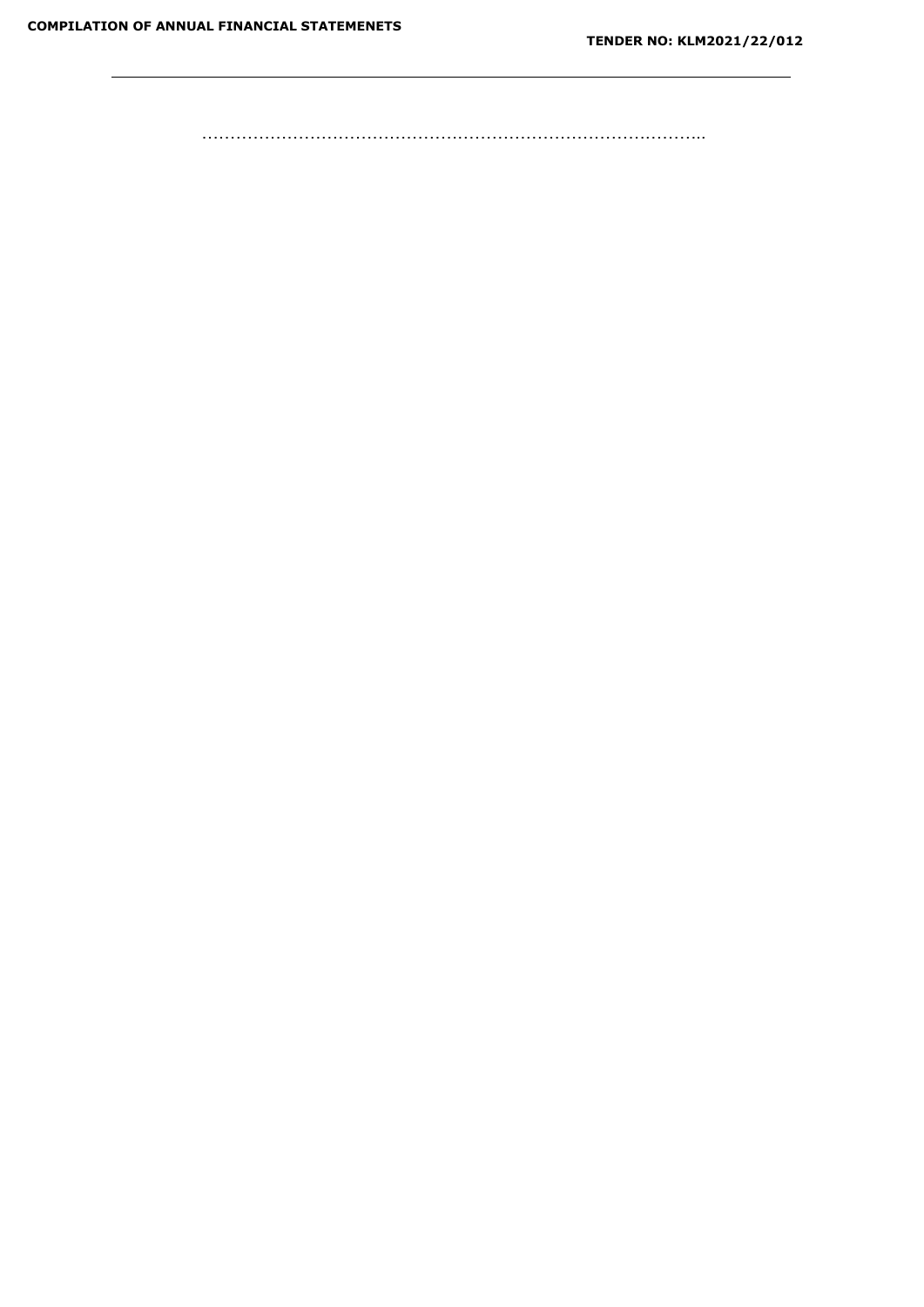……………………………………………………………………………..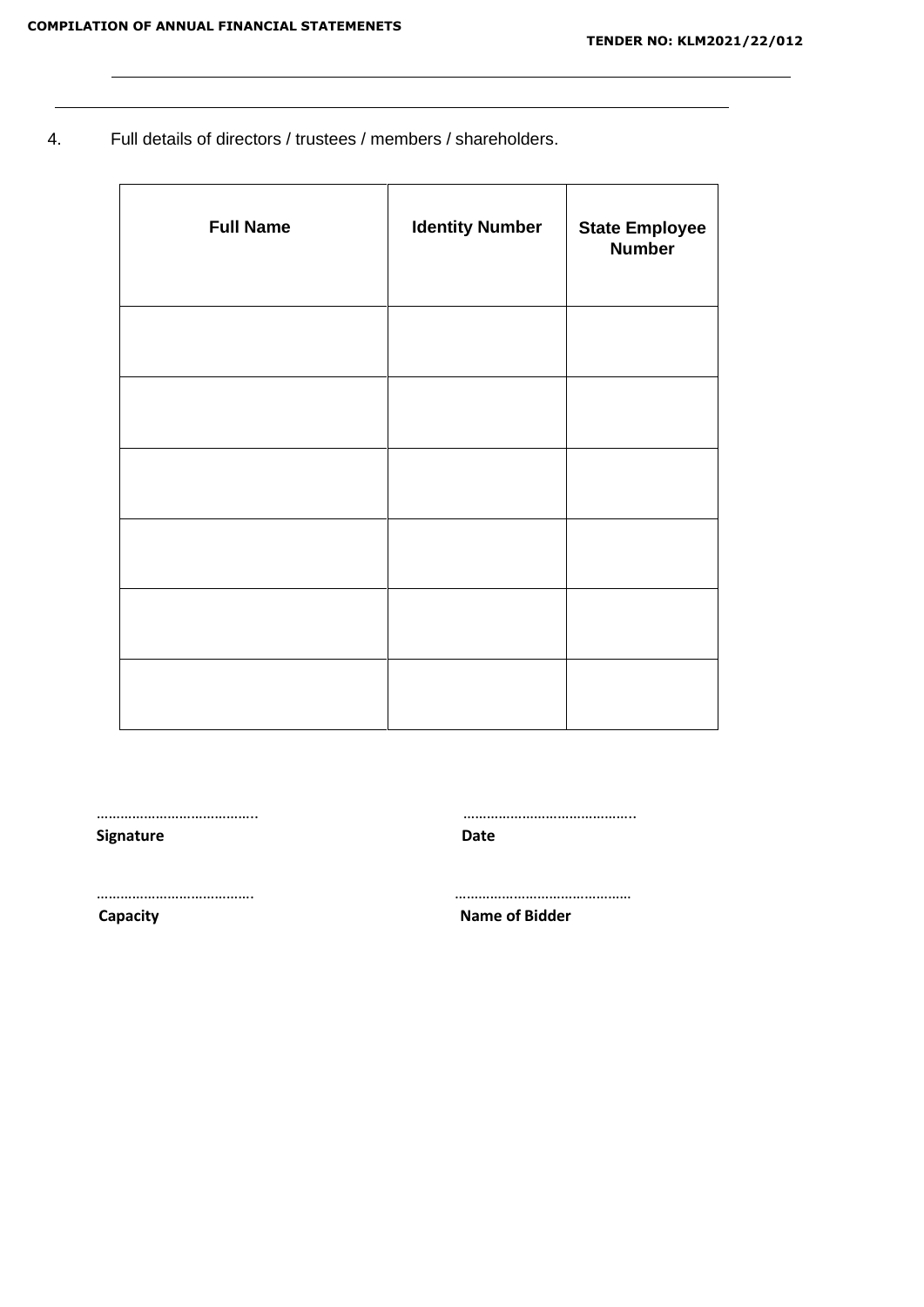4. Full details of directors / trustees / members / shareholders.

| <b>Full Name</b> | <b>Identity Number</b> | <b>State Employee</b><br><b>Number</b> |
|------------------|------------------------|----------------------------------------|
|                  |                        |                                        |
|                  |                        |                                        |
|                  |                        |                                        |
|                  |                        |                                        |
|                  |                        |                                        |
|                  |                        |                                        |

………………………………….. …………………………………….. **Signature Date** …………………………………. ……………………………………… **Capacity Name of Bidder**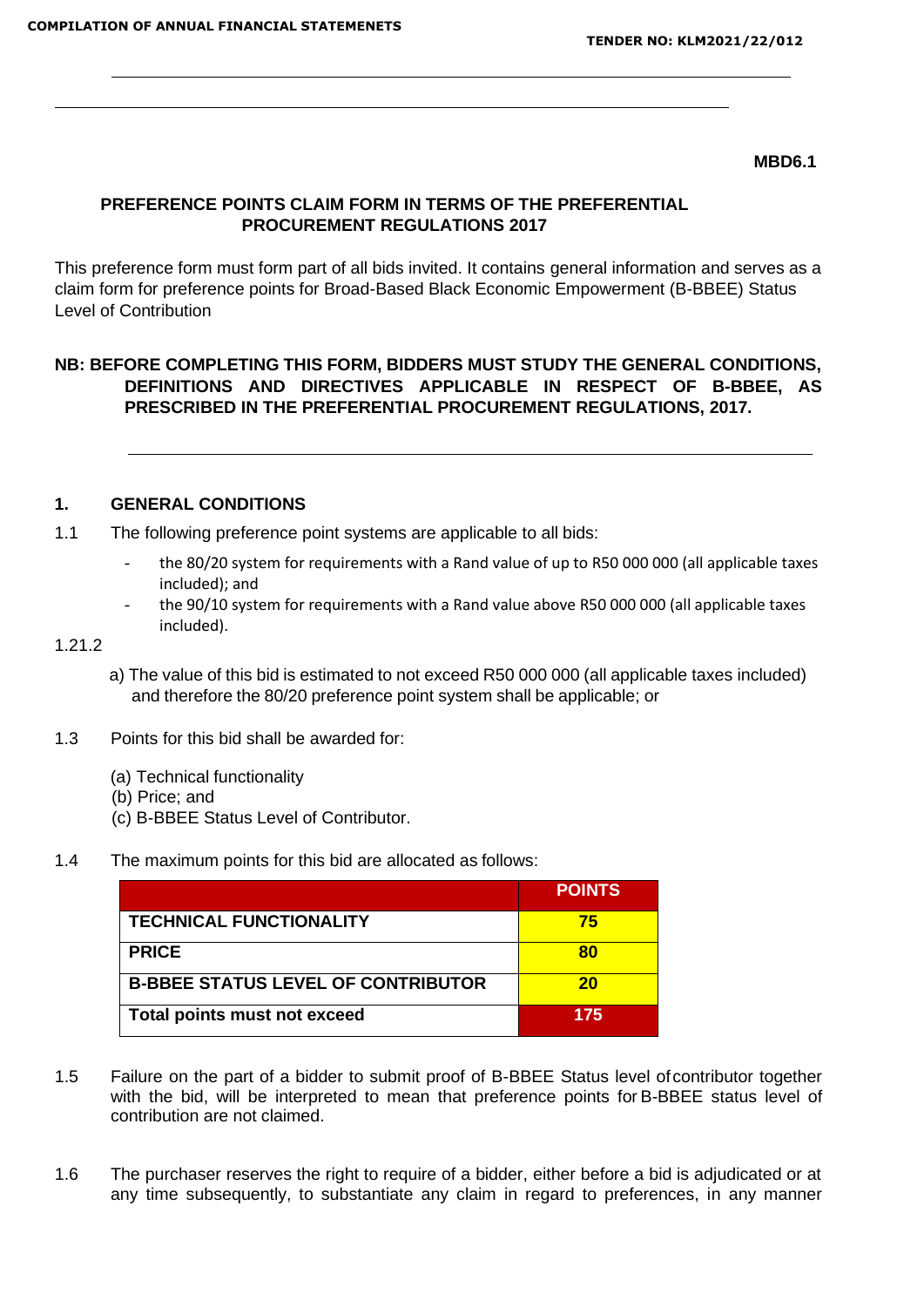#### **MBD6.1**

#### **PREFERENCE POINTS CLAIM FORM IN TERMS OF THE PREFERENTIAL PROCUREMENT REGULATIONS 2017**

This preference form must form part of all bids invited. It contains general information and serves as a claim form for preference points for Broad-Based Black Economic Empowerment (B-BBEE) Status Level of Contribution

# **NB: BEFORE COMPLETING THIS FORM, BIDDERS MUST STUDY THE GENERAL CONDITIONS, DEFINITIONS AND DIRECTIVES APPLICABLE IN RESPECT OF B-BBEE, AS PRESCRIBED IN THE PREFERENTIAL PROCUREMENT REGULATIONS, 2017.**

## **1. GENERAL CONDITIONS**

1.1 The following preference point systems are applicable to all bids:

- the 80/20 system for requirements with a Rand value of up to R50 000 000 (all applicable taxes included); and
- the 90/10 system for requirements with a Rand value above R50 000 000 (all applicable taxes included).

#### 1.21.2

- a) The value of this bid is estimated to not exceed R50 000 000 (all applicable taxes included) and therefore the 80/20 preference point system shall be applicable; or
- 1.3 Points for this bid shall be awarded for:
	- (a) Technical functionality
	- (b) Price; and
	- (c) B-BBEE Status Level of Contributor.
- 1.4 The maximum points for this bid are allocated as follows:

|                                           | <b>POINTS</b> |
|-------------------------------------------|---------------|
| <b>TECHNICAL FUNCTIONALITY</b>            | 75            |
| <b>PRICE</b>                              | 80            |
| <b>B-BBEE STATUS LEVEL OF CONTRIBUTOR</b> | <b>20</b>     |
| Total points must not exceed              | 175           |

- 1.5 Failure on the part of a bidder to submit proof of B-BBEE Status level ofcontributor together with the bid, will be interpreted to mean that preference points for B-BBEE status level of contribution are not claimed.
- 1.6 The purchaser reserves the right to require of a bidder, either before a bid is adjudicated or at any time subsequently, to substantiate any claim in regard to preferences, in any manner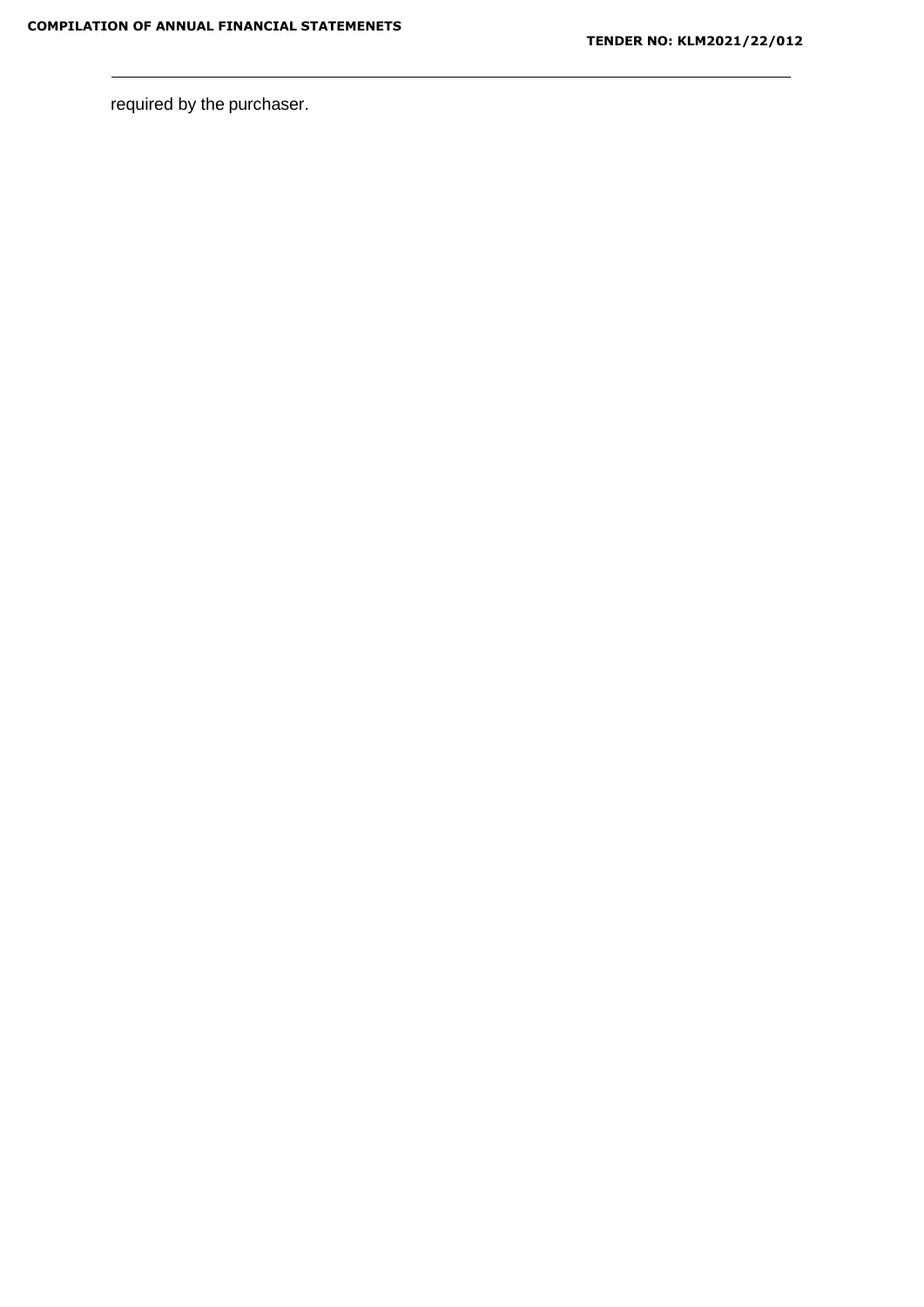required by the purchaser.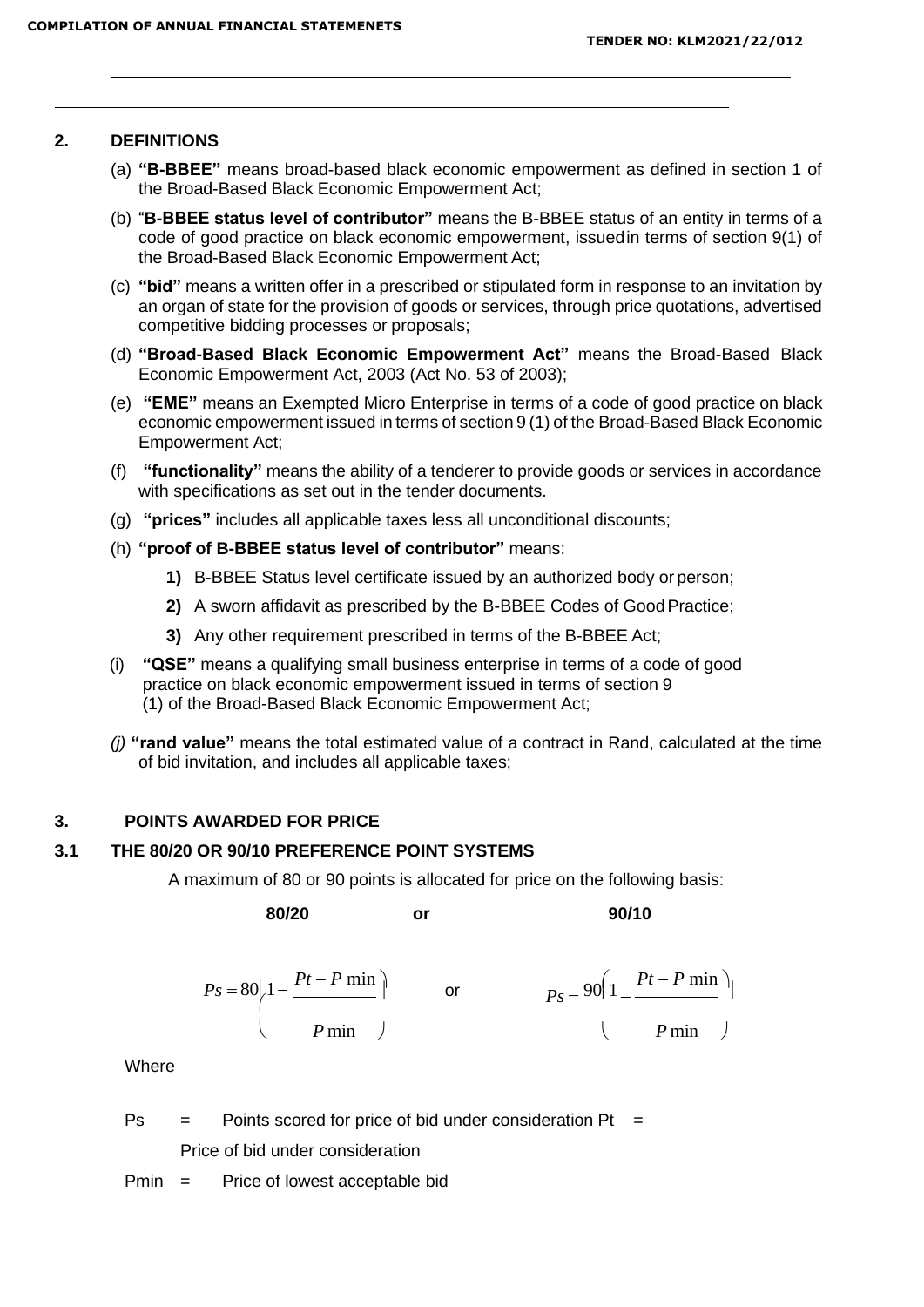#### **2. DEFINITIONS**

- (a) **"B-BBEE"** means broad-based black economic empowerment as defined in section 1 of the Broad-Based Black Economic Empowerment Act;
- (b) "**B-BBEE status level of contributor"** means the B-BBEE status of an entity in terms of a code of good practice on black economic empowerment, issuedin terms of section 9(1) of the Broad-Based Black Economic Empowerment Act;
- (c) **"bid"** means a written offer in a prescribed or stipulated form in response to an invitation by an organ of state for the provision of goods or services, through price quotations, advertised competitive bidding processes or proposals;
- (d) **"Broad-Based Black Economic Empowerment Act"** means the Broad-Based Black Economic Empowerment Act, 2003 (Act No. 53 of 2003);
- (e) **"EME"** means an Exempted Micro Enterprise in terms of a code of good practice on black economic empowerment issued in terms of section 9 (1) of the Broad-Based Black Economic Empowerment Act;
- (f) **"functionality"** means the ability of a tenderer to provide goods or services in accordance with specifications as set out in the tender documents.
- (g) **"prices"** includes all applicable taxes less all unconditional discounts;
- (h) **"proof of B-BBEE status level of contributor"** means:
	- **1)** B-BBEE Status level certificate issued by an authorized body or person;
	- **2)** A sworn affidavit as prescribed by the B-BBEE Codes of GoodPractice;
	- **3)** Any other requirement prescribed in terms of the B-BBEE Act;
- (i) **"QSE"** means a qualifying small business enterprise in terms of a code of good practice on black economic empowerment issued in terms of section 9 (1) of the Broad-Based Black Economic Empowerment Act;
- *(j)* **"rand value"** means the total estimated value of a contract in Rand, calculated at the time of bid invitation, and includes all applicable taxes;

# **3. POINTS AWARDED FOR PRICE**

#### **3.1 THE 80/20 OR 90/10 PREFERENCE POINT SYSTEMS**

A maximum of 80 or 90 points is allocated for price on the following basis:

**80/20 or 90/10**

$$
Ps = 80\left|1 - \frac{Pt - P \min}{P \min}\right| \qquad \text{or} \qquad \qquad Ps = 90\left(1 - \frac{Pt - P \min}{P \min}\right)\left|1 - \frac{Pt - P \min}{P \min}\right|
$$

Where

 $Ps =$  Points scored for price of bid under consideration Pt = Price of bid under consideration

Pmin = Price of lowest acceptable bid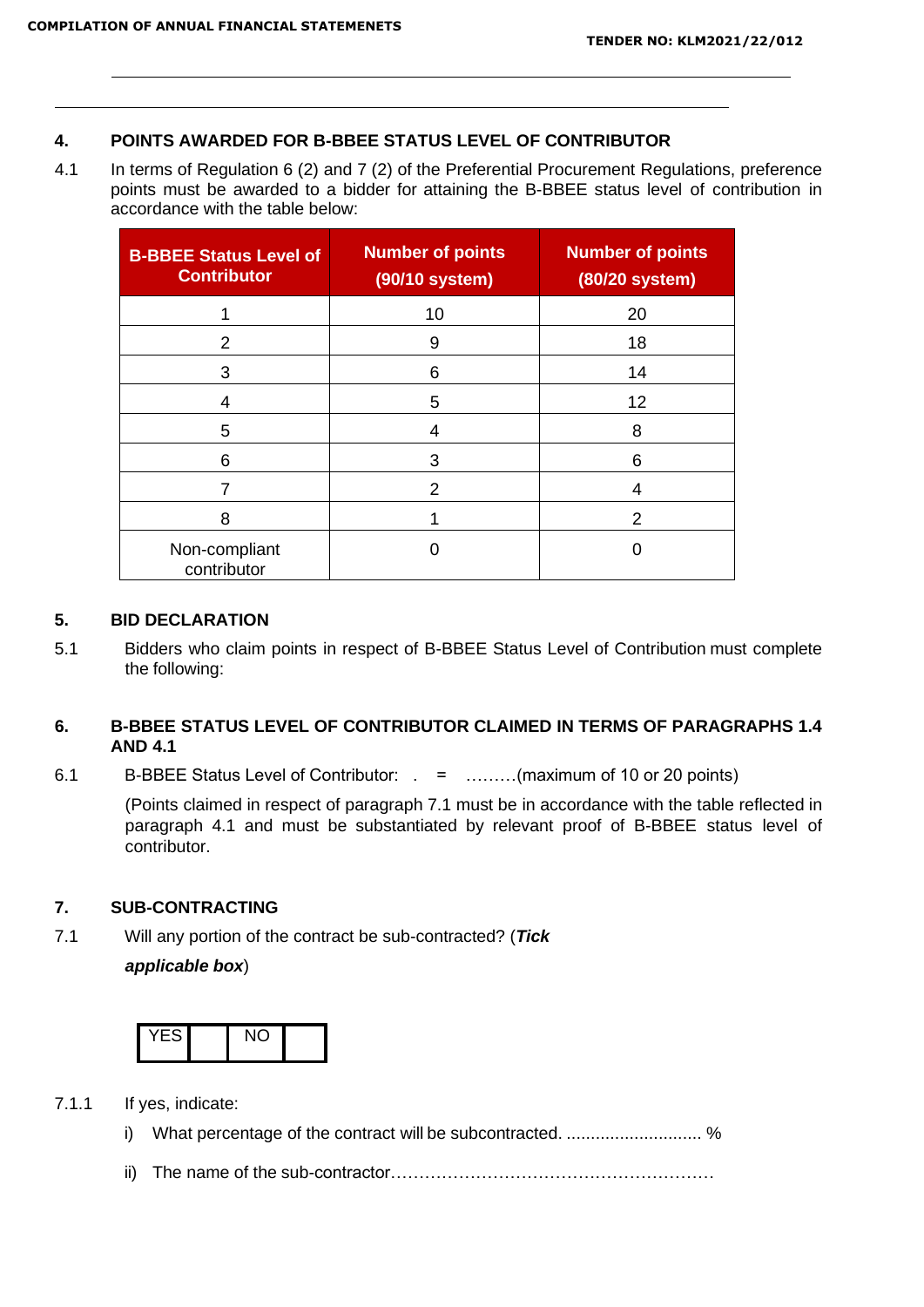## **4. POINTS AWARDED FOR B-BBEE STATUS LEVEL OF CONTRIBUTOR**

4.1 In terms of Regulation 6 (2) and 7 (2) of the Preferential Procurement Regulations, preference points must be awarded to a bidder for attaining the B-BBEE status level of contribution in accordance with the table below:

| <b>B-BBEE Status Level of</b><br><b>Contributor</b> | <b>Number of points</b><br>(90/10 system) | <b>Number of points</b><br>(80/20 system) |
|-----------------------------------------------------|-------------------------------------------|-------------------------------------------|
|                                                     | 10                                        | 20                                        |
| 2                                                   | 9                                         | 18                                        |
| 3                                                   | 6                                         | 14                                        |
| 4                                                   | 5                                         | 12                                        |
| 5                                                   | 4                                         | 8                                         |
| 6                                                   | 3                                         | 6                                         |
|                                                     | 2                                         | 4                                         |
| 8                                                   |                                           | $\mathcal{P}$                             |
| Non-compliant<br>contributor                        |                                           |                                           |

# **5. BID DECLARATION**

5.1 Bidders who claim points in respect of B-BBEE Status Level of Contribution must complete the following:

# **6. B-BBEE STATUS LEVEL OF CONTRIBUTOR CLAIMED IN TERMS OF PARAGRAPHS 1.4 AND 4.1**

6.1 B-BBEE Status Level of Contributor: . = ………(maximum of 10 or 20 points)

(Points claimed in respect of paragraph 7.1 must be in accordance with the table reflected in paragraph 4.1 and must be substantiated by relevant proof of B-BBEE status level of contributor.

# **7. SUB-CONTRACTING**

7.1 Will any portion of the contract be sub-contracted? (*Tick applicable box*)

|--|--|--|

7.1.1 If yes, indicate:

- i) What percentage of the contract will be subcontracted. .................................%
- ii) The name of the sub-contractor…………………………………………………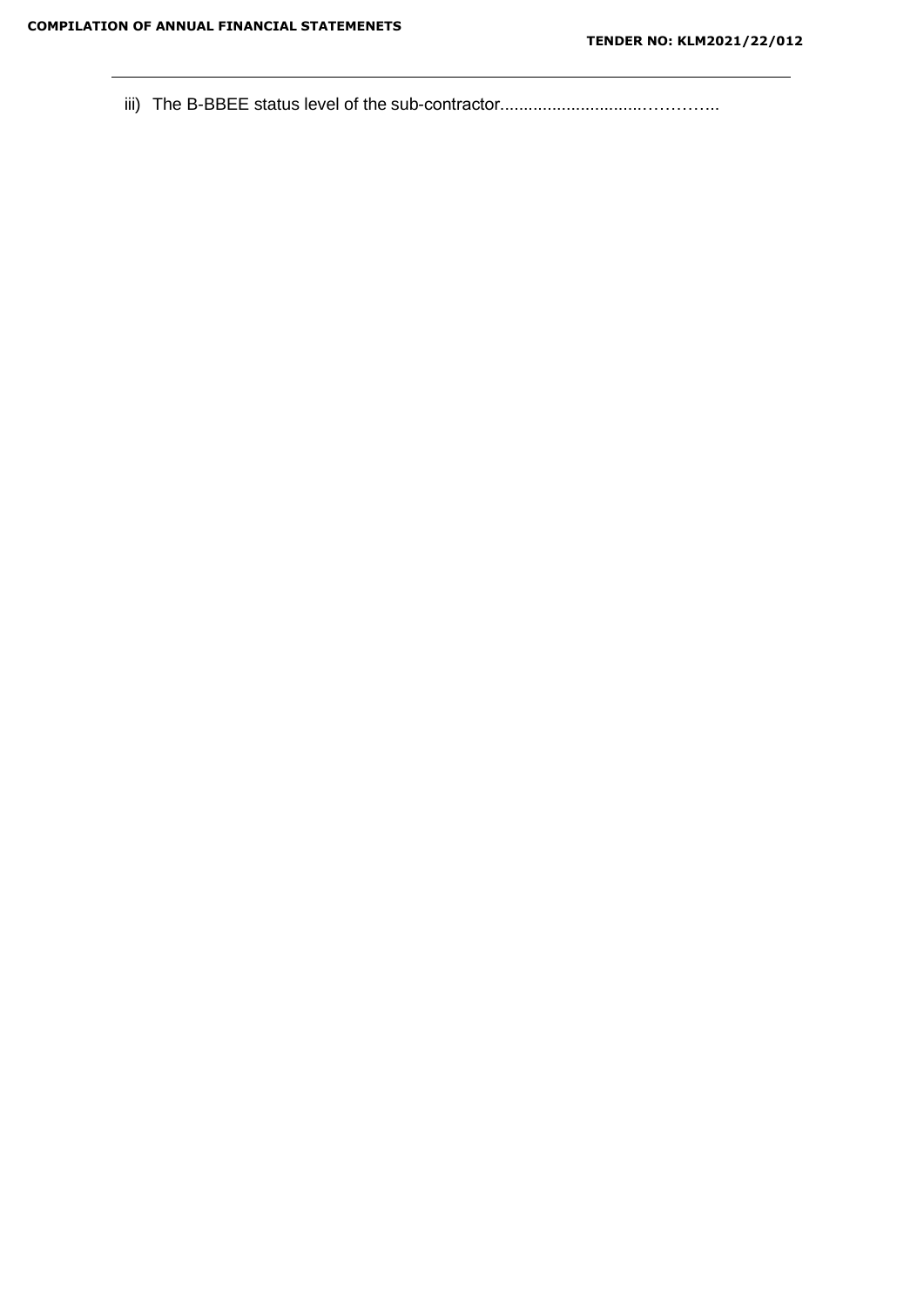iii) The B-BBEE status level of the sub-contractor..............................…………..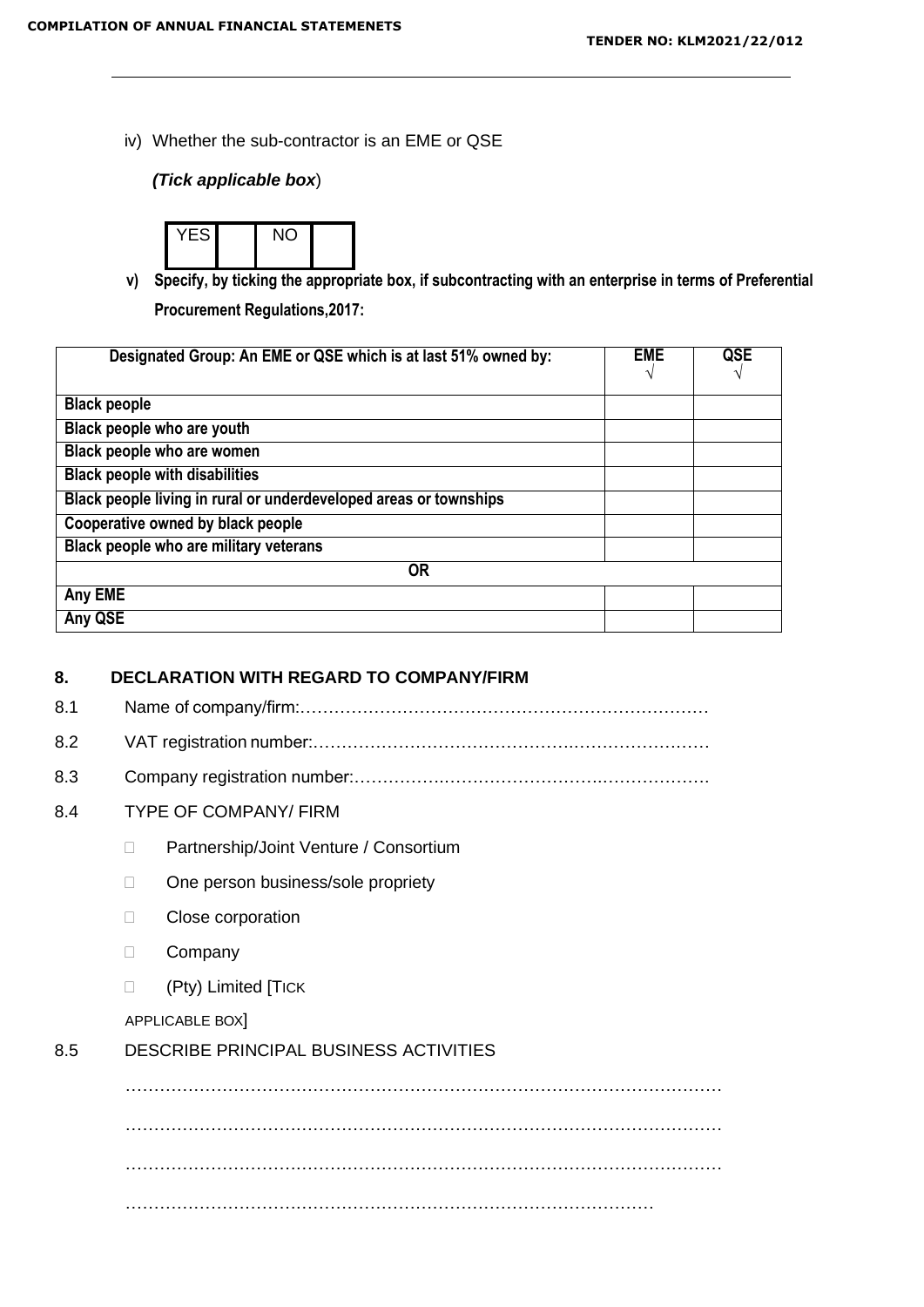iv) Whether the sub-contractor is an EME or QSE

# *(Tick applicable box*)



**v) Specify, by ticking the appropriate box, if subcontracting with an enterprise in terms of Preferential Procurement Regulations,2017:**

| Designated Group: An EME or QSE which is at last 51% owned by:    | <b>EME</b> | QSE |
|-------------------------------------------------------------------|------------|-----|
|                                                                   |            |     |
| <b>Black people</b>                                               |            |     |
| Black people who are youth                                        |            |     |
| Black people who are women                                        |            |     |
| <b>Black people with disabilities</b>                             |            |     |
| Black people living in rural or underdeveloped areas or townships |            |     |
| Cooperative owned by black people                                 |            |     |
| Black people who are military veterans                            |            |     |
| <b>OR</b>                                                         |            |     |
| <b>Any EME</b>                                                    |            |     |
| Any QSE                                                           |            |     |

#### **8. DECLARATION WITH REGARD TO COMPANY/FIRM**

8.1 Name of company/firm:………………………………………………………………

- 8.2 VAT registration number:……………………………………….……………………
- 8.3 Company registration number:…………….……………………….……………….
- 8.4 TYPE OF COMPANY/ FIRM
	- D Partnership/Joint Venture / Consortium
	- □ One person business/sole propriety
	- D Close corporation
	- D Company
	- **D** (Pty) Limited [TICK

APPLICABLE BOX]

# 8.5 DESCRIBE PRINCIPAL BUSINESS ACTIVITIES

…………………………………………………………………………………………… …………………………………………………………………………………………… …………………………………………………………………………………………… …………………………………………………………………………………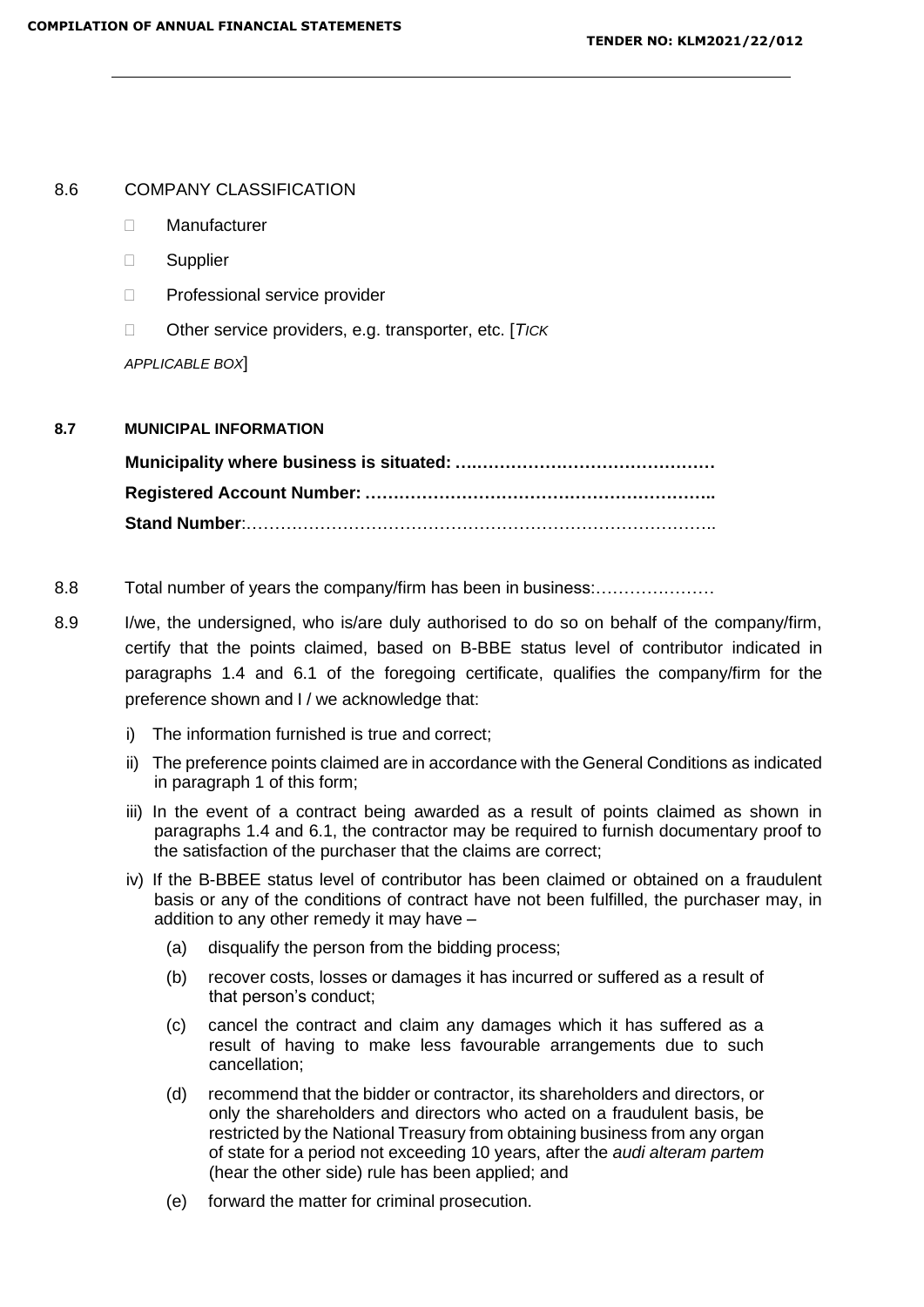#### 8.6 COMPANY CLASSIFICATION

- Manufacturer
- □ Supplier
- □ Professional service provider
- Other service providers, e.g. transporter, etc. [*TICK*

*APPLICABLE BOX*]

#### **8.7 MUNICIPAL INFORMATION**

**Municipality where business is situated: ….…………………………………… Registered Account Number: …………………………………………………….. Stand Number**:………………………………………………………………………..

- 8.8 Total number of years the company/firm has been in business:…………………
- 8.9 I/we, the undersigned, who is/are duly authorised to do so on behalf of the company/firm, certify that the points claimed, based on B-BBE status level of contributor indicated in paragraphs 1.4 and 6.1 of the foregoing certificate, qualifies the company/firm for the preference shown and I / we acknowledge that:
	- i) The information furnished is true and correct;
	- ii) The preference points claimed are in accordance with the General Conditions as indicated in paragraph 1 of this form;
	- iii) In the event of a contract being awarded as a result of points claimed as shown in paragraphs 1.4 and 6.1, the contractor may be required to furnish documentary proof to the satisfaction of the purchaser that the claims are correct;
	- iv) If the B-BBEE status level of contributor has been claimed or obtained on a fraudulent basis or any of the conditions of contract have not been fulfilled, the purchaser may, in addition to any other remedy it may have –
		- (a) disqualify the person from the bidding process;
		- (b) recover costs, losses or damages it has incurred or suffered as a result of that person's conduct;
		- (c) cancel the contract and claim any damages which it has suffered as a result of having to make less favourable arrangements due to such cancellation;
		- (d) recommend that the bidder or contractor, its shareholders and directors, or only the shareholders and directors who acted on a fraudulent basis, be restricted by the National Treasury from obtaining business from any organ of state for a period not exceeding 10 years, after the *audi alteram partem*  (hear the other side) rule has been applied; and
		- (e) forward the matter for criminal prosecution.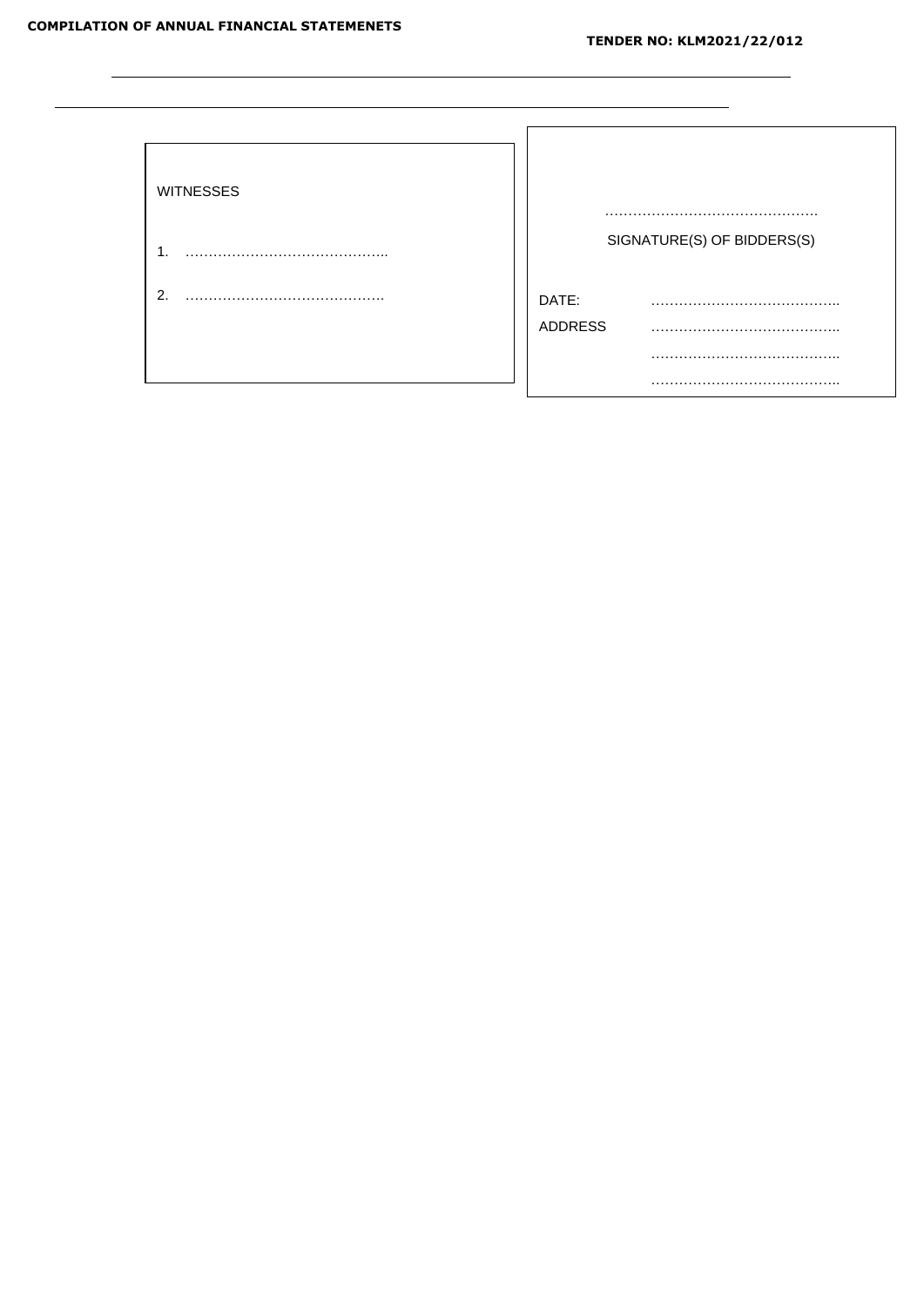l,

 $\overline{\phantom{0}}$ 

| <b>WITNESSES</b> | .                          |
|------------------|----------------------------|
| 1.               | SIGNATURE(S) OF BIDDERS(S) |
| 2.               | DATE:                      |
|                  | <b>ADDRESS</b>             |
|                  |                            |
|                  |                            |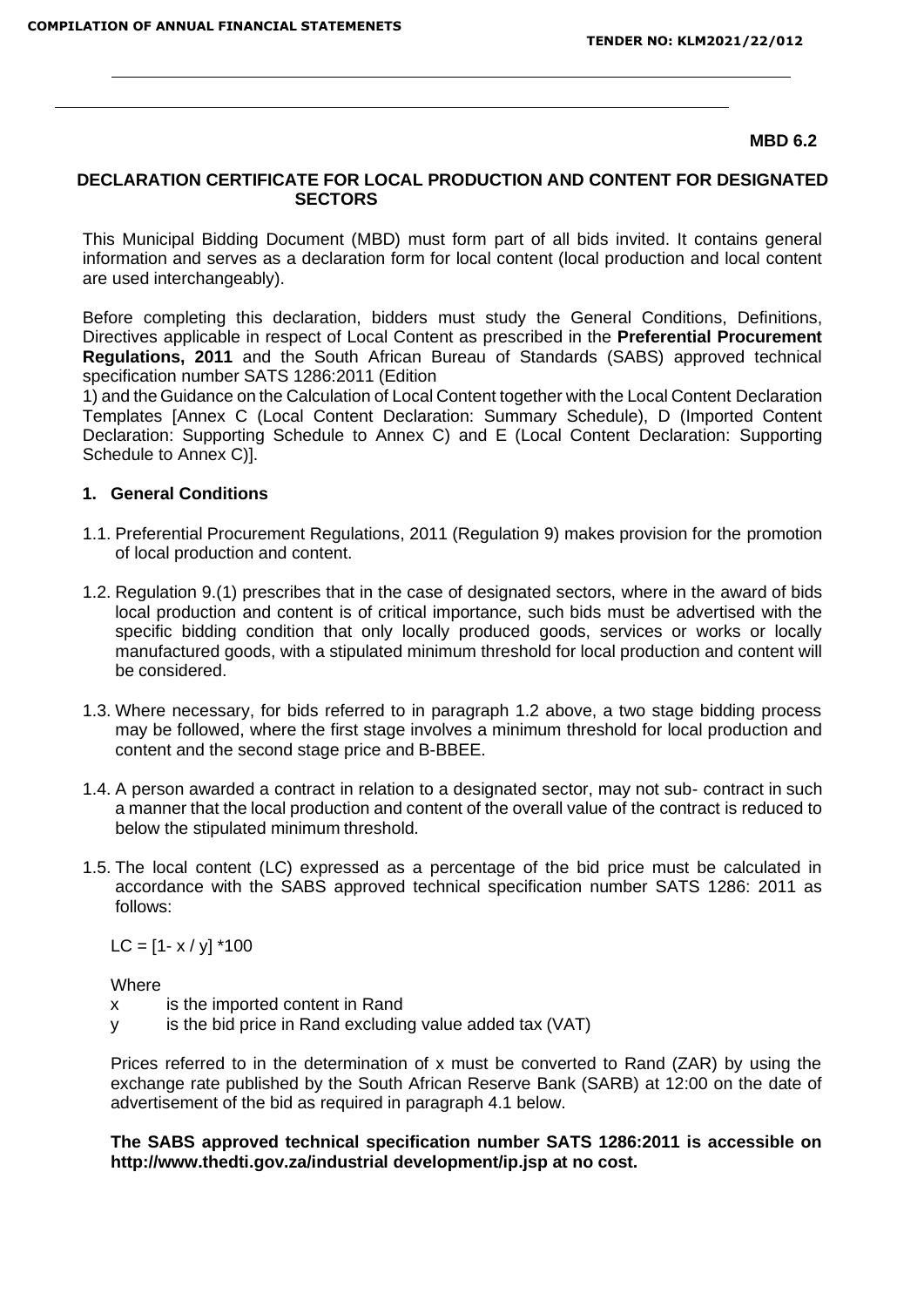#### **MBD 6.2**

#### **DECLARATION CERTIFICATE FOR LOCAL PRODUCTION AND CONTENT FOR DESIGNATED SECTORS**

This Municipal Bidding Document (MBD) must form part of all bids invited. It contains general information and serves as a declaration form for local content (local production and local content are used interchangeably).

Before completing this declaration, bidders must study the General Conditions, Definitions, Directives applicable in respect of Local Content as prescribed in the **Preferential Procurement Regulations, 2011** and the South African Bureau of Standards (SABS) approved technical specification number SATS 1286:2011 (Edition

1) and the Guidance on the Calculation of Local Content together with the Local Content Declaration Templates [Annex C (Local Content Declaration: Summary Schedule), D (Imported Content Declaration: Supporting Schedule to Annex C) and E (Local Content Declaration: Supporting Schedule to Annex C)].

#### **1. General Conditions**

- 1.1. Preferential Procurement Regulations, 2011 (Regulation 9) makes provision for the promotion of local production and content.
- 1.2. Regulation 9.(1) prescribes that in the case of designated sectors, where in the award of bids local production and content is of critical importance, such bids must be advertised with the specific bidding condition that only locally produced goods, services or works or locally manufactured goods, with a stipulated minimum threshold for local production and content will be considered.
- 1.3. Where necessary, for bids referred to in paragraph 1.2 above, a two stage bidding process may be followed, where the first stage involves a minimum threshold for local production and content and the second stage price and B-BBEE.
- 1.4. A person awarded a contract in relation to a designated sector, may not sub- contract in such a manner that the local production and content of the overall value of the contract is reduced to below the stipulated minimum threshold.
- 1.5. The local content (LC) expressed as a percentage of the bid price must be calculated in accordance with the SABS approved technical specification number SATS 1286: 2011 as follows:

 $LC = [1 - x / y]$  \*100

#### **Where**

- x is the imported content in Rand
- y is the bid price in Rand excluding value added tax (VAT)

Prices referred to in the determination of x must be converted to Rand (ZAR) by using the exchange rate published by the South African Reserve Bank (SARB) at 12:00 on the date of advertisement of the bid as required in paragraph 4.1 below.

**The SABS approved technical specification number SATS 1286:2011 is accessible on <http://www.thedti.gov.za/industrial> development/ip.jsp at no cost.**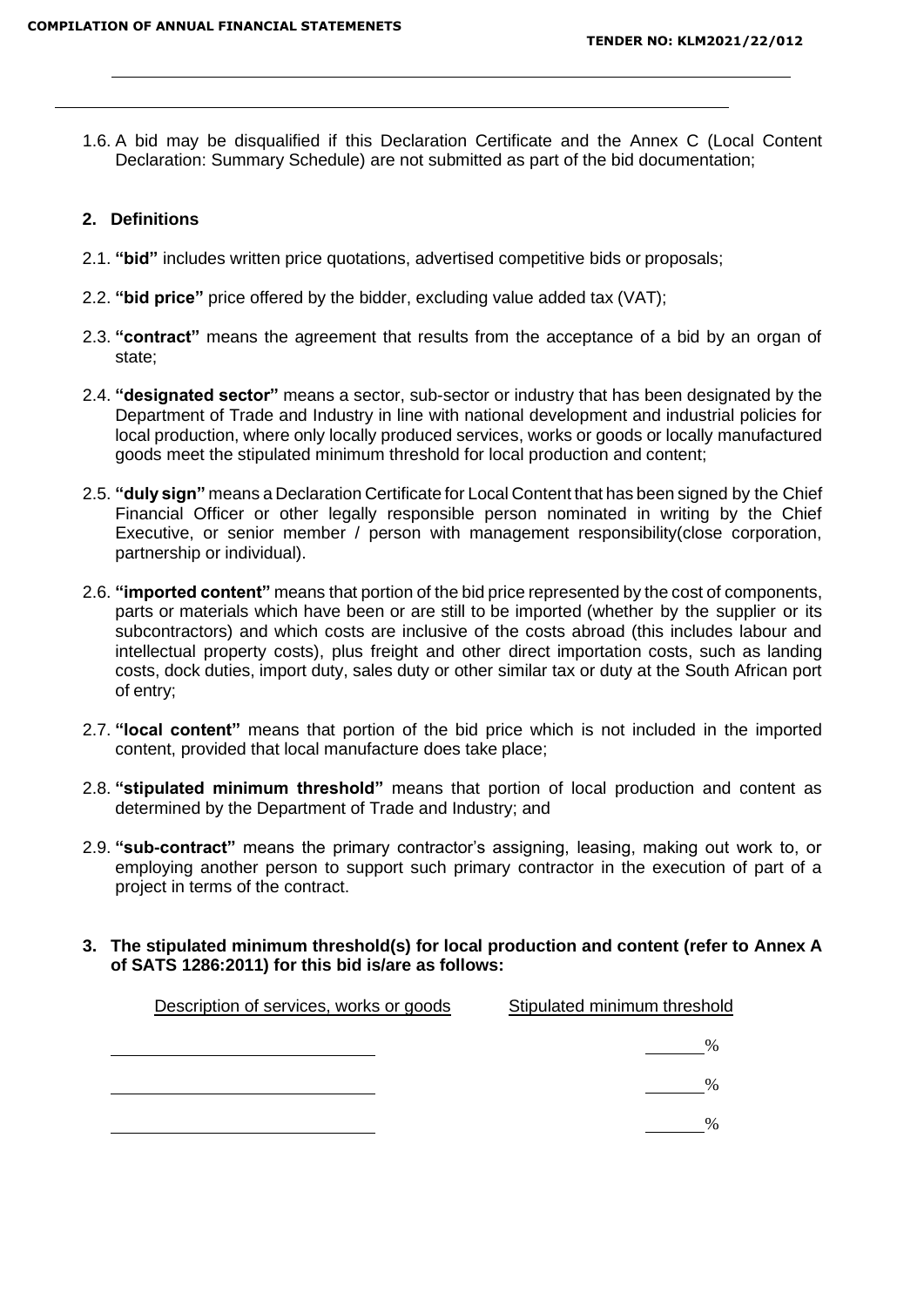1.6. A bid may be disqualified if this Declaration Certificate and the Annex C (Local Content Declaration: Summary Schedule) are not submitted as part of the bid documentation;

#### **2. Definitions**

- 2.1. **"bid"** includes written price quotations, advertised competitive bids or proposals;
- 2.2. **"bid price"** price offered by the bidder, excluding value added tax (VAT);
- 2.3. **"contract"** means the agreement that results from the acceptance of a bid by an organ of state;
- 2.4. **"designated sector"** means a sector, sub-sector or industry that has been designated by the Department of Trade and Industry in line with national development and industrial policies for local production, where only locally produced services, works or goods or locally manufactured goods meet the stipulated minimum threshold for local production and content;
- 2.5. **"duly sign"** means a Declaration Certificate for Local Content that has been signed by the Chief Financial Officer or other legally responsible person nominated in writing by the Chief Executive, or senior member / person with management responsibility(close corporation, partnership or individual).
- 2.6. **"imported content"** means that portion of the bid price represented by the cost of components, parts or materials which have been or are still to be imported (whether by the supplier or its subcontractors) and which costs are inclusive of the costs abroad (this includes labour and intellectual property costs), plus freight and other direct importation costs, such as landing costs, dock duties, import duty, sales duty or other similar tax or duty at the South African port of entry;
- 2.7. **"local content"** means that portion of the bid price which is not included in the imported content, provided that local manufacture does take place;
- 2.8. **"stipulated minimum threshold"** means that portion of local production and content as determined by the Department of Trade and Industry; and
- 2.9. **"sub-contract"** means the primary contractor's assigning, leasing, making out work to, or employing another person to support such primary contractor in the execution of part of a project in terms of the contract.
- **3. The stipulated minimum threshold(s) for local production and content (refer to Annex A of SATS 1286:2011) for this bid is/are as follows:**

| Description of services, works or goods | Stipulated minimum threshold |
|-----------------------------------------|------------------------------|
|                                         | ℅                            |
|                                         | %                            |
|                                         |                              |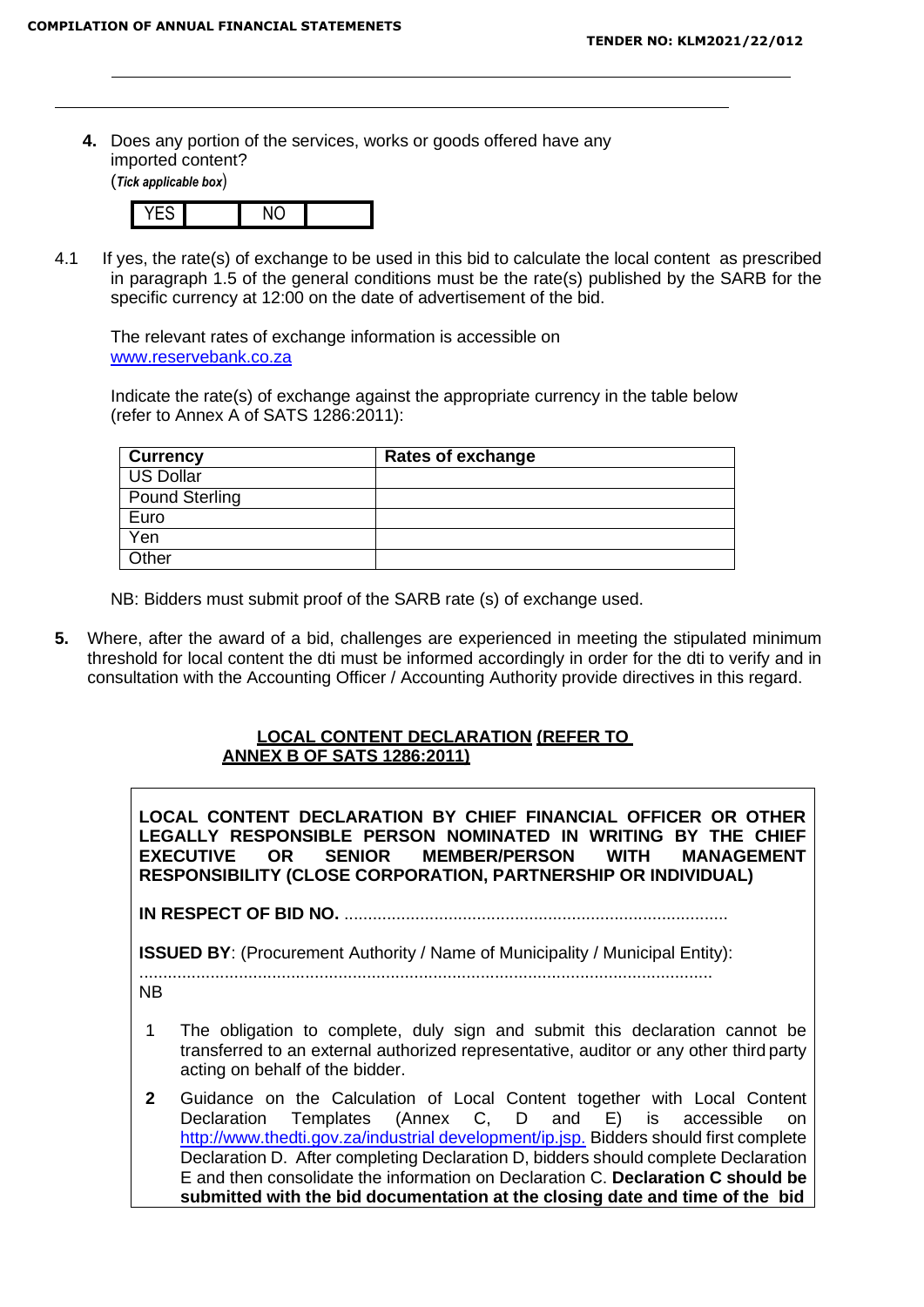**4.** Does any portion of the services, works or goods offered have any imported content? (*Tick applicable box*)



4.1 If yes, the rate(s) of exchange to be used in this bid to calculate the local content as prescribed in paragraph 1.5 of the general conditions must be the rate(s) published by the SARB for the specific currency at 12:00 on the date of advertisement of the bid.

The relevant rates of exchange information is accessible on [www.reservebank.co.za](http://www.reservebank.co.za/)

Indicate the rate(s) of exchange against the appropriate currency in the table below (refer to Annex A of SATS 1286:2011):

| <b>Currency</b>       | <b>Rates of exchange</b> |
|-----------------------|--------------------------|
| <b>US Dollar</b>      |                          |
| <b>Pound Sterling</b> |                          |
| Euro                  |                          |
| Yen                   |                          |
| Other                 |                          |

NB: Bidders must submit proof of the SARB rate (s) of exchange used.

**5.** Where, after the award of a bid, challenges are experienced in meeting the stipulated minimum threshold for local content the dti must be informed accordingly in order for the dti to verify and in consultation with the Accounting Officer / Accounting Authority provide directives in this regard.

#### **LOCAL CONTENT DECLARATION (REFER TO ANNEX B OF SATS 1286:2011)**

**LOCAL CONTENT DECLARATION BY CHIEF FINANCIAL OFFICER OR OTHER LEGALLY RESPONSIBLE PERSON NOMINATED IN WRITING BY THE CHIEF EXECUTIVE OR SENIOR MEMBER/PERSON WITH MANAGEMENT RESPONSIBILITY (CLOSE CORPORATION, PARTNERSHIP OR INDIVIDUAL)**

**IN RESPECT OF BID NO.** .................................................................................

**ISSUED BY**: (Procurement Authority / Name of Municipality / Municipal Entity):

.........................................................................................................................

NB

- 1 The obligation to complete, duly sign and submit this declaration cannot be transferred to an external authorized representative, auditor or any other third party acting on behalf of the bidder.
- **2** Guidance on the Calculation of Local Content together with Local Content Declaration Templates (Annex C, D and E) is accessible on [http://www.thedti.gov.za/industrial](http://www.thedti.gov.za/industrial%20development/ip.jsp) development/ip.jsp. Bidders should first complete Declaration D. After completing Declaration D, bidders should complete Declaration E and then consolidate the information on Declaration C. **Declaration C should be submitted with the bid documentation at the closing date and time of the bid**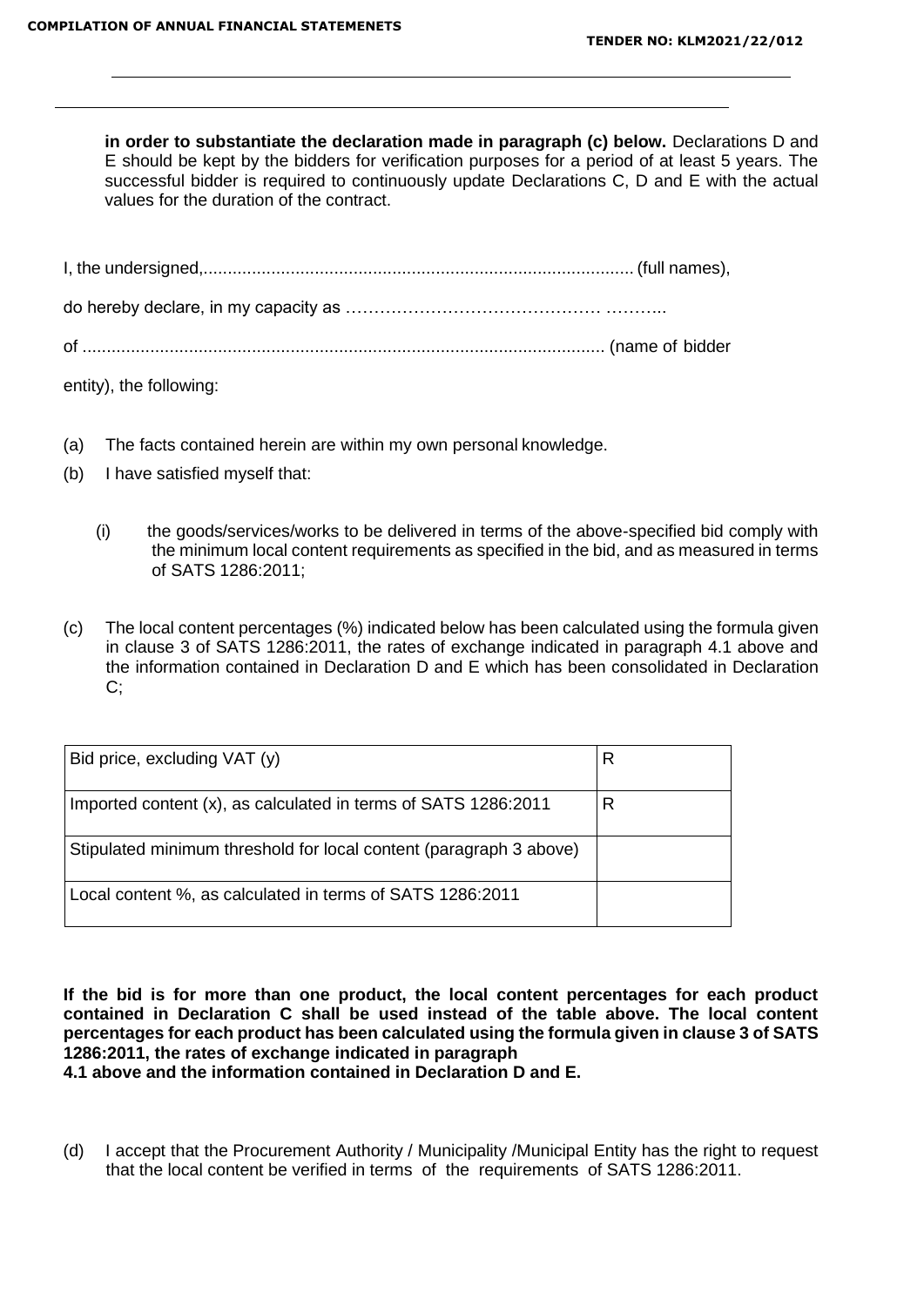**in order to substantiate the declaration made in paragraph (c) below.** Declarations D and E should be kept by the bidders for verification purposes for a period of at least 5 years. The successful bidder is required to continuously update Declarations C, D and E with the actual values for the duration of the contract.

entity), the following:

- (a) The facts contained herein are within my own personal knowledge.
- (b) I have satisfied myself that:
	- (i) the goods/services/works to be delivered in terms of the above-specified bid comply with the minimum local content requirements as specified in the bid, and as measured in terms of SATS 1286:2011;
- (c) The local content percentages (%) indicated below has been calculated using the formula given in clause 3 of SATS 1286:2011, the rates of exchange indicated in paragraph 4.1 above and the information contained in Declaration D and E which has been consolidated in Declaration C;

| Bid price, excluding VAT (y)                                       | R |
|--------------------------------------------------------------------|---|
| Imported content (x), as calculated in terms of SATS 1286:2011     | R |
| Stipulated minimum threshold for local content (paragraph 3 above) |   |
| Local content %, as calculated in terms of SATS 1286:2011          |   |

**If the bid is for more than one product, the local content percentages for each product contained in Declaration C shall be used instead of the table above. The local content percentages for each product has been calculated using the formula given in clause 3 of SATS 1286:2011, the rates of exchange indicated in paragraph**

**4.1 above and the information contained in Declaration D and E.**

(d) I accept that the Procurement Authority / Municipality /Municipal Entity has the right to request that the local content be verified in terms of the requirements of SATS 1286:2011.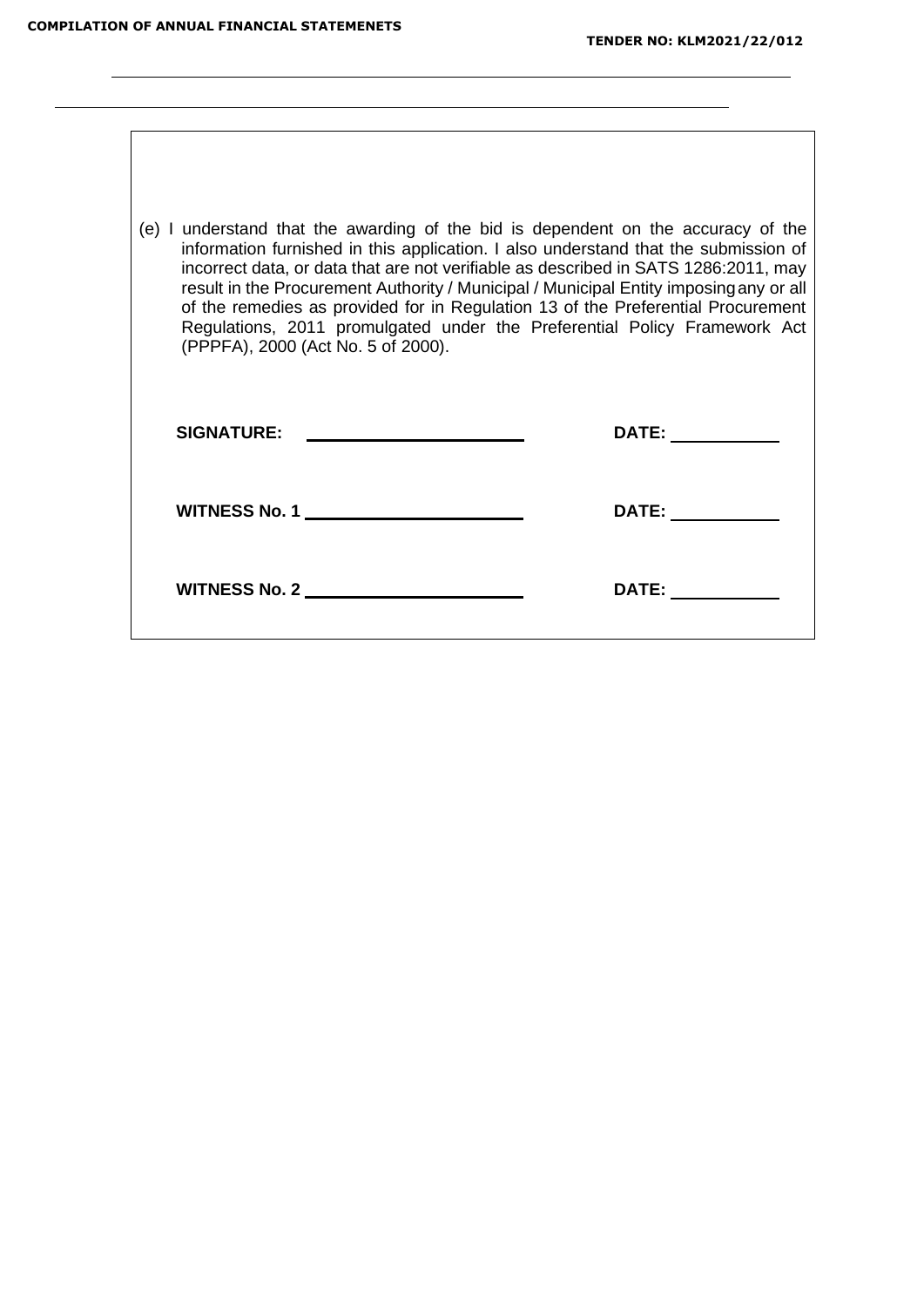l,

 $\overline{\phantom{0}}$ 

| (e) I understand that the awarding of the bid is dependent on the accuracy of the<br>information furnished in this application. I also understand that the submission of<br>incorrect data, or data that are not verifiable as described in SATS 1286:2011, may<br>result in the Procurement Authority / Municipal / Municipal Entity imposing any or all<br>of the remedies as provided for in Regulation 13 of the Preferential Procurement<br>Regulations, 2011 promulgated under the Preferential Policy Framework Act<br>(PPPFA), 2000 (Act No. 5 of 2000). |                                                                                                                                                                                                                                |  |
|------------------------------------------------------------------------------------------------------------------------------------------------------------------------------------------------------------------------------------------------------------------------------------------------------------------------------------------------------------------------------------------------------------------------------------------------------------------------------------------------------------------------------------------------------------------|--------------------------------------------------------------------------------------------------------------------------------------------------------------------------------------------------------------------------------|--|
|                                                                                                                                                                                                                                                                                                                                                                                                                                                                                                                                                                  | DATE: ____________                                                                                                                                                                                                             |  |
| WITNESS No. 1                                                                                                                                                                                                                                                                                                                                                                                                                                                                                                                                                    | DATE: the contract of the contract of the contract of the contract of the contract of the contract of the contract of the contract of the contract of the contract of the contract of the contract of the contract of the cont |  |
| <b>WITNESS No. 2 ________</b>                                                                                                                                                                                                                                                                                                                                                                                                                                                                                                                                    | DATE:                                                                                                                                                                                                                          |  |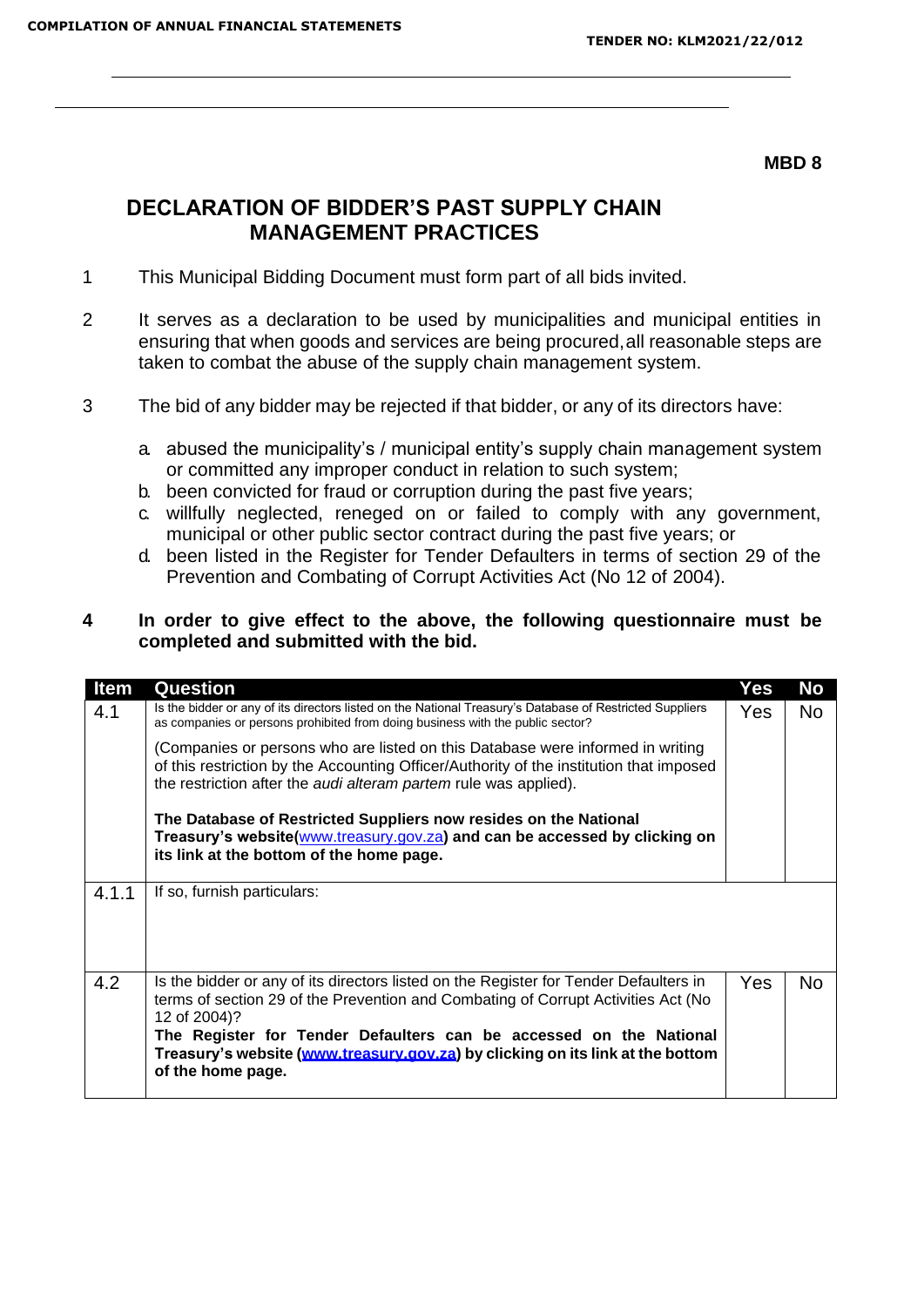#### **MBD 8**

# **DECLARATION OF BIDDER'S PAST SUPPLY CHAIN MANAGEMENT PRACTICES**

- 1 This Municipal Bidding Document must form part of all bids invited.
- 2 It serves as a declaration to be used by municipalities and municipal entities in ensuring that when goods and services are being procured,all reasonable steps are taken to combat the abuse of the supply chain management system.
- 3 The bid of any bidder may be rejected if that bidder, or any of its directors have:
	- a. abused the municipality's / municipal entity's supply chain management system or committed any improper conduct in relation to such system;
	- b. been convicted for fraud or corruption during the past five years;
	- c. willfully neglected, reneged on or failed to comply with any government, municipal or other public sector contract during the past five years; or
	- d. been listed in the Register for Tender Defaulters in terms of section 29 of the Prevention and Combating of Corrupt Activities Act (No 12 of 2004).

# **4 In order to give effect to the above, the following questionnaire must be completed and submitted with the bid.**

| <b>Item</b> | <b>Question</b>                                                                                                                                                                                                                                                                                                                                                         | Yes  | No        |
|-------------|-------------------------------------------------------------------------------------------------------------------------------------------------------------------------------------------------------------------------------------------------------------------------------------------------------------------------------------------------------------------------|------|-----------|
| 4.1         | Is the bidder or any of its directors listed on the National Treasury's Database of Restricted Suppliers<br>as companies or persons prohibited from doing business with the public sector?                                                                                                                                                                              | Yes  | No.       |
|             | (Companies or persons who are listed on this Database were informed in writing<br>of this restriction by the Accounting Officer/Authority of the institution that imposed<br>the restriction after the <i>audi alteram partem</i> rule was applied).                                                                                                                    |      |           |
|             | The Database of Restricted Suppliers now resides on the National<br>Treasury's website(www.treasury.gov.za) and can be accessed by clicking on<br>its link at the bottom of the home page.                                                                                                                                                                              |      |           |
| 4.1.1       | If so, furnish particulars:                                                                                                                                                                                                                                                                                                                                             |      |           |
| 4.2         | Is the bidder or any of its directors listed on the Register for Tender Defaulters in<br>terms of section 29 of the Prevention and Combating of Corrupt Activities Act (No<br>12 of 2004)?<br>The Register for Tender Defaulters can be accessed on the National<br>Treasury's website (www.treasury.gov.za) by clicking on its link at the bottom<br>of the home page. | Yes. | <b>No</b> |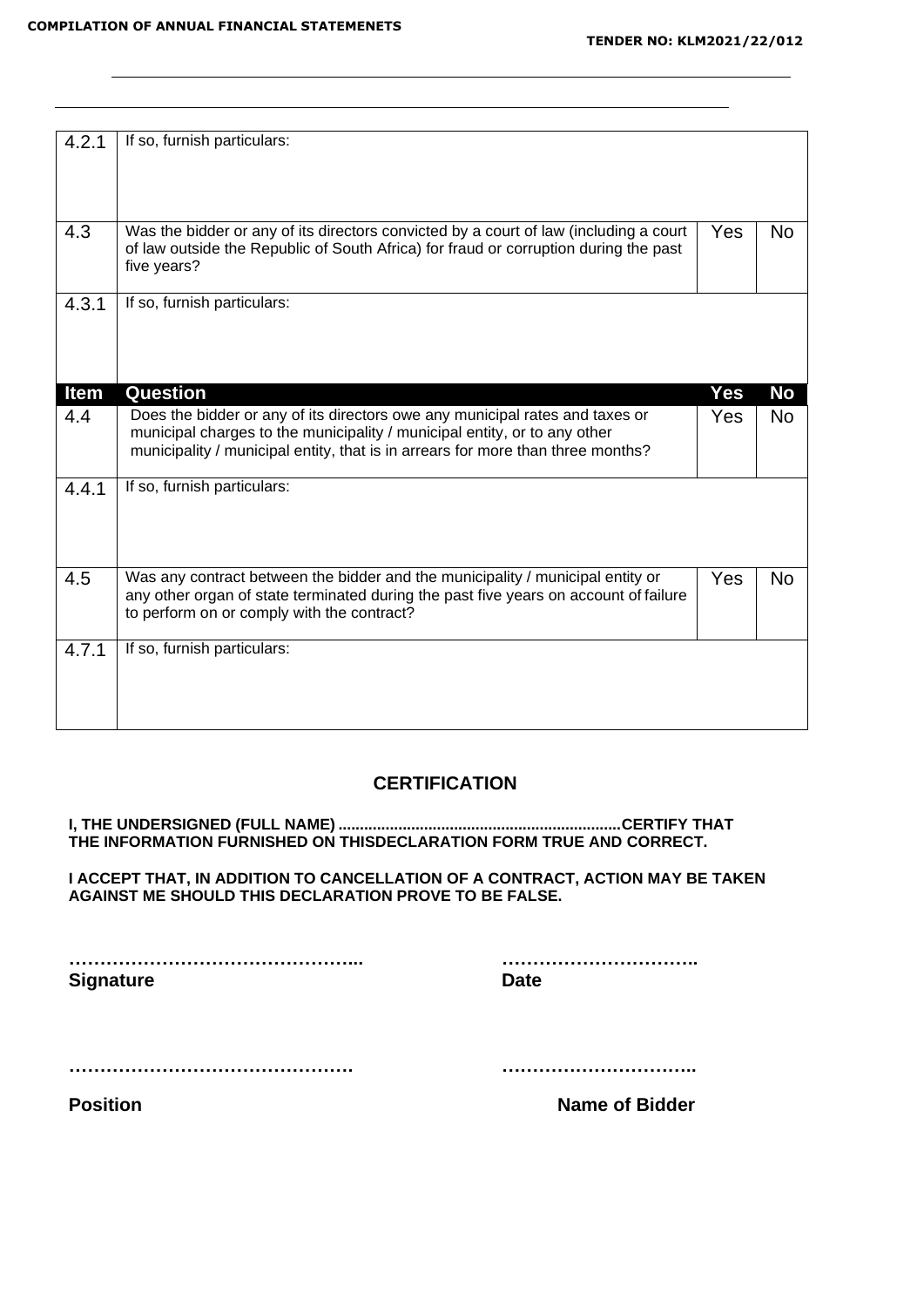| 4.2.1       | If so, furnish particulars:                                                                                                                                                                                                                  |     |                |
|-------------|----------------------------------------------------------------------------------------------------------------------------------------------------------------------------------------------------------------------------------------------|-----|----------------|
|             |                                                                                                                                                                                                                                              |     |                |
|             |                                                                                                                                                                                                                                              |     |                |
|             |                                                                                                                                                                                                                                              |     |                |
| 4.3         | Was the bidder or any of its directors convicted by a court of law (including a court<br>of law outside the Republic of South Africa) for fraud or corruption during the past<br>five years?                                                 | Yes | N <sub>o</sub> |
|             |                                                                                                                                                                                                                                              |     |                |
| 4.3.1       | If so, furnish particulars:                                                                                                                                                                                                                  |     |                |
|             |                                                                                                                                                                                                                                              |     |                |
|             |                                                                                                                                                                                                                                              |     |                |
|             |                                                                                                                                                                                                                                              |     |                |
| <b>Item</b> | <b>Question</b>                                                                                                                                                                                                                              | Yes | <b>No</b>      |
| 4.4         | Does the bidder or any of its directors owe any municipal rates and taxes or<br>municipal charges to the municipality / municipal entity, or to any other<br>municipality / municipal entity, that is in arrears for more than three months? | Yes | <b>No</b>      |
| 4.4.1       | If so, furnish particulars:                                                                                                                                                                                                                  |     |                |
|             |                                                                                                                                                                                                                                              |     |                |
|             |                                                                                                                                                                                                                                              |     |                |
|             |                                                                                                                                                                                                                                              |     |                |
| 4.5         | Was any contract between the bidder and the municipality / municipal entity or                                                                                                                                                               | Yes | <b>No</b>      |
|             | any other organ of state terminated during the past five years on account of failure                                                                                                                                                         |     |                |
|             | to perform on or comply with the contract?                                                                                                                                                                                                   |     |                |
| 4.7.1       | If so, furnish particulars:                                                                                                                                                                                                                  |     |                |
|             |                                                                                                                                                                                                                                              |     |                |
|             |                                                                                                                                                                                                                                              |     |                |
|             |                                                                                                                                                                                                                                              |     |                |
|             |                                                                                                                                                                                                                                              |     |                |

# **CERTIFICATION**

**I, THE UNDERSIGNED (FULL NAME) ..................................................................CERTIFY THAT THE INFORMATION FURNISHED ON THISDECLARATION FORM TRUE AND CORRECT.**

**I ACCEPT THAT, IN ADDITION TO CANCELLATION OF A CONTRACT, ACTION MAY BE TAKEN AGAINST ME SHOULD THIS DECLARATION PROVE TO BE FALSE.**

**………………………………………... ………………………….. Signature Date** 

**………………………………………. …………………………..** 

**Position Name of Bidder**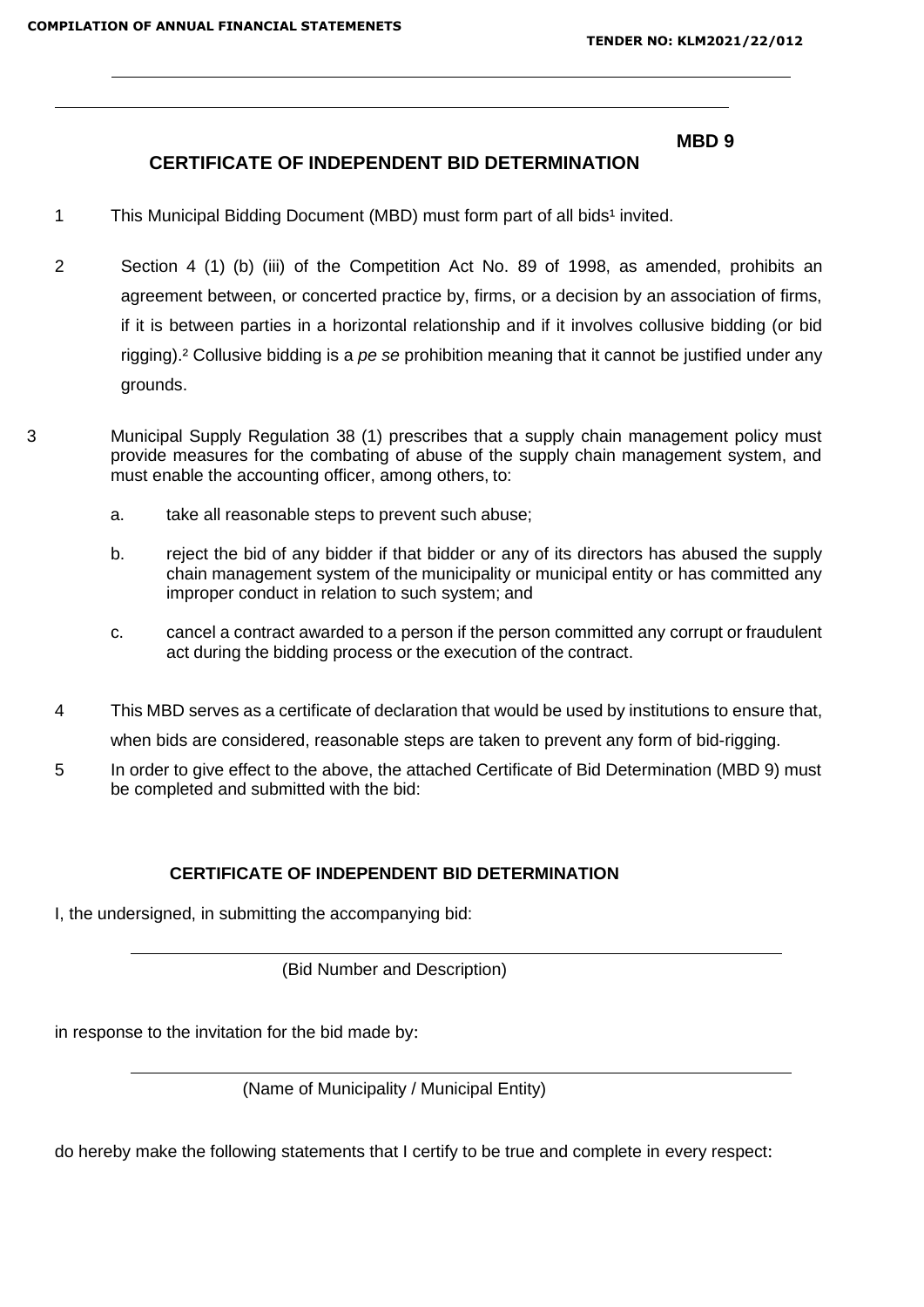#### **MBD 9**

# **CERTIFICATE OF INDEPENDENT BID DETERMINATION**

- 1 This Municipal Bidding Document (MBD) must form part of all bids<sup>1</sup> invited.
- 2 Section 4 (1) (b) (iii) of the Competition Act No. 89 of 1998, as amended, prohibits an agreement between, or concerted practice by, firms, or a decision by an association of firms, if it is between parties in a horizontal relationship and if it involves collusive bidding (or bid rigging).² Collusive bidding is a *pe se* prohibition meaning that it cannot be justified under any grounds.
- 3 Municipal Supply Regulation 38 (1) prescribes that a supply chain management policy must provide measures for the combating of abuse of the supply chain management system, and must enable the accounting officer, among others, to:
	- a. take all reasonable steps to prevent such abuse;
	- b. reject the bid of any bidder if that bidder or any of its directors has abused the supply chain management system of the municipality or municipal entity or has committed any improper conduct in relation to such system; and
	- c. cancel a contract awarded to a person if the person committed any corrupt or fraudulent act during the bidding process or the execution of the contract.
	- 4 This MBD serves as a certificate of declaration that would be used by institutions to ensure that, when bids are considered, reasonable steps are taken to prevent any form of bid-rigging.
	- 5 In order to give effect to the above, the attached Certificate of Bid Determination (MBD 9) must be completed and submitted with the bid:

# **CERTIFICATE OF INDEPENDENT BID DETERMINATION**

I, the undersigned, in submitting the accompanying bid:

(Bid Number and Description)

in response to the invitation for the bid made by:

(Name of Municipality / Municipal Entity)

do hereby make the following statements that I certify to be true and complete in every respect: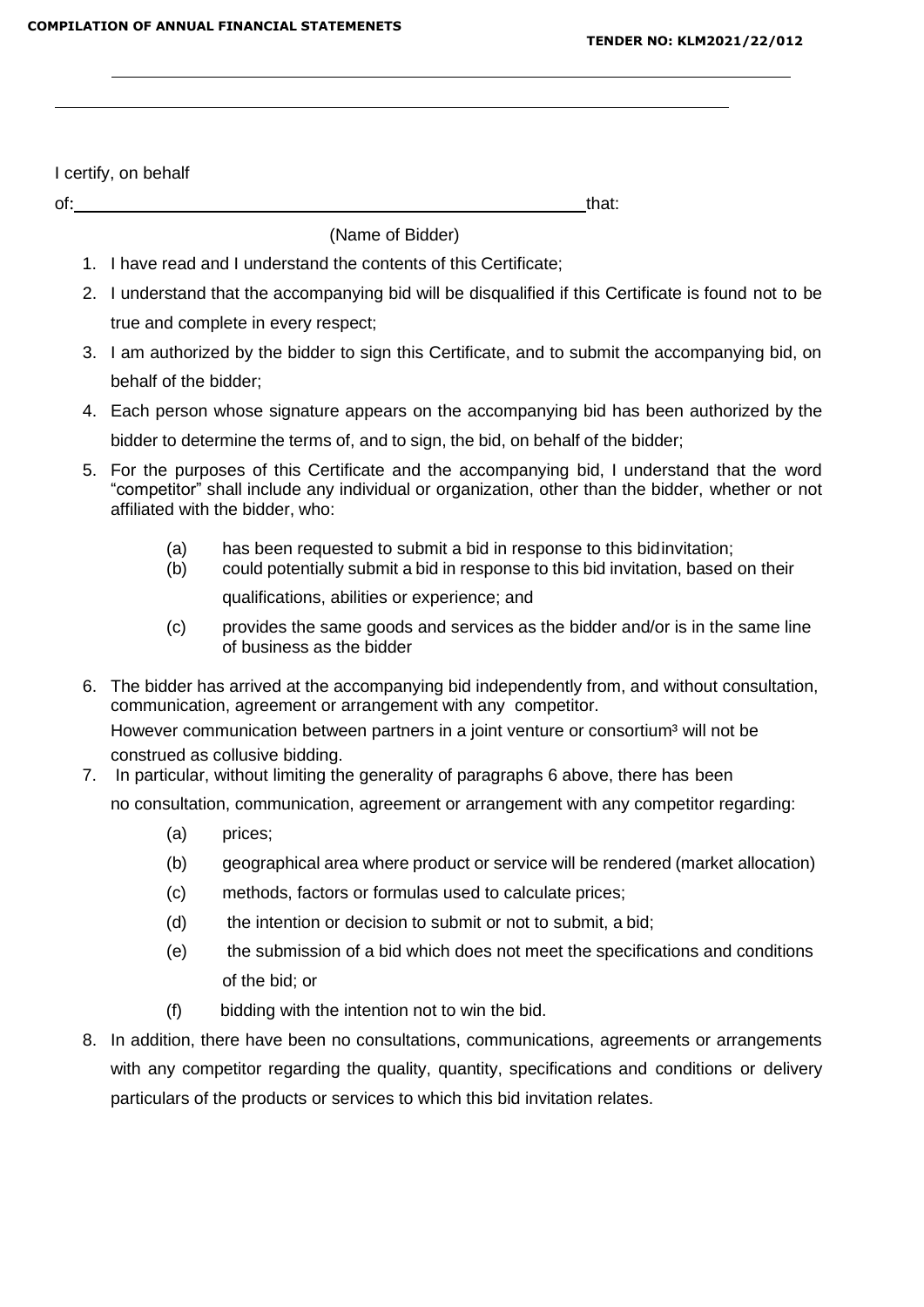I certify, on behalf

of: that: that: the set of the set of the set of the set of the set of the set of the set of the set of the set of the set of the set of the set of the set of the set of the set of the set of the set of the set of the set

(Name of Bidder)

- 1. I have read and I understand the contents of this Certificate;
- 2. I understand that the accompanying bid will be disqualified if this Certificate is found not to be true and complete in every respect;
- 3. I am authorized by the bidder to sign this Certificate, and to submit the accompanying bid, on behalf of the bidder;
- 4. Each person whose signature appears on the accompanying bid has been authorized by the bidder to determine the terms of, and to sign, the bid, on behalf of the bidder;
- 5. For the purposes of this Certificate and the accompanying bid, I understand that the word "competitor" shall include any individual or organization, other than the bidder, whether or not affiliated with the bidder, who:
	- (a) has been requested to submit a bid in response to this bidinvitation;<br>(b) could potentially submit a bid in response to this bid invitation, based
	- could potentially submit a bid in response to this bid invitation, based on their

qualifications, abilities or experience; and

- (c) provides the same goods and services as the bidder and/or is in the same line of business as the bidder
- 6. The bidder has arrived at the accompanying bid independently from, and without consultation, communication, agreement or arrangement with any competitor. However communication between partners in a joint venture or consortium<sup>3</sup> will not be construed as collusive bidding.
- 7. In particular, without limiting the generality of paragraphs 6 above, there has been

no consultation, communication, agreement or arrangement with any competitor regarding:

- (a) prices;
- (b) geographical area where product or service will be rendered (market allocation)
- (c) methods, factors or formulas used to calculate prices;
- (d) the intention or decision to submit or not to submit, a bid;
- (e) the submission of a bid which does not meet the specifications and conditions of the bid; or
- (f) bidding with the intention not to win the bid.
- 8. In addition, there have been no consultations, communications, agreements or arrangements with any competitor regarding the quality, quantity, specifications and conditions or delivery particulars of the products or services to which this bid invitation relates.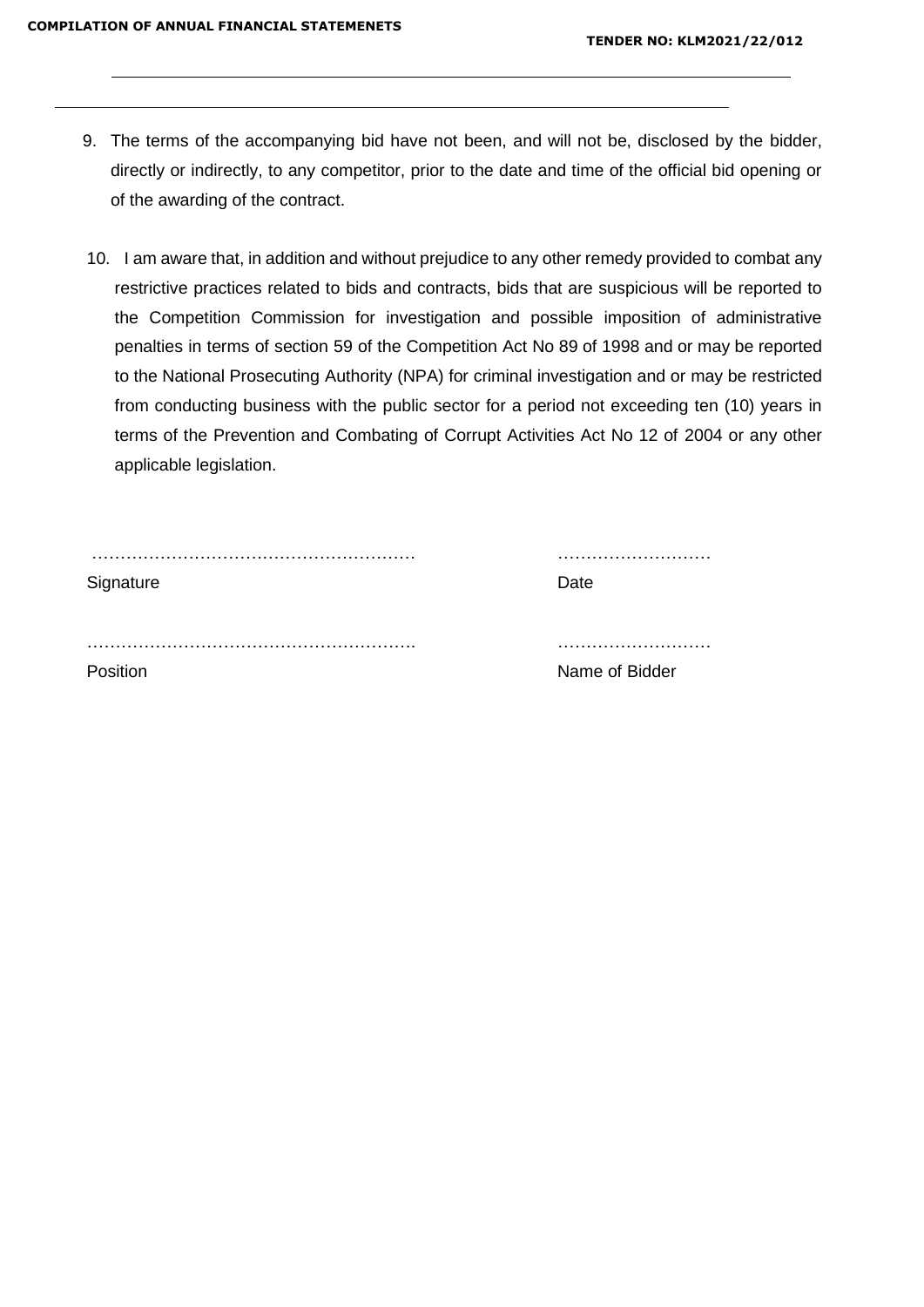- 9. The terms of the accompanying bid have not been, and will not be, disclosed by the bidder, directly or indirectly, to any competitor, prior to the date and time of the official bid opening or of the awarding of the contract.
- 10. I am aware that, in addition and without prejudice to any other remedy provided to combat any restrictive practices related to bids and contracts, bids that are suspicious will be reported to the Competition Commission for investigation and possible imposition of administrative penalties in terms of section 59 of the Competition Act No 89 of 1998 and or may be reported to the National Prosecuting Authority (NPA) for criminal investigation and or may be restricted from conducting business with the public sector for a period not exceeding ten (10) years in terms of the Prevention and Combating of Corrupt Activities Act No 12 of 2004 or any other applicable legislation.

| Signature | Date           |
|-----------|----------------|
|           |                |
|           |                |
|           |                |
| Position  | Name of Bidder |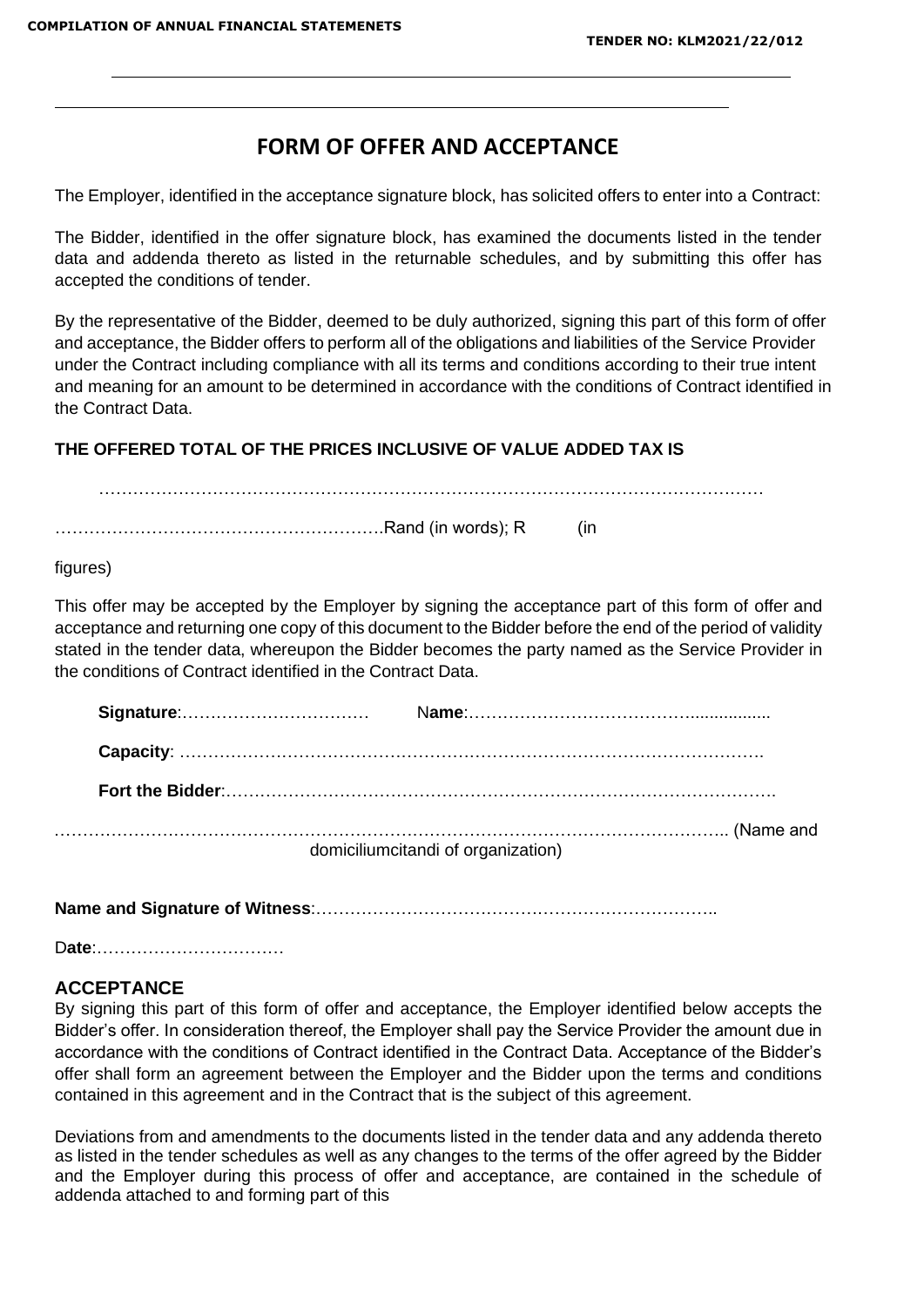# **FORM OF OFFER AND ACCEPTANCE**

The Employer, identified in the acceptance signature block, has solicited offers to enter into a Contract:

The Bidder, identified in the offer signature block, has examined the documents listed in the tender data and addenda thereto as listed in the returnable schedules, and by submitting this offer has accepted the conditions of tender.

By the representative of the Bidder, deemed to be duly authorized, signing this part of this form of offer and acceptance, the Bidder offers to perform all of the obligations and liabilities of the Service Provider under the Contract including compliance with all its terms and conditions according to their true intent and meaning for an amount to be determined in accordance with the conditions of Contract identified in the Contract Data.

………………………………………………………………………………………………………

# **THE OFFERED TOTAL OF THE PRICES INCLUSIVE OF VALUE ADDED TAX IS**

………………………………………………….Rand (in words); R (in

figures)

This offer may be accepted by the Employer by signing the acceptance part of this form of offer and acceptance and returning one copy of this document to the Bidder before the end of the period of validity stated in the tender data, whereupon the Bidder becomes the party named as the Service Provider in the conditions of Contract identified in the Contract Data.

|  | domiciliumcitandi of organization) |
|--|------------------------------------|

**Name and Signature of Witness**:……………………………………………………………..

D**ate**:……………………………

# **ACCEPTANCE**

By signing this part of this form of offer and acceptance, the Employer identified below accepts the Bidder's offer. In consideration thereof, the Employer shall pay the Service Provider the amount due in accordance with the conditions of Contract identified in the Contract Data. Acceptance of the Bidder's offer shall form an agreement between the Employer and the Bidder upon the terms and conditions contained in this agreement and in the Contract that is the subject of this agreement.

Deviations from and amendments to the documents listed in the tender data and any addenda thereto as listed in the tender schedules as well as any changes to the terms of the offer agreed by the Bidder and the Employer during this process of offer and acceptance, are contained in the schedule of addenda attached to and forming part of this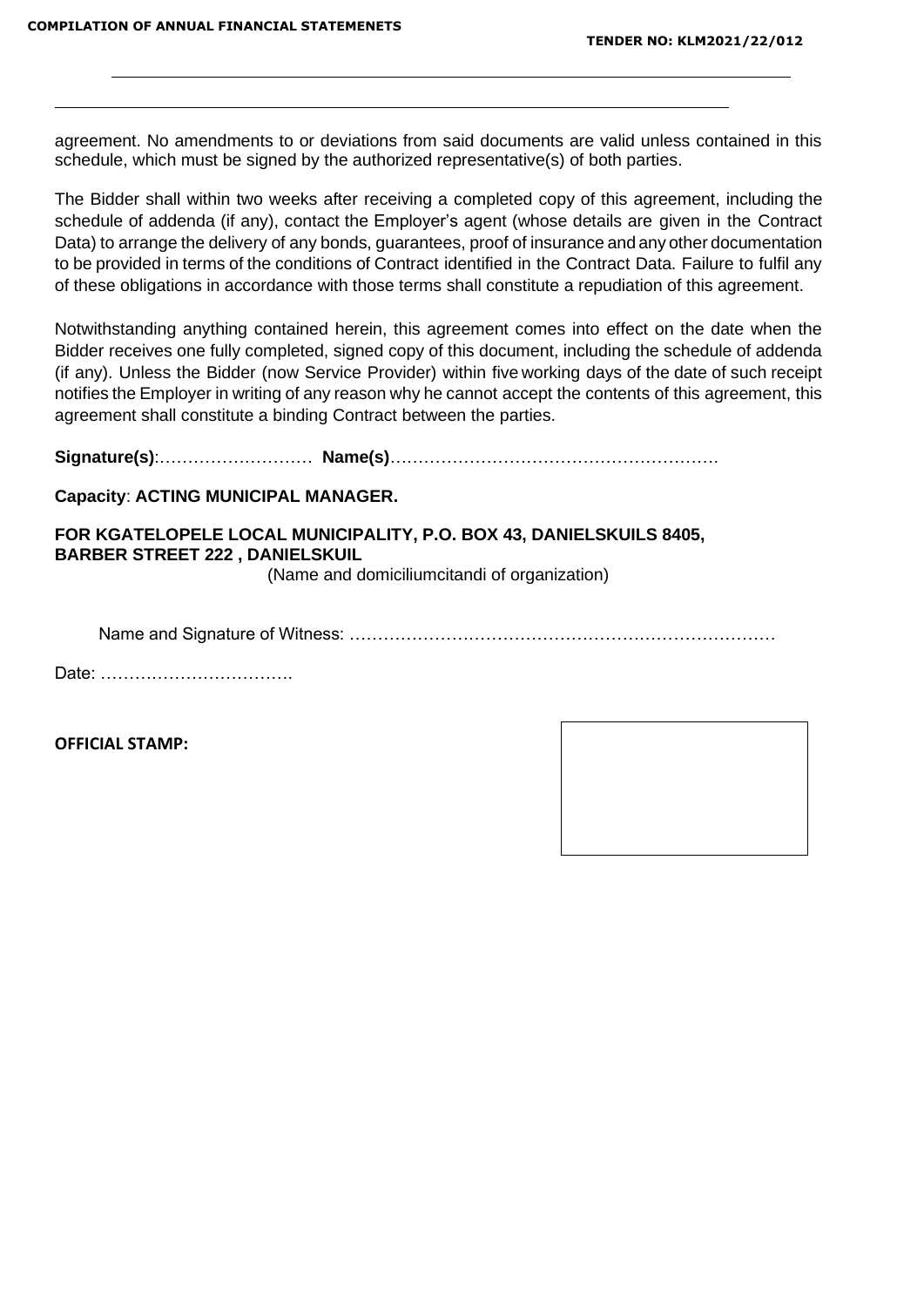agreement. No amendments to or deviations from said documents are valid unless contained in this schedule, which must be signed by the authorized representative(s) of both parties.

The Bidder shall within two weeks after receiving a completed copy of this agreement, including the schedule of addenda (if any), contact the Employer's agent (whose details are given in the Contract Data) to arrange the delivery of any bonds, guarantees, proof of insurance and any other documentation to be provided in terms of the conditions of Contract identified in the Contract Data. Failure to fulfil any of these obligations in accordance with those terms shall constitute a repudiation of this agreement.

Notwithstanding anything contained herein, this agreement comes into effect on the date when the Bidder receives one fully completed, signed copy of this document, including the schedule of addenda (if any). Unless the Bidder (now Service Provider) within five working days of the date of such receipt notifies the Employer in writing of any reason why he cannot accept the contents of this agreement, this agreement shall constitute a binding Contract between the parties.

**Signature(s)**:……………………… **Name(s)**………………………………………………….

#### **Capacity**: **ACTING MUNICIPAL MANAGER.**

# **FOR KGATELOPELE LOCAL MUNICIPALITY, P.O. BOX 43, DANIELSKUILS 8405, BARBER STREET 222 , DANIELSKUIL**

(Name and domiciliumcitandi of organization)

Name and Signature of Witness: …………………………………………………………………

Date: …………………………….

**OFFICIAL STAMP:**

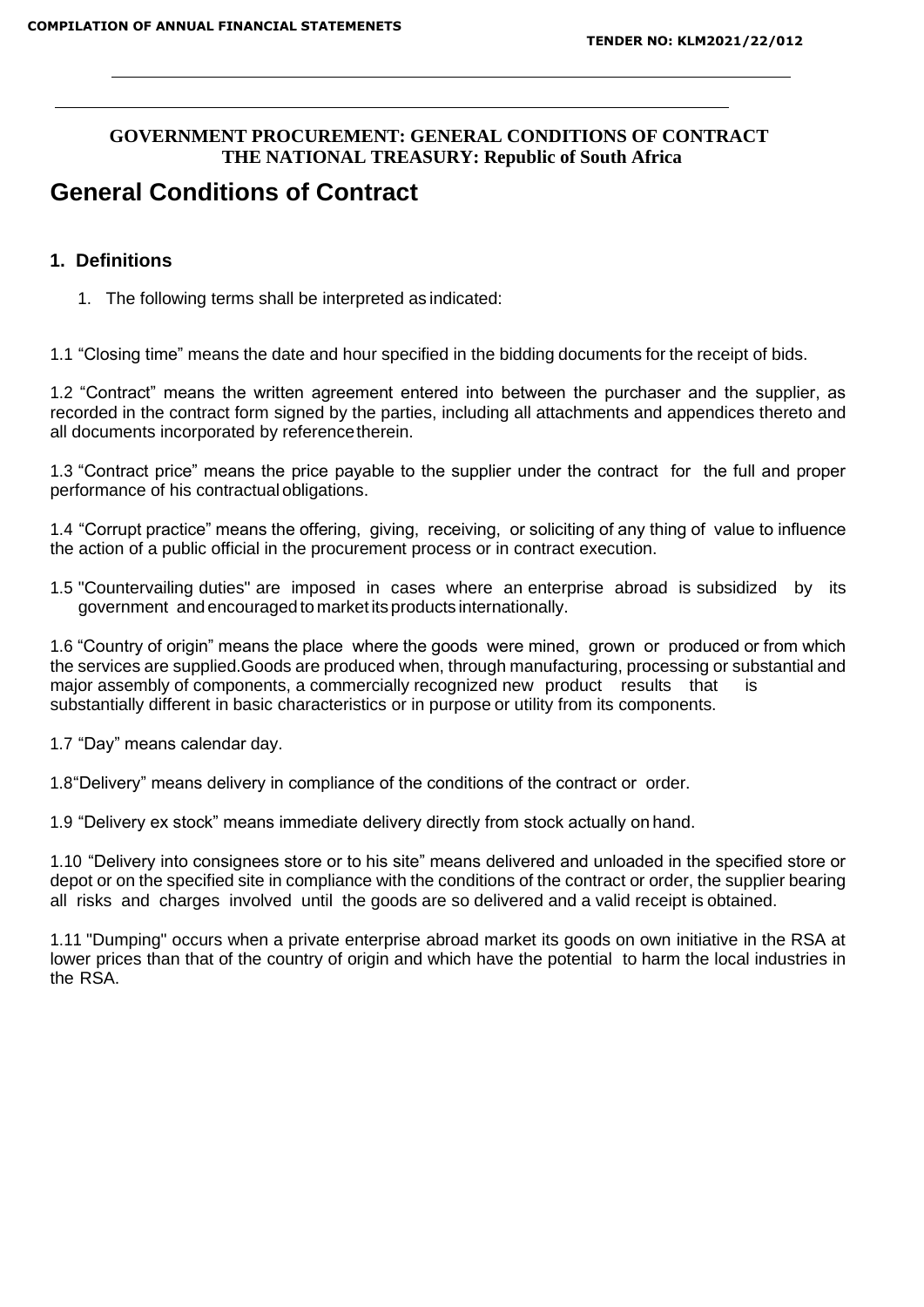# **GOVERNMENT PROCUREMENT: GENERAL CONDITIONS OF CONTRACT THE NATIONAL TREASURY: Republic of South Africa**

# **General Conditions of Contract**

# **1. Definitions**

1. The following terms shall be interpreted as indicated:

1.1 "Closing time" means the date and hour specified in the bidding documents for the receipt of bids.

1.2 "Contract" means the written agreement entered into between the purchaser and the supplier, as recorded in the contract form signed by the parties, including all attachments and appendices thereto and all documents incorporated by referencetherein.

1.3 "Contract price" means the price payable to the supplier under the contract for the full and proper performance of his contractual obligations.

1.4 "Corrupt practice" means the offering, giving, receiving, or soliciting of any thing of value to influence the action of a public official in the procurement process or in contract execution.

1.5 "Countervailing duties" are imposed in cases where an enterprise abroad is subsidized by its government and encouraged to marketits products internationally.

1.6 "Country of origin" means the place where the goods were mined, grown or produced or from which the services are supplied.Goods are produced when, through manufacturing, processing or substantial and major assembly of components, a commercially recognized new product results that is substantially different in basic characteristics or in purpose or utility from its components.

1.7 "Day" means calendar day.

1.8"Delivery" means delivery in compliance of the conditions of the contract or order.

1.9 "Delivery ex stock" means immediate delivery directly from stock actually on hand.

1.10 "Delivery into consignees store or to his site" means delivered and unloaded in the specified store or depot or on the specified site in compliance with the conditions of the contract or order, the supplier bearing all risks and charges involved until the goods are so delivered and a valid receipt is obtained.

1.11 "Dumping" occurs when a private enterprise abroad market its goods on own initiative in the RSA at lower prices than that of the country of origin and which have the potential to harm the local industries in the RSA.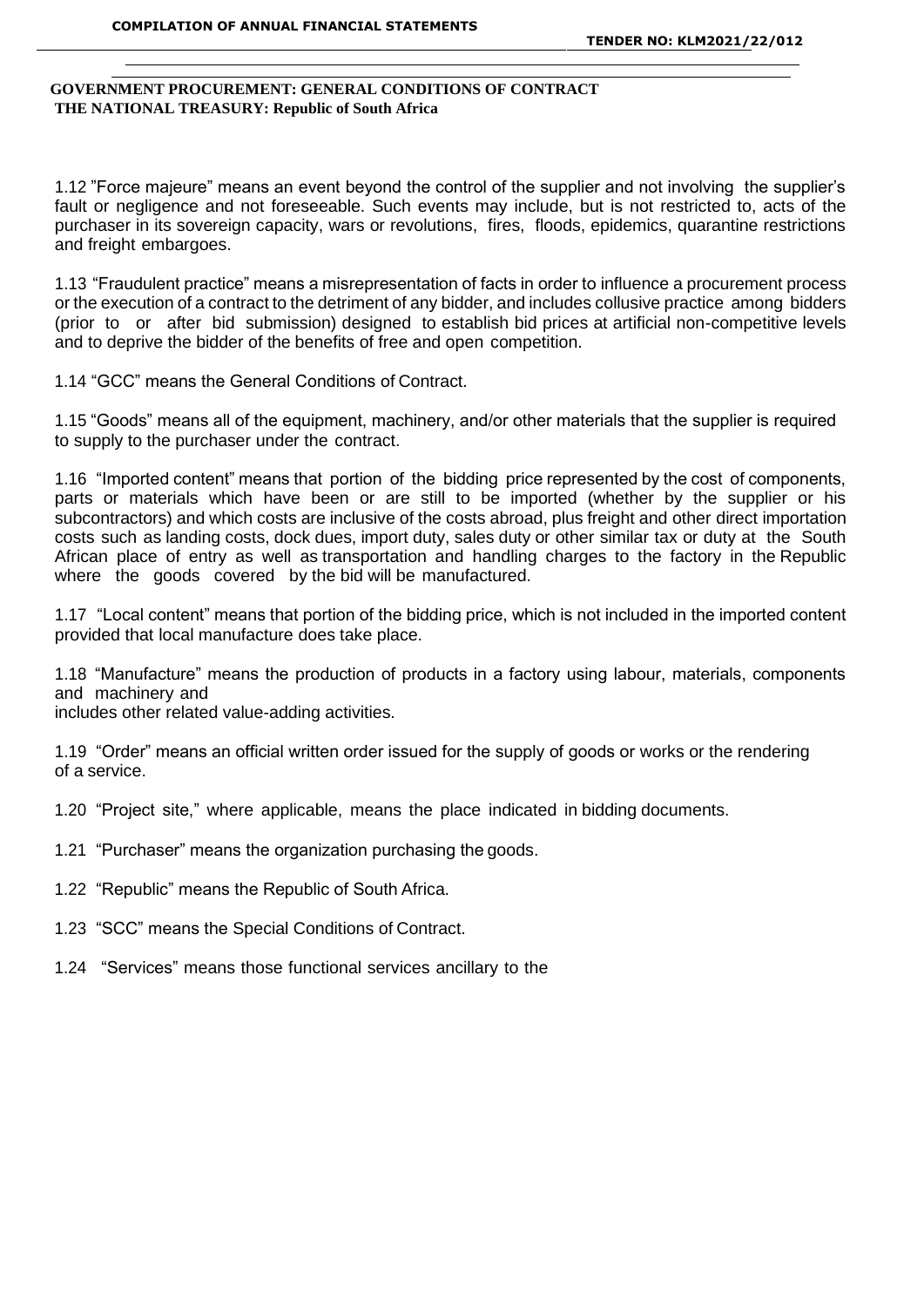#### **GOVERNMENT PROCUREMENT: GENERAL CONDITIONS OF CONTRACT THE NATIONAL TREASURY: Republic of South Africa**

1.12 "Force majeure" means an event beyond the control of the supplier and not involving the supplier's fault or negligence and not foreseeable. Such events may include, but is not restricted to, acts of the purchaser in its sovereign capacity, wars or revolutions, fires, floods, epidemics, quarantine restrictions and freight embargoes.

1.13 "Fraudulent practice" means a misrepresentation of facts in order to influence a procurement process or the execution of a contract to the detriment of any bidder, and includes collusive practice among bidders (prior to or after bid submission) designed to establish bid prices at artificial non-competitive levels and to deprive the bidder of the benefits of free and open competition.

1.14 "GCC" means the General Conditions of Contract.

1.15 "Goods" means all of the equipment, machinery, and/or other materials that the supplier is required to supply to the purchaser under the contract.

1.16 "Imported content" means that portion of the bidding price represented by the cost of components, parts or materials which have been or are still to be imported (whether by the supplier or his subcontractors) and which costs are inclusive of the costs abroad, plus freight and other direct importation costs such as landing costs, dock dues, import duty, sales duty or other similar tax or duty at the South African place of entry as well as transportation and handling charges to the factory in the Republic where the goods covered by the bid will be manufactured.

1.17 "Local content" means that portion of the bidding price, which is not included in the imported content provided that local manufacture does take place.

1.18 "Manufacture" means the production of products in a factory using labour, materials, components and machinery and

includes other related value-adding activities.

1.19 "Order" means an official written order issued for the supply of goods or works or the rendering of a service.

1.20 "Project site," where applicable, means the place indicated in bidding documents.

1.21 "Purchaser" means the organization purchasing the goods.

1.22 "Republic" means the Republic of South Africa.

1.23 "SCC" means the Special Conditions of Contract.

1.24 "Services" means those functional services ancillary to the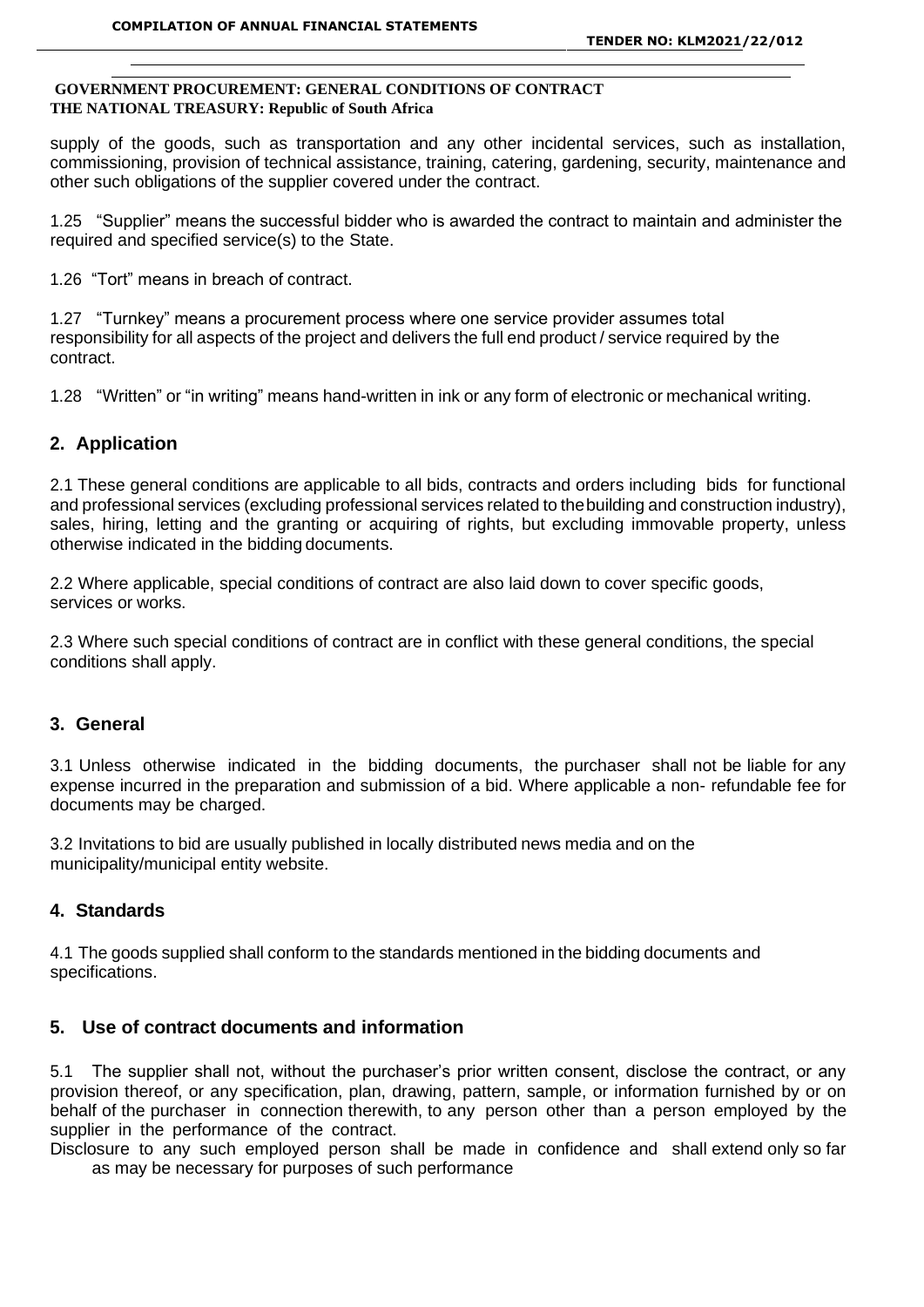#### **GOVERNMENT PROCUREMENT: GENERAL CONDITIONS OF CONTRACT THE NATIONAL TREASURY: Republic of South Africa**

supply of the goods, such as transportation and any other incidental services, such as installation, commissioning, provision of technical assistance, training, catering, gardening, security, maintenance and other such obligations of the supplier covered under the contract.

1.25 "Supplier" means the successful bidder who is awarded the contract to maintain and administer the required and specified service(s) to the State.

1.26 "Tort" means in breach of contract.

1.27 "Turnkey" means a procurement process where one service provider assumes total responsibility for all aspects of the project and delivers the full end product / service required by the contract.

1.28 "Written" or "in writing" means hand-written in ink or any form of electronic or mechanical writing.

#### **2. Application**

2.1 These general conditions are applicable to all bids, contracts and orders including bids for functional and professional services (excluding professional services related to thebuilding and construction industry), sales, hiring, letting and the granting or acquiring of rights, but excluding immovable property, unless otherwise indicated in the bidding documents.

2.2 Where applicable, special conditions of contract are also laid down to cover specific goods, services or works.

2.3 Where such special conditions of contract are in conflict with these general conditions, the special conditions shall apply.

# **3. General**

3.1 Unless otherwise indicated in the bidding documents, the purchaser shall not be liable for any expense incurred in the preparation and submission of a bid. Where applicable a non- refundable fee for documents may be charged.

3.2 Invitations to bid are usually published in locally distributed news media and on the municipality/municipal entity website.

# **4. Standards**

4.1 The goods supplied shall conform to the standards mentioned in the bidding documents and specifications.

#### **5. Use of contract documents and information**

5.1 The supplier shall not, without the purchaser's prior written consent, disclose the contract, or any provision thereof, or any specification, plan, drawing, pattern, sample, or information furnished by or on behalf of the purchaser in connection therewith, to any person other than a person employed by the supplier in the performance of the contract.

Disclosure to any such employed person shall be made in confidence and shall extend only so far as may be necessary for purposes of such performance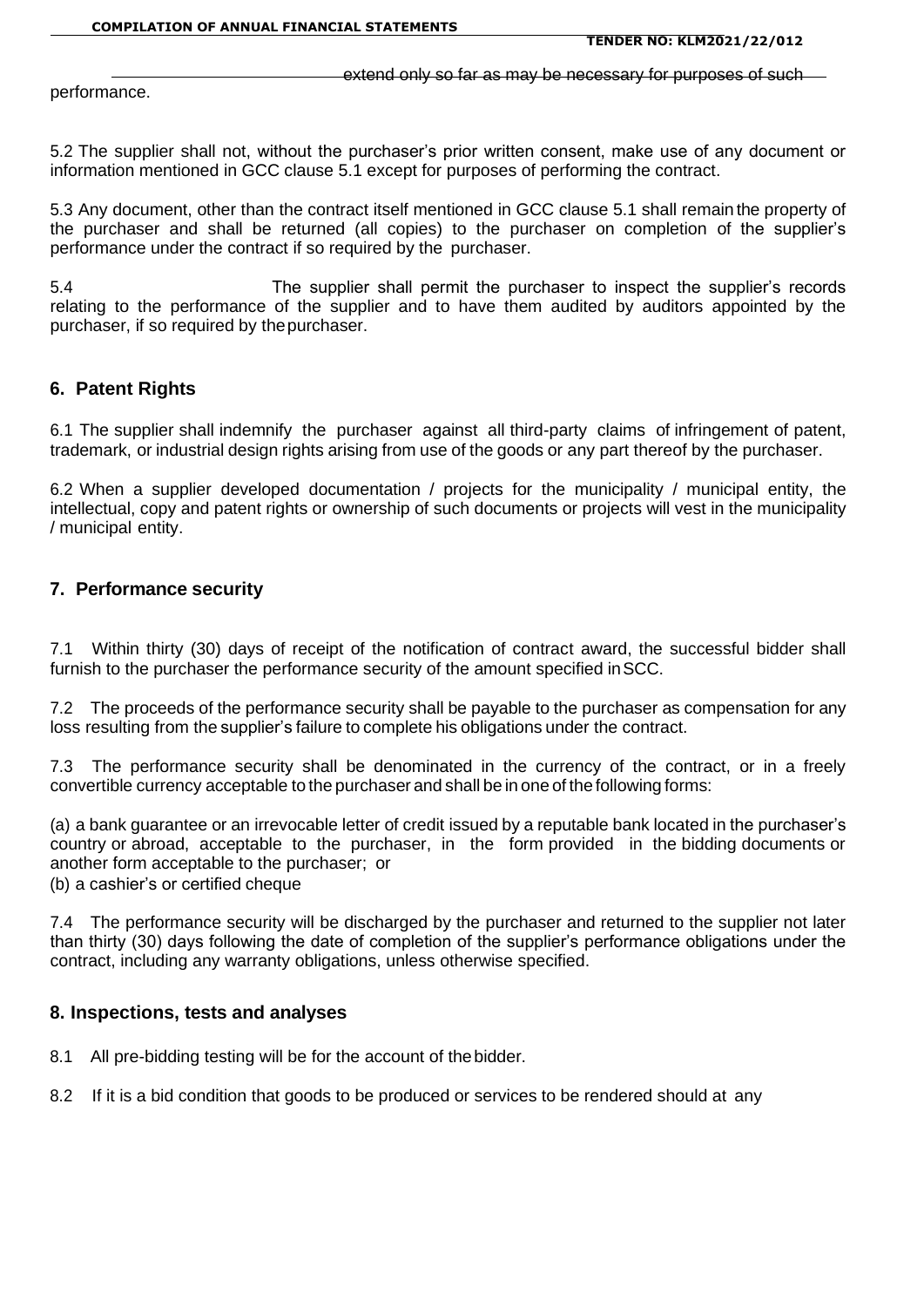extend only so far as may be necessary for purposes of such

performance.

5.2 The supplier shall not, without the purchaser's prior written consent, make use of any document or information mentioned in GCC clause 5.1 except for purposes of performing the contract.

5.3 Any document, other than the contract itself mentioned in GCC clause 5.1 shall remain the property of the purchaser and shall be returned (all copies) to the purchaser on completion of the supplier's performance under the contract if so required by the purchaser.

5.4 The supplier shall permit the purchaser to inspect the supplier's records relating to the performance of the supplier and to have them audited by auditors appointed by the purchaser, if so required by thepurchaser.

# **6. Patent Rights**

6.1 The supplier shall indemnify the purchaser against all third-party claims of infringement of patent, trademark, or industrial design rights arising from use of the goods or any part thereof by the purchaser.

6.2 When a supplier developed documentation / projects for the municipality / municipal entity, the intellectual, copy and patent rights or ownership of such documents or projects will vest in the municipality / municipal entity.

# **7. Performance security**

7.1 Within thirty (30) days of receipt of the notification of contract award, the successful bidder shall furnish to the purchaser the performance security of the amount specified inSCC.

7.2 The proceeds of the performance security shall be payable to the purchaser as compensation for any loss resulting from the supplier's failure to complete his obligations under the contract.

7.3 The performance security shall be denominated in the currency of the contract, or in a freely convertible currency acceptable to the purchaser and shall be in one of the following forms:

(a) a bank guarantee or an irrevocable letter of credit issued by a reputable bank located in the purchaser's country or abroad, acceptable to the purchaser, in the form provided in the bidding documents or another form acceptable to the purchaser; or

(b) a cashier's or certified cheque

7.4 The performance security will be discharged by the purchaser and returned to the supplier not later than thirty (30) days following the date of completion of the supplier's performance obligations under the contract, including any warranty obligations, unless otherwise specified.

# **8. Inspections, tests and analyses**

8.1 All pre-bidding testing will be for the account of thebidder.

8.2 If it is a bid condition that goods to be produced or services to be rendered should at any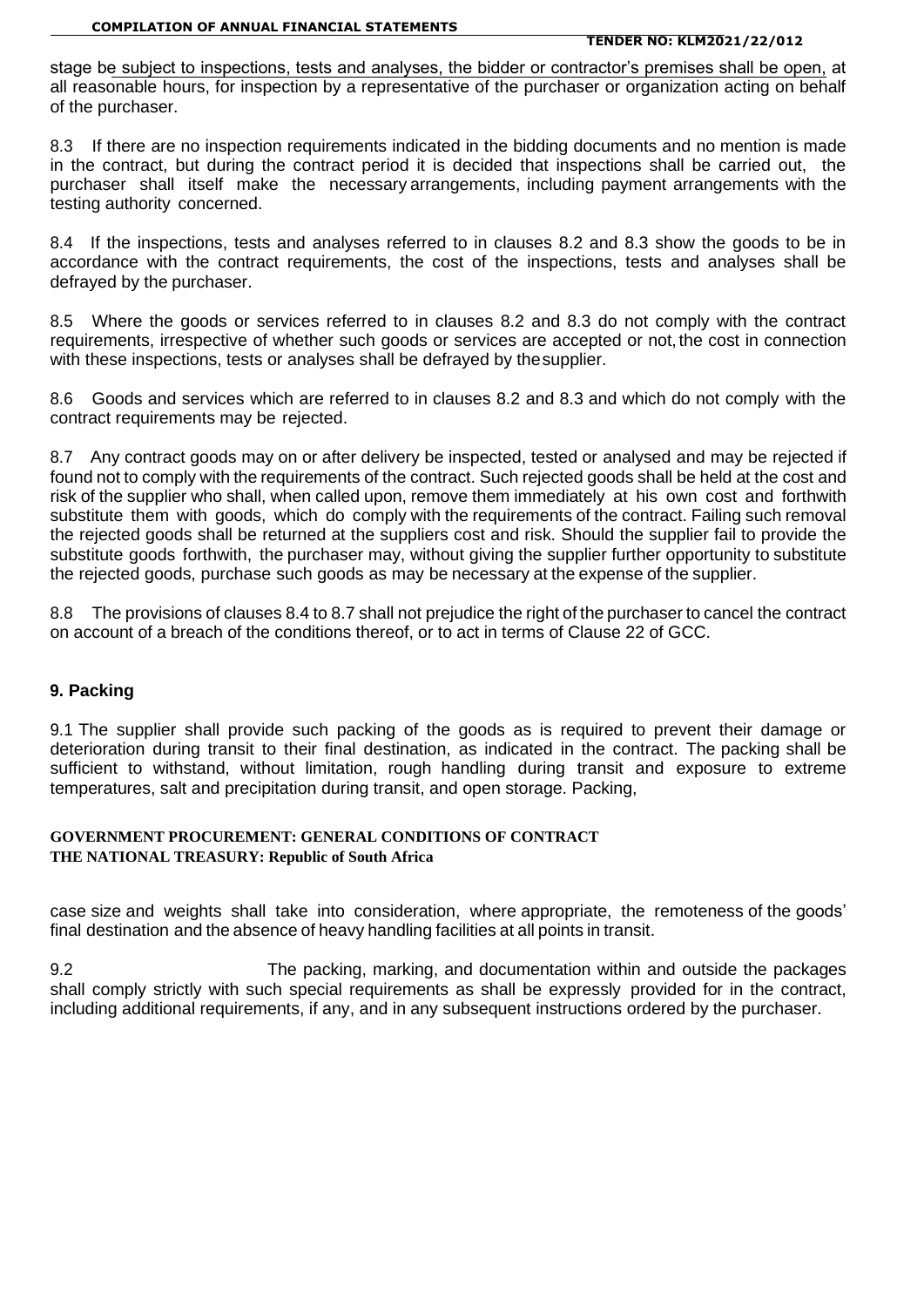#### **TENDER NO: KLM2021/22/012**

stage be subject to inspections, tests and analyses, the bidder or contractor's premises shall be open, at all reasonable hours, for inspection by a representative of the purchaser or organization acting on behalf of the purchaser.

8.3 If there are no inspection requirements indicated in the bidding documents and no mention is made in the contract, but during the contract period it is decided that inspections shall be carried out, the purchaser shall itself make the necessary arrangements, including payment arrangements with the testing authority concerned.

8.4 If the inspections, tests and analyses referred to in clauses 8.2 and 8.3 show the goods to be in accordance with the contract requirements, the cost of the inspections, tests and analyses shall be defrayed by the purchaser.

8.5 Where the goods or services referred to in clauses 8.2 and 8.3 do not comply with the contract requirements, irrespective of whether such goods or services are accepted or not, the cost in connection with these inspections, tests or analyses shall be defrayed by thesupplier.

8.6 Goods and services which are referred to in clauses 8.2 and 8.3 and which do not comply with the contract requirements may be rejected.

8.7 Any contract goods may on or after delivery be inspected, tested or analysed and may be rejected if found not to comply with the requirements of the contract. Such rejected goods shall be held at the cost and risk of the supplier who shall, when called upon, remove them immediately at his own cost and forthwith substitute them with goods, which do comply with the requirements of the contract. Failing such removal the rejected goods shall be returned at the suppliers cost and risk. Should the supplier fail to provide the substitute goods forthwith, the purchaser may, without giving the supplier further opportunity to substitute the rejected goods, purchase such goods as may be necessary at the expense of the supplier.

8.8 The provisions of clauses 8.4 to 8.7 shall not prejudice the right of the purchaser to cancel the contract on account of a breach of the conditions thereof, or to act in terms of Clause 22 of GCC.

# **9. Packing**

9.1 The supplier shall provide such packing of the goods as is required to prevent their damage or deterioration during transit to their final destination, as indicated in the contract. The packing shall be sufficient to withstand, without limitation, rough handling during transit and exposure to extreme temperatures, salt and precipitation during transit, and open storage. Packing,

#### **GOVERNMENT PROCUREMENT: GENERAL CONDITIONS OF CONTRACT THE NATIONAL TREASURY: Republic of South Africa**

case size and weights shall take into consideration, where appropriate, the remoteness of the goods' final destination and the absence of heavy handling facilities at all points in transit.

9.2 The packing, marking, and documentation within and outside the packages shall comply strictly with such special requirements as shall be expressly provided for in the contract, including additional requirements, if any, and in any subsequent instructions ordered by the purchaser.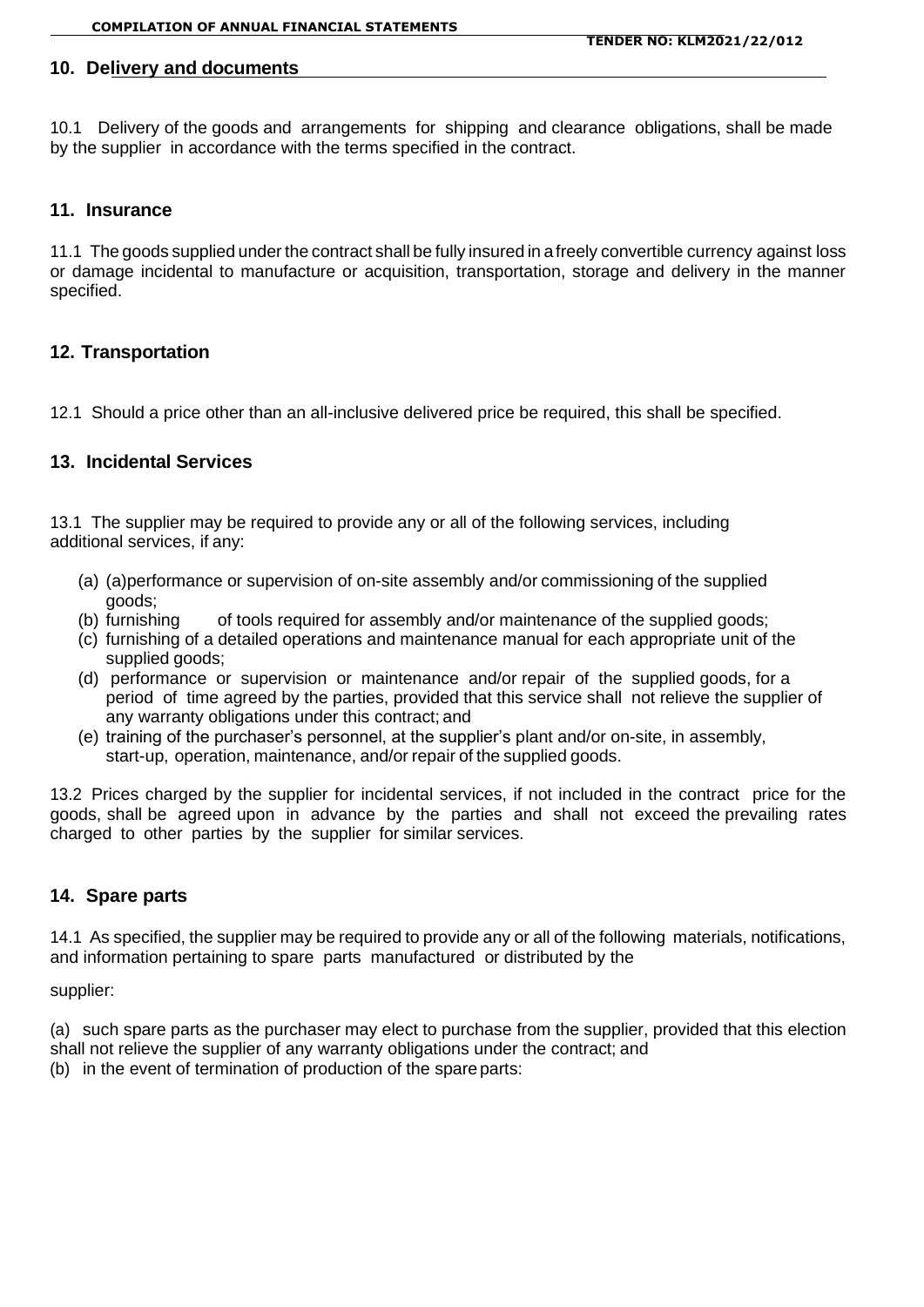#### **10. Delivery and documents**

10.1 Delivery of the goods and arrangements for shipping and clearance obligations, shall be made by the supplier in accordance with the terms specified in the contract.

#### **11. Insurance**

11.1 The goods supplied under the contract shall be fully insured in a freely convertible currency against loss or damage incidental to manufacture or acquisition, transportation, storage and delivery in the manner specified.

#### **12. Transportation**

12.1 Should a price other than an all-inclusive delivered price be required, this shall be specified.

# **13. Incidental Services**

13.1 The supplier may be required to provide any or all of the following services, including additional services, if any:

- (a) (a)performance or supervision of on-site assembly and/or commissioning of the supplied goods;
- (b) furnishing of tools required for assembly and/or maintenance of the supplied goods;
- (c) furnishing of a detailed operations and maintenance manual for each appropriate unit of the supplied goods;
- (d) performance or supervision or maintenance and/or repair of the supplied goods, for a period of time agreed by the parties, provided that this service shall not relieve the supplier of any warranty obligations under this contract; and
- (e) training of the purchaser's personnel, at the supplier's plant and/or on-site, in assembly, start-up, operation, maintenance, and/or repair of the supplied goods.

13.2 Prices charged by the supplier for incidental services, if not included in the contract price for the goods, shall be agreed upon in advance by the parties and shall not exceed the prevailing rates charged to other parties by the supplier for similar services.

#### **14. Spare parts**

14.1 As specified, the supplier may be required to provide any or all of the following materials, notifications, and information pertaining to spare parts manufactured or distributed by the

supplier:

(a) such spare parts as the purchaser may elect to purchase from the supplier, provided that this election shall not relieve the supplier of any warranty obligations under the contract; and

(b) in the event of termination of production of the spareparts: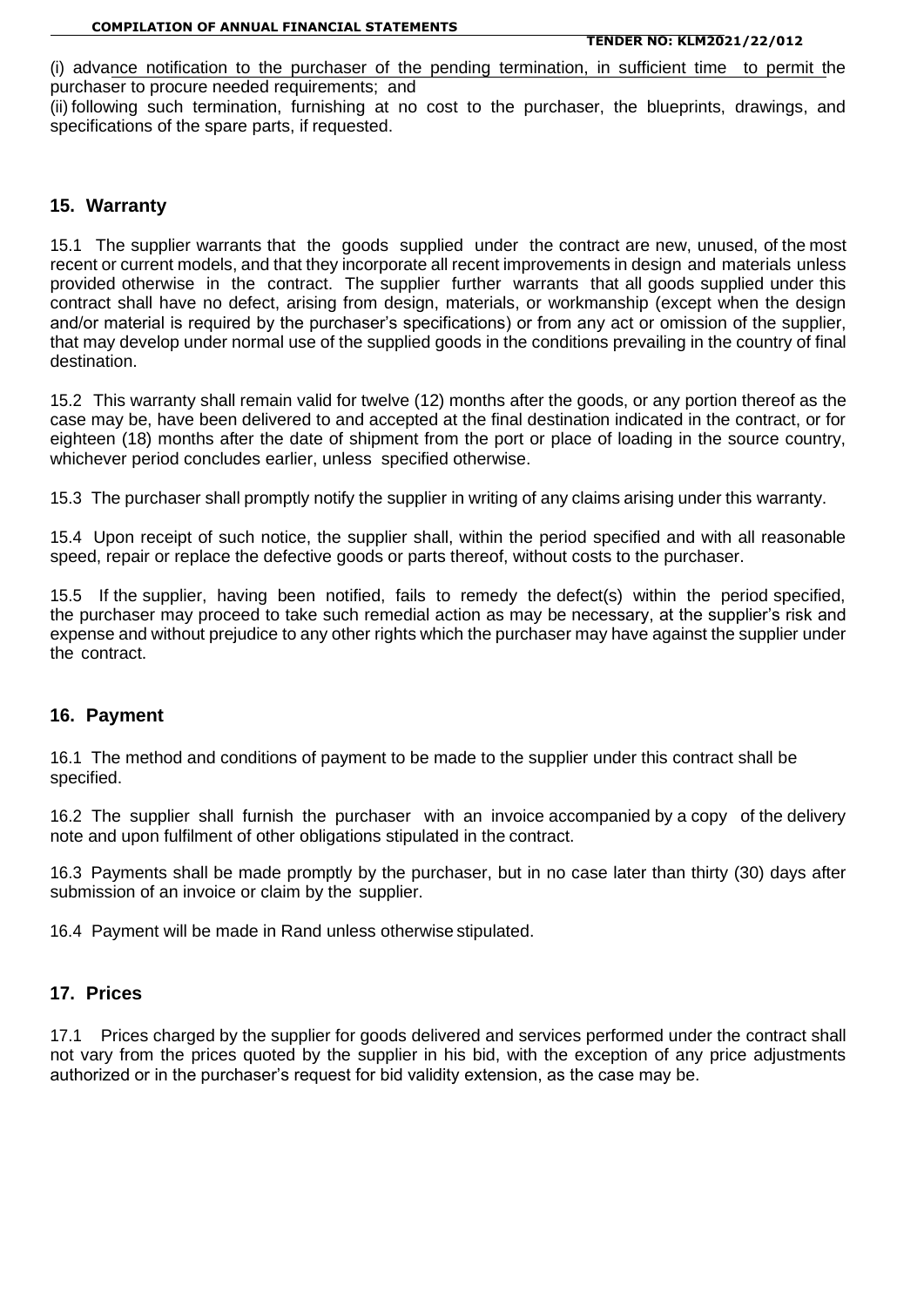(i) advance notification to the purchaser of the pending termination, in sufficient time to permit the purchaser to procure needed requirements; and (ii) following such termination, furnishing at no cost to the purchaser, the blueprints, drawings, and specifications of the spare parts, if requested.

#### **15. Warranty**

15.1 The supplier warrants that the goods supplied under the contract are new, unused, of the most recent or current models, and that they incorporate all recent improvements in design and materials unless provided otherwise in the contract. The supplier further warrants that all goods supplied under this contract shall have no defect, arising from design, materials, or workmanship (except when the design and/or material is required by the purchaser's specifications) or from any act or omission of the supplier, that may develop under normal use of the supplied goods in the conditions prevailing in the country of final destination.

15.2 This warranty shall remain valid for twelve (12) months after the goods, or any portion thereof as the case may be, have been delivered to and accepted at the final destination indicated in the contract, or for eighteen (18) months after the date of shipment from the port or place of loading in the source country, whichever period concludes earlier, unless specified otherwise.

15.3 The purchaser shall promptly notify the supplier in writing of any claims arising under this warranty.

15.4 Upon receipt of such notice, the supplier shall, within the period specified and with all reasonable speed, repair or replace the defective goods or parts thereof, without costs to the purchaser.

15.5 If the supplier, having been notified, fails to remedy the defect(s) within the period specified, the purchaser may proceed to take such remedial action as may be necessary, at the supplier's risk and expense and without prejudice to any other rights which the purchaser may have against the supplier under the contract.

#### **16. Payment**

16.1 The method and conditions of payment to be made to the supplier under this contract shall be specified.

16.2 The supplier shall furnish the purchaser with an invoice accompanied by a copy of the delivery note and upon fulfilment of other obligations stipulated in the contract.

16.3 Payments shall be made promptly by the purchaser, but in no case later than thirty (30) days after submission of an invoice or claim by the supplier.

16.4 Payment will be made in Rand unless otherwise stipulated.

# **17. Prices**

17.1 Prices charged by the supplier for goods delivered and services performed under the contract shall not vary from the prices quoted by the supplier in his bid, with the exception of any price adjustments authorized or in the purchaser's request for bid validity extension, as the case may be.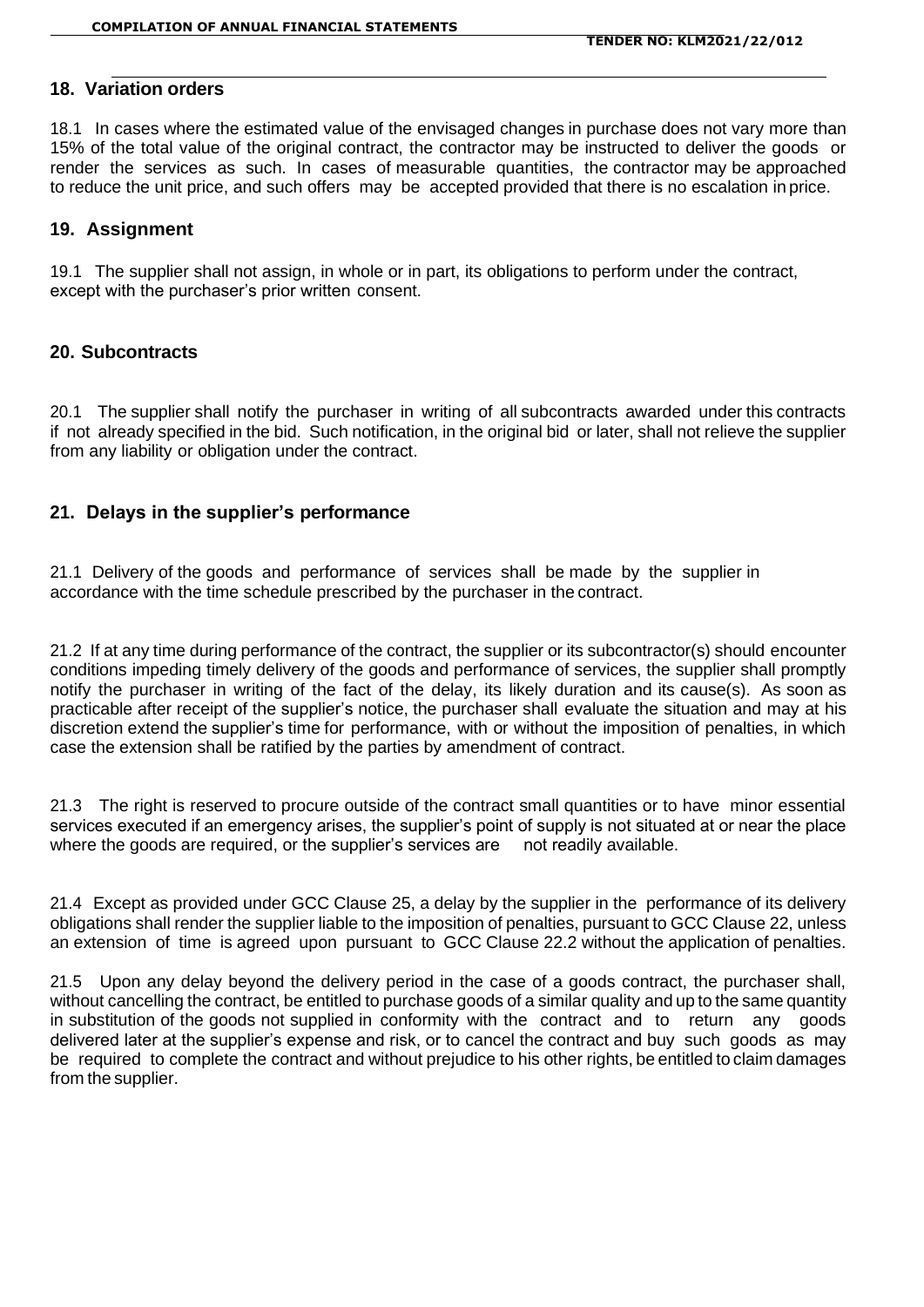## **18. Variation orders**

18.1 In cases where the estimated value of the envisaged changes in purchase does not vary more than 15% of the total value of the original contract, the contractor may be instructed to deliver the goods or render the services as such. In cases of measurable quantities, the contractor may be approached to reduce the unit price, and such offers may be accepted provided that there is no escalation in price.

#### **19. Assignment**

19.1 The supplier shall not assign, in whole or in part, its obligations to perform under the contract, except with the purchaser's prior written consent.

#### **20. Subcontracts**

20.1 The supplier shall notify the purchaser in writing of all subcontracts awarded under this contracts if not already specified in the bid. Such notification, in the original bid or later, shall not relieve the supplier from any liability or obligation under the contract.

#### **21. Delays in the supplier's performance**

21.1 Delivery of the goods and performance of services shall be made by the supplier in accordance with the time schedule prescribed by the purchaser in the contract.

21.2 If at any time during performance of the contract, the supplier or its subcontractor(s) should encounter conditions impeding timely delivery of the goods and performance of services, the supplier shall promptly notify the purchaser in writing of the fact of the delay, its likely duration and its cause(s). As soon as practicable after receipt of the supplier's notice, the purchaser shall evaluate the situation and may at his discretion extend the supplier's time for performance, with or without the imposition of penalties, in which case the extension shall be ratified by the parties by amendment of contract.

21.3 The right is reserved to procure outside of the contract small quantities or to have minor essential services executed if an emergency arises, the supplier's point of supply is not situated at or near the place where the goods are required, or the supplier's services are not readily available.

21.4 Except as provided under GCC Clause 25, a delay by the supplier in the performance of its delivery obligations shall render the supplier liable to the imposition of penalties, pursuant to GCC Clause 22, unless an extension of time is agreed upon pursuant to GCC Clause 22.2 without the application of penalties.

21.5 Upon any delay beyond the delivery period in the case of a goods contract, the purchaser shall, without cancelling the contract, be entitled to purchase goods of a similar quality and up to the same quantity in substitution of the goods not supplied in conformity with the contract and to return any goods delivered later at the supplier's expense and risk, or to cancel the contract and buy such goods as may be required to complete the contract and without prejudice to his other rights, be entitled to claim damages from the supplier.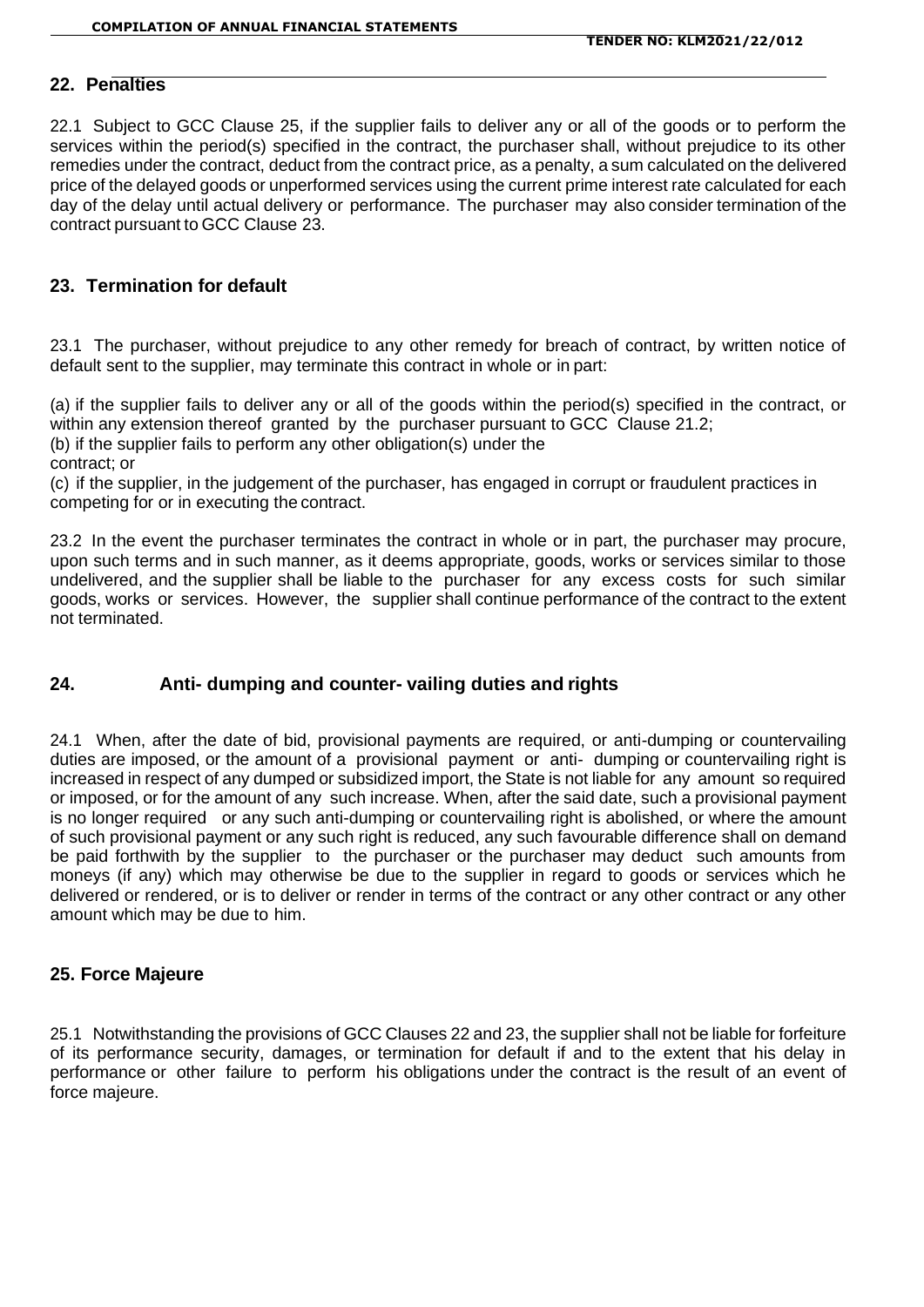# **22. Penalties**

22.1 Subject to GCC Clause 25, if the supplier fails to deliver any or all of the goods or to perform the services within the period(s) specified in the contract, the purchaser shall, without prejudice to its other remedies under the contract, deduct from the contract price, as a penalty, a sum calculated on the delivered price of the delayed goods or unperformed services using the current prime interest rate calculated for each day of the delay until actual delivery or performance. The purchaser may also consider termination of the contract pursuant to GCC Clause 23.

# **23. Termination for default**

23.1 The purchaser, without prejudice to any other remedy for breach of contract, by written notice of default sent to the supplier, may terminate this contract in whole or in part:

(a) if the supplier fails to deliver any or all of the goods within the period(s) specified in the contract, or within any extension thereof granted by the purchaser pursuant to GCC Clause 21.2;

(b) if the supplier fails to perform any other obligation(s) under the

contract; or

(c) if the supplier, in the judgement of the purchaser, has engaged in corrupt or fraudulent practices in competing for or in executing the contract.

23.2 In the event the purchaser terminates the contract in whole or in part, the purchaser may procure, upon such terms and in such manner, as it deems appropriate, goods, works or services similar to those undelivered, and the supplier shall be liable to the purchaser for any excess costs for such similar goods, works or services. However, the supplier shall continue performance of the contract to the extent not terminated.

# **24. Anti- dumping and counter- vailing duties and rights**

24.1 When, after the date of bid, provisional payments are required, or anti-dumping or countervailing duties are imposed, or the amount of a provisional payment or anti- dumping or countervailing right is increased in respect of any dumped or subsidized import, the State is not liable for any amount so required or imposed, or for the amount of any such increase. When, after the said date, such a provisional payment is no longer required or any such anti-dumping or countervailing right is abolished, or where the amount of such provisional payment or any such right is reduced, any such favourable difference shall on demand be paid forthwith by the supplier to the purchaser or the purchaser may deduct such amounts from moneys (if any) which may otherwise be due to the supplier in regard to goods or services which he delivered or rendered, or is to deliver or render in terms of the contract or any other contract or any other amount which may be due to him.

#### **25. Force Majeure**

25.1 Notwithstanding the provisions of GCC Clauses 22 and 23, the supplier shall not be liable for forfeiture of its performance security, damages, or termination for default if and to the extent that his delay in performance or other failure to perform his obligations under the contract is the result of an event of force majeure.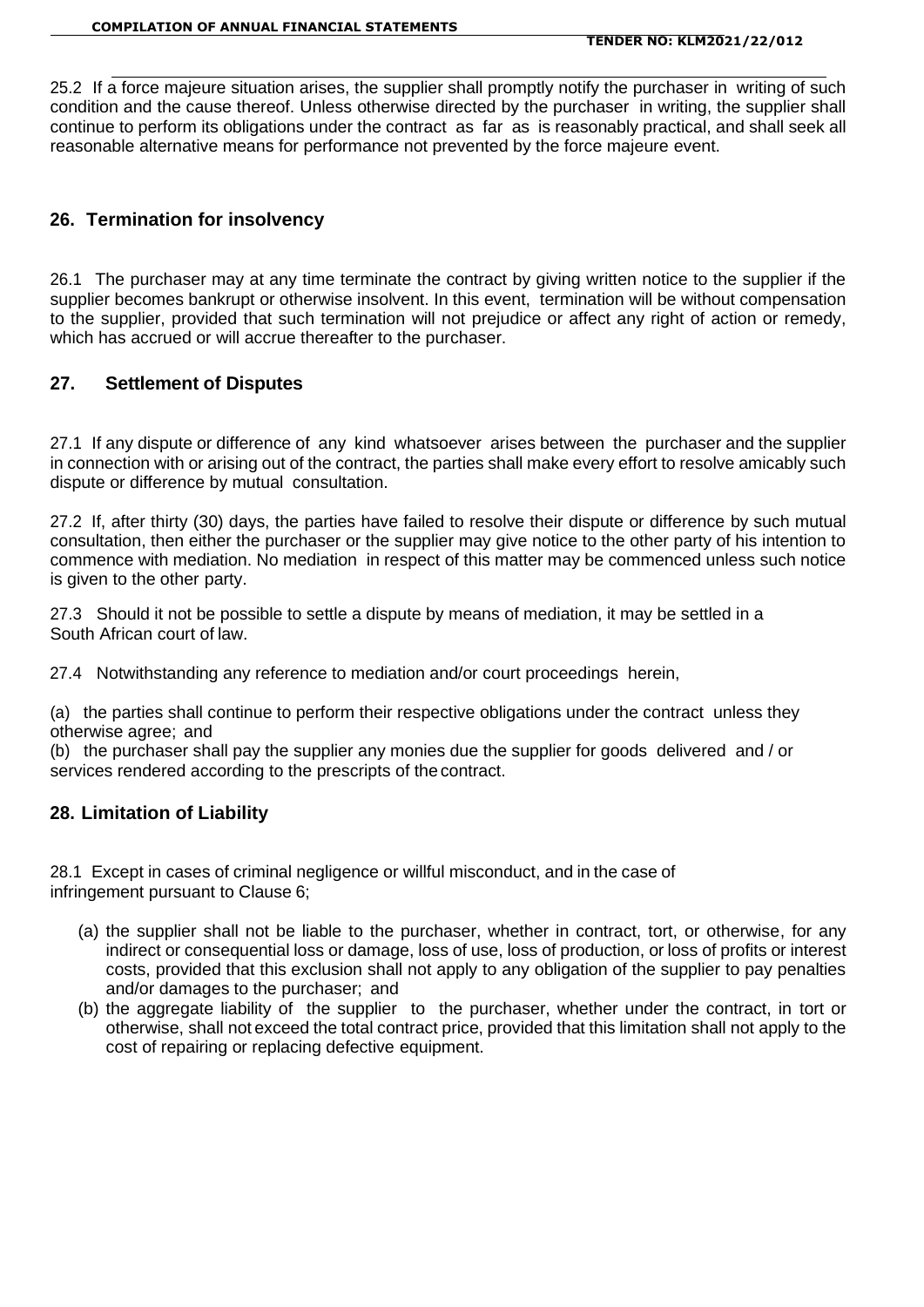25.2 If a force majeure situation arises, the supplier shall promptly notify the purchaser in writing of such condition and the cause thereof. Unless otherwise directed by the purchaser in writing, the supplier shall continue to perform its obligations under the contract as far as is reasonably practical, and shall seek all reasonable alternative means for performance not prevented by the force majeure event.

#### **26. Termination for insolvency**

26.1 The purchaser may at any time terminate the contract by giving written notice to the supplier if the supplier becomes bankrupt or otherwise insolvent. In this event, termination will be without compensation to the supplier, provided that such termination will not prejudice or affect any right of action or remedy, which has accrued or will accrue thereafter to the purchaser.

#### **27. Settlement of Disputes**

27.1 If any dispute or difference of any kind whatsoever arises between the purchaser and the supplier in connection with or arising out of the contract, the parties shall make every effort to resolve amicably such dispute or difference by mutual consultation.

27.2 If, after thirty (30) days, the parties have failed to resolve their dispute or difference by such mutual consultation, then either the purchaser or the supplier may give notice to the other party of his intention to commence with mediation. No mediation in respect of this matter may be commenced unless such notice is given to the other party.

27.3 Should it not be possible to settle a dispute by means of mediation, it may be settled in a South African court of law.

27.4 Notwithstanding any reference to mediation and/or court proceedings herein,

(a) the parties shall continue to perform their respective obligations under the contract unless they otherwise agree; and

(b) the purchaser shall pay the supplier any monies due the supplier for goods delivered and / or services rendered according to the prescripts of the contract.

#### **28. Limitation of Liability**

28.1 Except in cases of criminal negligence or willful misconduct, and in the case of infringement pursuant to Clause 6;

- (a) the supplier shall not be liable to the purchaser, whether in contract, tort, or otherwise, for any indirect or consequential loss or damage, loss of use, loss of production, or loss of profits or interest costs, provided that this exclusion shall not apply to any obligation of the supplier to pay penalties and/or damages to the purchaser; and
- (b) the aggregate liability of the supplier to the purchaser, whether under the contract, in tort or otherwise, shall not exceed the total contract price, provided that this limitation shall not apply to the cost of repairing or replacing defective equipment.